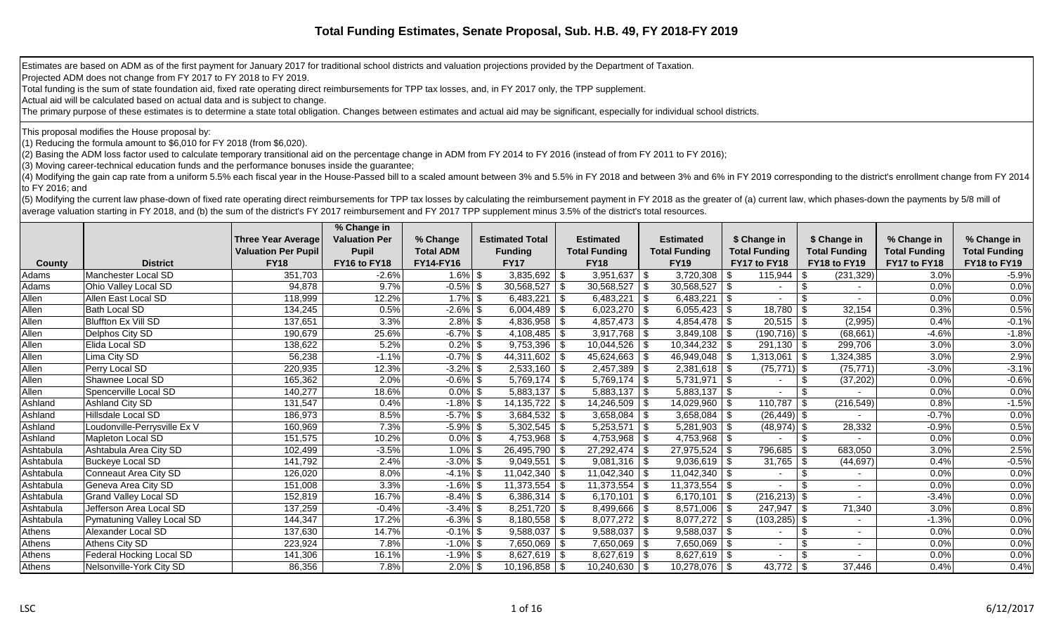Estimates are based on ADM as of the first payment for January 2017 for traditional school districts and valuation projections provided by the Department of Taxation.

Projected ADM does not change from FY 2017 to FY 2018 to FY 2019.

Total funding is the sum of state foundation aid, fixed rate operating direct reimbursements for TPP tax losses, and, in FY 2017 only, the TPP supplement.

Actual aid will be calculated based on actual data and is subject to change.

The primary purpose of these estimates is to determine a state total obligation. Changes between estimates and actual aid may be significant, especially for individual school districts.

This proposal modifies the House proposal by:

(1) Reducing the formula amount to \$6,010 for FY 2018 (from \$6,020).

(2) Basing the ADM loss factor used to calculate temporary transitional aid on the percentage change in ADM from FY 2014 to FY 2016 (instead of from FY 2011 to FY 2016);

(3) Moving career-technical education funds and the performance bonuses inside the guarantee;

(4) Modifying the gain cap rate from a uniform 5.5% each fiscal year in the House-Passed bill to a scaled amount between 3% and 5.5% in FY 2018 and between 3% and 6% in FY 2019 corresponding to the district's enrollment ch to FY 2016; and

(5) Modifying the current law phase-down of fixed rate operating direct reimbursements for TPP tax losses by calculating the reimbursement payment in FY 2018 as the greater of (a) current law, which phases-down the payment average valuation starting in FY 2018, and (b) the sum of the district's FY 2017 reimbursement and FY 2017 TPP supplement minus 3.5% of the district's total resources.

|           |                              |                            | % Change in          |                  |                        |      |                      |      |                      |                      |                      |                      |                      |
|-----------|------------------------------|----------------------------|----------------------|------------------|------------------------|------|----------------------|------|----------------------|----------------------|----------------------|----------------------|----------------------|
|           |                              | <b>Three Year Average</b>  | <b>Valuation Per</b> | % Change         | <b>Estimated Total</b> |      | <b>Estimated</b>     |      | <b>Estimated</b>     | \$ Change in         | \$ Change in         | % Change in          | % Change in          |
|           |                              | <b>Valuation Per Pupil</b> | <b>Pupil</b>         | <b>Total ADM</b> | <b>Funding</b>         |      | <b>Total Funding</b> |      | <b>Total Funding</b> | <b>Total Funding</b> | <b>Total Funding</b> | <b>Total Funding</b> | <b>Total Funding</b> |
| County    | <b>District</b>              | <b>FY18</b>                | FY16 to FY18         | <b>FY14-FY16</b> | <b>FY17</b>            |      | <b>FY18</b>          |      | <b>FY19</b>          | FY17 to FY18         | FY18 to FY19         | FY17 to FY18         | FY18 to FY19         |
| Adams     | Manchester Local SD          | 351,703                    | $-2.6%$              | $1.6\%$ \$       | 3,835,692              | \$   | $3,951,637$ \$       |      | $3,720,308$ \$       | 115,944              | (231, 329)           | 3.0%                 | $-5.9%$              |
| Adams     | Ohio Valley Local SD         | 94,878                     | 9.7%                 | $-0.5\%$ \$      | 30,568,527             | -\$  | $30,568,527$ \ \$    |      | $30,568,527$ \$      |                      |                      | 0.0%                 | 0.0%                 |
| Allen     | Allen East Local SD          | 118,999                    | 12.2%                | $1.7\%$ \$       | 6,483,221              | - \$ | $6,483,221$ \$       |      | $6,483,221$ \$       |                      |                      | 0.0%                 | 0.0%                 |
| Allen     | Bath Local SD                | 134,245                    | 0.5%                 | $-2.6\%$ \$      | 6,004,489              | \$   | $6,023,270$ \ \$     |      | $6,055,423$ \$       | 18,780               | 32,154               | 0.3%                 | 0.5%                 |
| Allen     | Bluffton Ex Vill SD          | 137,651                    | 3.3%                 | $2.8\%$ \$       | 4,836,958              | - \$ | $4,857,473$ \$       |      |                      | $20,515$ \$          | (2,995)              | 0.4%                 | $-0.1%$              |
| Allen     | Delphos City SD              | 190,679                    | 25.6%                | $-6.7\%$ \$      | 4,108,485              |      |                      |      | $3,849,108$ \$       | $(190, 716)$ \$      | (68, 661)            | $-4.6%$              | $-1.8%$              |
| Allen     | Elida Local SD               | 138,622                    | 5.2%                 | $0.2\%$ \$       | 9,753,396              |      | $10,044,526$ \ \$    |      | $10,344,232$ \ \\$   | $291,130$ \ \$       | 299,706              | 3.0%                 | 3.0%                 |
| Allen     | Lima City SD                 | 56,238                     | $-1.1%$              | $-0.7%$ \$       | 44,311,602             |      | 45,624,663           | - \$ | 46,949,048   \$      | 1,313,061   \$       | 1,324,385            | 3.0%                 | 2.9%                 |
| Allen     | Perry Local SD               | 220,935                    | 12.3%                | $-3.2\%$ \$      | $2,533,160$ \ \$       |      | $2,457,389$ \$       |      | $2,381,618$ \ \$     | $(75, 771)$ \$       | (75, 771)            | $-3.0%$              | $-3.1%$              |
| Allen     | Shawnee Local SD             | 165,362                    | 2.0%                 | $-0.6\%$ \$      | 5,769,174              | - \$ | $5,769,174$ \\$      |      | $5,731,971$ \\$      |                      | (37, 202)            | 0.0%                 | $-0.6%$              |
| Allen     | Spencerville Local SD        | 140,277                    | 18.6%                | $0.0\%$ \$       | 5,883,137              | - \$ | 5,883,137            | -\$  | $5,883,137$ \\$      |                      |                      | 0.0%                 | 0.0%                 |
| Ashland   | <b>Ashland City SD</b>       | 131,547                    | 0.4%                 | $-1.8\%$ \$      | 14, 135, 722           |      | 14,246,509           | - \$ | 14,029,960   \$      | 110,787              | (216, 549)           | 0.8%                 | $-1.5%$              |
| Ashland   | Hillsdale Local SD           | 186,973                    | 8.5%                 | $-5.7\%$ \$      | 3,684,532              | -\$  | 3,658,084            | \$   | $3,658,084$ \$       | $(26, 449)$ \$       |                      | $-0.7%$              | 0.0%                 |
| Ashland   | Loudonville-Perrysville Ex V | 160,969                    | 7.3%                 | $-5.9\%$ \$      | 5,302,545              | -S   | 5,253,571            | \$   |                      | $(48, 974)$ \$       | 28,332               | $-0.9%$              | 0.5%                 |
| Ashland   | <b>Mapleton Local SD</b>     | 151,575                    | 10.2%                | $0.0\%$ \$       | 4,753,968              | - \$ |                      |      |                      |                      |                      | 0.0%                 | 0.0%                 |
| Ashtabula | Ashtabula Area City SD       | 102,499                    | $-3.5%$              | $1.0\%$ \$       | 26,495,790             |      | 27,292,474           | - \$ | $27,975,524$   \$    | 796,685              | 683,050              | 3.0%                 | 2.5%                 |
| Ashtabula | <b>Buckeye Local SD</b>      | 141,792                    | 2.4%                 | $-3.0\%$ \$      | 9,049,551              | l \$ | $9,081,316$   \$     |      | $9,036,619$ \$       | $31,765$   \$        | (44, 697)            | 0.4%                 | $-0.5%$              |
| Ashtabula | Conneaut Area City SD        | 126,020                    | 8.0%                 | $-4.1\%$ \$      | 11,042,340             |      | $11,042,340$ \ \$    |      | $11,042,340$ \\$     |                      | -9                   | 0.0%                 | 0.0%                 |
| Ashtabula | Geneva Area City SD          | 151,008                    | 3.3%                 | $-1.6\%$ \$      | 11,373,554             |      | $11,373,554$   \$    |      | $11,373,554$ \\$     |                      |                      | 0.0%                 | 0.0%                 |
| Ashtabula | <b>Grand Valley Local SD</b> | 152,819                    | 16.7%                | $-8.4\%$ \$      | $6,386,314$ \$         |      | 6,170,101   \$       |      | 6,170,101   \$       | $(216, 213)$ \$      |                      | $-3.4%$              | 0.0%                 |
| Ashtabula | Jefferson Area Local SD      | 137,259                    | $-0.4%$              | $-3.4\%$ \$      | $8,251,720$ \$         |      | $8,499,666$ \ \$     |      | $8,571,006$   \$     | $247,947$ \\$        | 71,340               | 3.0%                 | 0.8%                 |
| Ashtabula | Pymatuning Valley Local SD   | 144,347                    | 17.2%                | $-6.3\%$ \$      | 8,180,558              | - \$ | $8,077,272$ \\$      |      | $8,077,272$ \\$      | $(103, 285)$ \$      |                      | $-1.3%$              | 0.0%                 |
| Athens    | Alexander Local SD           | 137,630                    | 14.7%                | $-0.1\%$ \$      | 9,588,037              | - \$ | $9,588,037$ \$       |      | $9,588,037$ \$       |                      |                      | 0.0%                 | 0.0%                 |
| Athens    | Athens City SD               | 223,924                    | 7.8%                 | $-1.0\%$ \$      | 7,650,069              | - \$ | $7,650,069$   \$     |      | $7,650,069$ \$       |                      |                      | 0.0%                 | 0.0%                 |
| Athens    | Federal Hocking Local SD     | 141,306                    | 16.1%                | $-1.9%$ \$       | $8,627,619$ \ \$       |      |                      |      | $8,627,619$ \ \$     |                      |                      | 0.0%                 | 0.0%                 |
| Athens    | Nelsonville-York City SD     | 86,356                     | 7.8%                 | $2.0\%$ \$       | $10,196,858$ \ \$      |      | $10,240,630$ \ \$    |      | $10,278,076$ \ \$    | $43,772$   \$        | 37,446               | 0.4%                 | 0.4%                 |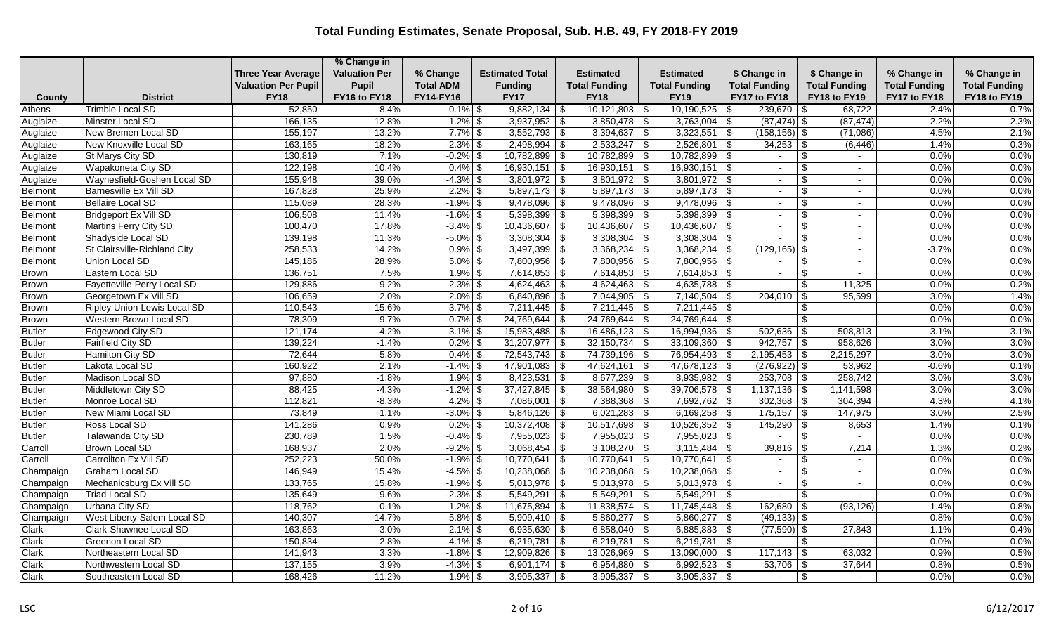|                |                              |                            | % Change in          |                  |                        |                      |                      |                      |                                  |                      |                      |
|----------------|------------------------------|----------------------------|----------------------|------------------|------------------------|----------------------|----------------------|----------------------|----------------------------------|----------------------|----------------------|
|                |                              | <b>Three Year Average</b>  | <b>Valuation Per</b> | % Change         | <b>Estimated Total</b> | Estimated            | <b>Estimated</b>     | \$ Change in         | \$ Change in                     | % Change in          | % Change in          |
|                |                              | <b>Valuation Per Pupil</b> | <b>Pupil</b>         | <b>Total ADM</b> | <b>Funding</b>         | <b>Total Funding</b> | <b>Total Funding</b> | <b>Total Funding</b> | <b>Total Funding</b>             | <b>Total Funding</b> | <b>Total Funding</b> |
| County         | <b>District</b>              | <b>FY18</b>                | FY16 to FY18         | FY14-FY16        | <b>FY17</b>            | <b>FY18</b>          | <b>FY19</b>          | FY17 to FY18         | FY18 to FY19                     | FY17 to FY18         | FY18 to FY19         |
| Athens         | <b>Trimble Local SD</b>      | 52,850                     | 8.4%                 | $0.1\%$   \$     | $9,882,134$ \\$        | $10,121,803$ \ \$    | $10,190,525$ \\$     | $239,670$ \\$        | 68,722                           | 2.4%                 | 0.7%                 |
| Auglaize       | <b>Minster Local SD</b>      | 166,135                    | 12.8%                | $-1.2\%$ \$      | $3,937,952$ \$         | $3,850,478$ \$       | $3,763,004$ \$       | $(87, 474)$ \$       | (87, 474)                        | $-2.2%$              | $-2.3%$              |
| Auglaize       | New Bremen Local SD          | 155,197                    | 13.2%                | $-7.7\%$ \$      | $3,552,793$ \$         | $3,394,637$ \$       | $3,323,551$ \$       | $(158, 156)$ \$      | (71,086)                         | $-4.5%$              | $-2.1%$              |
| Auglaize       | New Knoxville Local SD       | 163,165                    | 18.2%                | $-2.3\%$ \$      | $2,498,994$ \$         | $2,533,247$ \$       | $2,526,801$ \$       | $34,253$ \$          | (6, 446)                         | 1.4%                 | $-0.3%$              |
| Auglaize       | St Marys City SD             | 130,819                    | 7.1%                 | $-0.2%$ \$       | $10,782,899$ \$        | $10,782,899$ \$      | $10,782,899$ \\$     | $\sim$               | \$<br>$\sim$                     | 0.0%                 | 0.0%                 |
| Auglaize       | Wapakoneta City SD           | 122,198                    | 10.4%                | $0.4\%$ \$       | $16,930,151$ \$        | $16,930,151$ \$      | 16,930,151           | $\vert$ \$           | $\mathfrak{L}$<br>$\blacksquare$ | 0.0%                 | 0.0%                 |
| Auglaize       | Waynesfield-Goshen Local SD  | 155,948                    | 39.0%                | $-4.3\%$ \$      | $3,801,972$ \$         | $3,801,972$ \$       | $3,801,972$ \$       | $\sim$               | -\$<br>$\sim$                    | 0.0%                 | 0.0%                 |
| Belmont        | Barnesville Ex Vill SD       | 167,828                    | 25.9%                | $2.2\%$ \$       | $5,897,173$ \$         | $5,897,173$ \$       | $5,897,173$ \$       | $\sim$               | \$<br>$\sim$                     | 0.0%                 | 0.0%                 |
| <b>Belmont</b> | Bellaire Local SD            | 115,089                    | 28.3%                | $-1.9\%$ \$      | $9,478,096$ \$         | $9,478,096$ \$       | $9,478,096$ \$       | $\sim$               | $\blacksquare$                   | 0.0%                 | 0.0%                 |
| Belmont        | Bridgeport Ex Vill SD        | 106,508                    | 11.4%                | $-1.6\%$ \$      | $5,398,399$ \$         | $5,398,399$ \\$      | $5,398,399$ \$       | $\sim$               | \$<br>$\overline{\phantom{a}}$   | 0.0%                 | 0.0%                 |
| Belmont        | Martins Ferry City SD        | 100,470                    | 17.8%                | $-3.4\%$ \$      | $10,436,607$ \$        | $10,436,607$ \$      | $10,436,607$ \$      | $\sim$               | -\$<br>$\blacksquare$            | 0.0%                 | 0.0%                 |
| Belmont        | Shadyside Local SD           | 139,198                    | 11.3%                | $-5.0\%$ \$      | $3,308,304$ \$         | $3,308,304$ \$       | $3,308,304$ \$       |                      | $\sim$                           | 0.0%                 | 0.0%                 |
| Belmont        | St Clairsville-Richland City | 258,533                    | 14.2%                | $0.9\%$ \$       | $3,497,399$ \$         | $3,368,234$ \$       | $3,368,234$ \$       | $(129, 165)$ \$      | $\sim$                           | $-3.7%$              | 0.0%                 |
| Belmont        | Union Local SD               | 145,186                    | 28.9%                | $5.0\%$ \$       | $7,800,956$ \$         | $7,800,956$ \$       | $7,800,956$ \$       | $\sim$               | -\$<br>$\sim$                    | 0.0%                 | 0.0%                 |
| Brown          | Eastern Local SD             | 136,751                    | 7.5%                 | $1.9\%$ \$       | $7,614,853$ \$         | $7,614,853$ \$       | $7,614,853$ \$       |                      |                                  | 0.0%                 | 0.0%                 |
| <b>Brown</b>   | Fayetteville-Perry Local SD  | 129,886                    | 9.2%                 | $-2.3\%$ \$      | $4,624,463$ \$         | $4,624,463$ \$       | $4,635,788$ \$       |                      | 11,325                           | 0.0%                 | 0.2%                 |
| Brown          | Georgetown Ex Vill SD        | 106,659                    | 2.0%                 | $2.0\%$ \$       | $6,840,896$ \$         | $7,044,905$ \$       | $7,140,504$ \$       | 204,010              | 95,599<br>-\$                    | 3.0%                 | 1.4%                 |
| Brown          | Ripley-Union-Lewis Local SD  | 110,543                    | 15.6%                | $-3.7\%$ \$      | $7,211,445$ \\$        | $7,211,445$ \\$      | $7,211,445$ \$       |                      | \$<br>$\overline{\phantom{0}}$   | 0.0%                 | 0.0%                 |
| Brown          | Western Brown Local SD       | 78,309                     | 9.7%                 | $-0.7\%$ \$      | $24,769,644$ \$        | $24,769,644$ \\$     | $24,769,644$ \\$     | $\sim$               | \$<br>$\sim$                     | 0.0%                 | 0.0%                 |
| Butler         | <b>Edgewood City SD</b>      | 121,174                    | $-4.2%$              | $3.1\%$ \$       | $15,983,488$ \$        | $16,486,123$ \$      | $16,994,936$ \$      | 502,636              | 508,813<br>  \$                  | 3.1%                 | 3.1%                 |
| <b>Butler</b>  | <b>Fairfield City SD</b>     | 139,224                    | $-1.4%$              | $0.2\%$ \$       | $31,207,977$ \$        | $32,150,734$ \$      | $33,109,360$ \$      | $942,757$ \$         | 958,626                          | 3.0%                 | 3.0%                 |
| Butler         | Hamilton City SD             | 72,644                     | $-5.8%$              | $0.4\%$ \$       | $72,543,743$ \$        | $74,739,196$ \$      | 76,954,493 \$        | 2,195,453            | 2,215,297<br>-\$                 | 3.0%                 | 3.0%                 |
| <b>Butler</b>  | Lakota Local SD              | 160,922                    | 2.1%                 | $-1.4\%$ \$      | $47,901,083$ \$        | $47,624,161$ \$      | $47,678,123$ \$      | $(276, 922)$ \$      | 53,962                           | $-0.6%$              | 0.1%                 |
| <b>Butler</b>  | Madison Local SD             | 97,880                     | $-1.8%$              | $1.9\%$ \$       | $8,423,531$ \$         | $8,677,239$ \$       | $8,935,982$ \$       | $253,708$ \ \$       | 258,742                          | 3.0%                 | 3.0%                 |
| Butler         | Middletown City SD           | 88,425                     | $-4.3%$              | $-1.2\%$ \$      | $37,427,845$ \$        | $38,564,980$ \$      | $39,706,578$ \$      | $1,137,136$ \$       | 1,141,598                        | 3.0%                 | 3.0%                 |
| <b>Butler</b>  | Monroe Local SD              | 112,821                    | $-8.3%$              | $4.2\%$ \$       | $7,086,001$ \$         | $7,388,368$ \$       | $7,692,762$ \$       | 302,368              | 304,394<br>-\$                   | 4.3%                 | 4.1%                 |
| Butler         | New Miami Local SD           | 73,849                     | 1.1%                 | $-3.0\%$ \$      | $5,846,126$ \$         | $6,021,283$ \$       | $6,169,258$ \$       |                      | 147,975                          | 3.0%                 | 2.5%                 |
| Butler         | Ross Local SD                | 141,286                    | 0.9%                 | $0.2\%$ \$       | $10,372,408$ \$        | $10,517,698$ \$      | $10,526,352$ \$      | 145,290              | 8,653<br>l \$                    | 1.4%                 | 0.1%                 |
| <b>Butler</b>  | Talawanda City SD            | 230,789                    | 1.5%                 | $-0.4\%$ \$      | $7,955,023$ \$         | $7,955,023$ \$       | $7,955,023$ \$       |                      | \$                               | 0.0%                 | 0.0%                 |
| Carroll        | Brown Local SD               | 168,937                    | 2.0%                 | $-9.2\%$ \$      | $3,068,454$ \$         | $3,108,270$ \$       | $3,115,484$ \$       | 39,816               | 7,214<br>-\$                     | 1.3%                 | 0.2%                 |
| Carroll        | Carrollton Ex Vill SD        | 252,223                    | 50.0%                | $-1.9\%$ \$      | $10,770,641$ \$        | $10,770,641$ \$      | $10,770,641$ \\$     | $\sim$               | -S<br>$\sim$                     | 0.0%                 | 0.0%                 |
| Champaign      | Graham Local SD              | 146.949                    | 15.4%                | $-4.5\%$ \$      | $10,238,068$ \$        | $10,238,068$ \$      | $10,238,068$ \$      |                      | $\mathcal{S}$<br>$\blacksquare$  | 0.0%                 | 0.0%                 |
| Champaign      | Mechanicsburg Ex Vill SD     | 133,765                    | 15.8%                | $-1.9\%$ \$      | $5,013,978$ \$         | $5,013,978$ \$       | $5,013,978$ \$       | $\sim$               | $\sim$                           | 0.0%                 | 0.0%                 |
| Champaign      | <b>Triad Local SD</b>        | 135,649                    | 9.6%                 | $-2.3\%$ \$      | $5,549,291$ \$         | $5,549,291$ \$       | $5,549,291$ \$       | $\sim$               | \$<br>$\sim$                     | 0.0%                 | 0.0%                 |
| Champaign      | Urbana City SD               | 118,762                    | $-0.1%$              | $-1.2\%$ \$      | $11,675,894$ \$        | $11,838,574$ \$      | $11,745,448$ \\$     | 162,680              | (93, 126)<br>-\$                 | 1.4%                 | $-0.8%$              |
| Champaign      | West Liberty-Salem Local SD  | 140,307                    | 14.7%                | $-5.8\%$ \$      | $5,909,410$ \$         | $5,860,277$ \\$      | $5,860,277$ \\$      | $(49, 133)$ \$       |                                  | $-0.8%$              | 0.0%                 |
| Clark          | Clark-Shawnee Local SD       | 163,863                    | 3.0%                 | $-2.1\%$ \$      | $6,935,630$ \$         | $6,858,040$ \$       | $6,885,883$ \$       | $(77,590)$ \$        | 27,843                           | $-1.1%$              | 0.4%                 |
| Clark          | Greenon Local SD             | 150,834                    | 2.8%                 | $-4.1\%$ \$      | $6,219,781$ \$         | 6,219,781            | \$<br>$6,219,781$ \$ |                      | <sup>\$</sup>                    | 0.0%                 | 0.0%                 |
| Clark          | Northeastern Local SD        | 141,943                    | 3.3%                 | $-1.8\%$ \$      | $12,909,826$ \$        | $13,026,969$ \$      | $13,090,000$ \$      | 117,143              | 63,032<br>- \$                   | 0.9%                 | 0.5%                 |
| Clark          | Northwestern Local SD        | 137,155                    | 3.9%                 | $-4.3\%$ \$      | $6,901,174$ \$         | $6,954,880$ \$       | $6,992,523$ \$       | 53,706               | 37,644<br>  \$                   | 0.8%                 | 0.5%                 |
| Clark          | Southeastern Local SD        | 168,426                    | 11.2%                | $1.9\%$ \$       | $3,905,337$ \$         | $3,905,337$ \$       | $3,905,337$ \$       | $\sim$               | \$                               | 0.0%                 | 0.0%                 |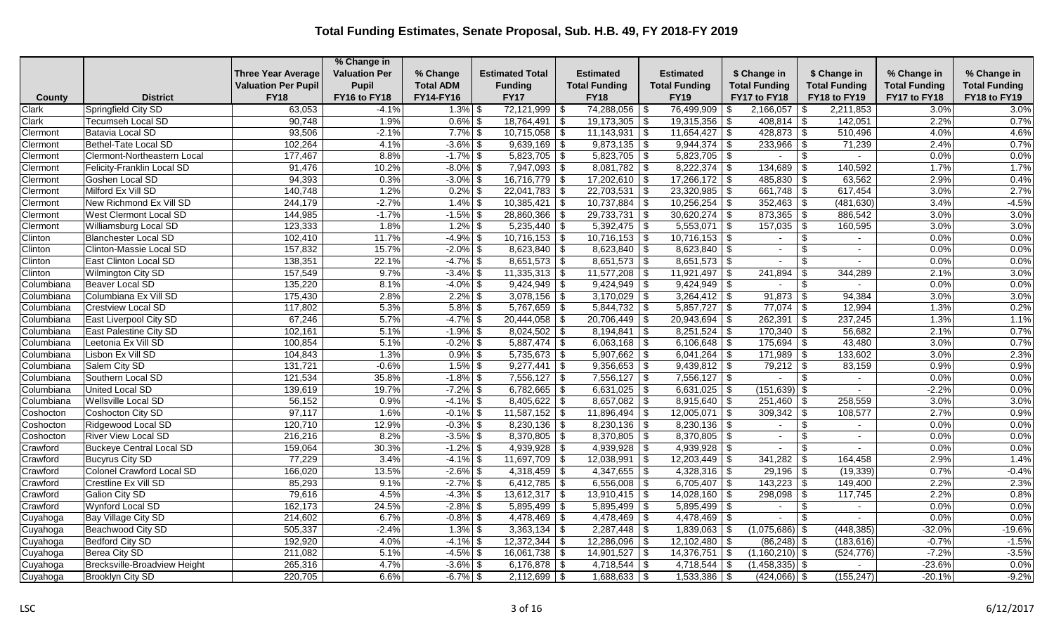|            |                                 |                            | % Change in          |                  |                           |                      |                      |                          |                                  |                      |                      |
|------------|---------------------------------|----------------------------|----------------------|------------------|---------------------------|----------------------|----------------------|--------------------------|----------------------------------|----------------------|----------------------|
|            |                                 | <b>Three Year Average</b>  | <b>Valuation Per</b> | % Change         | <b>Estimated Total</b>    | Estimated            | <b>Estimated</b>     | \$ Change in             | \$ Change in                     | % Change in          | % Change in          |
|            |                                 | <b>Valuation Per Pupil</b> | <b>Pupil</b>         | <b>Total ADM</b> | <b>Funding</b>            | <b>Total Funding</b> | <b>Total Funding</b> | <b>Total Funding</b>     | <b>Total Funding</b>             | <b>Total Funding</b> | <b>Total Funding</b> |
| County     | <b>District</b>                 | <b>FY18</b>                | FY16 to FY18         | FY14-FY16        | <b>FY17</b>               | <b>FY18</b>          | <b>FY19</b>          | FY17 to FY18             | FY18 to FY19                     | FY17 to FY18         | FY18 to FY19         |
| Clark      | Springfield City SD             | 63,053                     | $-4.1%$              | $1.3\%$ \$       | $72,121,999$ \$           | 74,288,056           | 76,499,909 \$<br>-\$ | 2,166,057                | 2,211,853<br>  S                 | 3.0%                 | 3.0%                 |
| Clark      | <b>Tecumseh Local SD</b>        | 90,748                     | 1.9%                 | $0.6\%$ \$       | $18,764,491$ \$           | $19,173,305$ \$      | $19,315,356$ \$      | $408,814$ \\$            | 142,051                          | 2.2%                 | 0.7%                 |
| Clermont   | <b>Batavia Local SD</b>         | 93,506                     | $-2.1%$              | $7.7\%$ \$       | $10,715,058$ \$           | $11,143,931$ \$      | $11,654,427$ \$      | 428,873                  | 510,496<br><b>S</b>              | 4.0%                 | 4.6%                 |
| Clermont   | <b>Bethel-Tate Local SD</b>     | 102,264                    | 4.1%                 | $-3.6\%$ \$      | $9,639,169$ \$            | $9,873,135$ \$       | $9,944,374$ \$       | $233,966$ \$             | 71,239                           | 2.4%                 | 0.7%                 |
| Clermont   | Clermont-Northeastern Local     | 177,467                    | 8.8%                 | $-1.7\%$ \$      | $5,823,705$ \$            | $5,823,705$ \$       | $5,823,705$ \$       | $\sim$                   | \$<br>$\sim$                     | 0.0%                 | 0.0%                 |
| Clermont   | Felicity-Franklin Local SD      | 91,476                     | 10.2%                | $-8.0\%$ \$      | $7,947,093$ \$            | $8,081,782$ \$       | $8,222,374$ \$       | 134,689                  | 140,592<br>-\$                   | 1.7%                 | 1.7%                 |
| Clermont   | Goshen Local SD                 | 94,393                     | 0.3%                 | $-3.0\%$ \$      | $16,716,779$ \$           | $17,202,610$ \$      | $17,266,172$ \$      | $485,830$ \$             | 63,562                           | 2.9%                 | 0.4%                 |
| Clermont   | Milford Ex Vill SD              | 140,748                    | 1.2%                 | $0.2\%$ \$       | $22,041,783$ \$           | $22,703,531$ \$      | $23,320,985$ \$      |                          | 617,454                          | 3.0%                 | 2.7%                 |
| Clermont   | New Richmond Ex Vill SD         | 244,179                    | $-2.7%$              | $1.4\%$ \$       | $10,385,421$ \$           | $10,737,884$ \$      | $10,256,254$ \$      | 352,463                  | (481, 630)<br>l \$               | 3.4%                 | $-4.5%$              |
| Clermont   | <b>West Clermont Local SD</b>   | 144,985                    | $-1.7%$              | $-1.5\%$ \$      | $28,860,366$ \$           | $29,733,731$ \$      | $30,620,274$ \$      |                          | 886,542                          | 3.0%                 | 3.0%                 |
| Clermont   | Williamsburg Local SD           | 123,333                    | 1.8%                 | $1.2\%$ \$       | $5,235,440$ \$            | $5,392,475$ \$       | $5,553,071$ \$       | $157,035$ \$             | 160,595                          | 3.0%                 | 3.0%                 |
| Clinton    | <b>Blanchester Local SD</b>     | 102,410                    | 11.7%                | $-4.9%$ \$       | $10,716,153$ \$           | $10,716,153$ \$      | $10,716,153$ \$      | $\sim$                   | \$<br>$\sim$                     | 0.0%                 | 0.0%                 |
| Clinton    | Clinton-Massie Local SD         | 157,832                    | 15.7%                | $-2.0\%$ \$      | $8,623,840$ \$            | $8,623,840$ \$       | $8,623,840$ \$       | $\sim$                   | \$<br>$\overline{\phantom{a}}$   | 0.0%                 | 0.0%                 |
| Clinton    | East Clinton Local SD           | 138,351                    | 22.1%                | $-4.7\%$ \$      | $8,651,573$ \$            | $8,651,573$ \$       | $8,651,573$ \$       | $\sim$                   | -\$                              | 0.0%                 | 0.0%                 |
| Clinton    | Wilmington City SD              | 157,549                    | 9.7%                 | $-3.4\%$ \$      | $11,335,313$ \$           |                      | $11,921,497$ \$      | 241,894                  | 344,289<br>\$                    | 2.1%                 | 3.0%                 |
| Columbiana | Beaver Local SD                 | 135,220                    | 8.1%                 | $-4.0\%$ \$      | $9,424,949$ \$            | $9,424,949$ \$       | $9,424,949$ \$       |                          | \$<br>$\sim$                     | 0.0%                 | 0.0%                 |
| Columbiana | Columbiana Ex Vill SD           | 175,430                    | 2.8%                 | $2.2\%$ \$       | $3,078,156$ \$            | $3,170,029$ \$       | $3,264,412$ \$       | $91,873$ \$              | 94,384                           | 3.0%                 | 3.0%                 |
| Columbiana | <b>Crestview Local SD</b>       | 117,802                    | 5.3%                 | $5.8\%$ \$       | $\overline{5,767,659}$ \$ | $5,844,732$ \$       | $5,857,727$ \$       | $77,074$ \\$             | 12,994                           | 1.3%                 | 0.2%                 |
| Columbiana | East Liverpool City SD          | 67,246                     | 5.7%                 | $-4.7\%$ \$      | $20,444,058$ \$           | $20,706,449$ \$      | $20,943,694$ \$      | 262,391                  | 237,245<br>l \$                  | 1.3%                 | 1.1%                 |
| Columbiana | East Palestine City SD          | 102,161                    | 5.1%                 | $-1.9\%$ \$      | $8,024,502$ \$            | $8,194,841$ \$       | $8,251,524$ \$       |                          | 56,682                           | 2.1%                 | 0.7%                 |
| Columbiana | Leetonia Ex Vill SD             | 100,854                    | 5.1%                 | $-0.2\%$ \$      | $5,887,474$ \$            | $6,063,168$ \$       | $6,106,648$ \$       | $175,694$ \$             | 43,480                           | 3.0%                 | 0.7%                 |
| Columbiana | Lisbon Ex Vill SD               | 104,843                    | 1.3%                 | $0.9\%$ \$       | 5,735,673 \$              | $5,907,662$ \$       | $6,041,264$ \ \$     | 171,989                  | 133,602<br>-\$                   | 3.0%                 | 2.3%                 |
| Columbiana | Salem City SD                   | 131,721                    | $-0.6%$              | $1.5\%$ \$       | $9,277,441$ \$            | $9,356,653$ \$       | $9,439,812$ \$       | $79,212$ \$              | 83,159                           | 0.9%                 | 0.9%                 |
| Columbiana | Southern Local SD               | 121,534                    | 35.8%                | $-1.8\%$ \$      | $7,556,127$ \$            | $7,556,127$ \$       | $7,556,127$ \$       | $\sim$                   | -\$<br>$\sim$                    | 0.0%                 | 0.0%                 |
| Columbiana | <b>United Local SD</b>          | 139,619                    | 19.7%                | $-7.2\%$ \$      | $6,782,665$ \$            | $6,631,025$ \$       | $6,631,025$ \$       | $(151, 639)$ \$          | $\sim$                           | $-2.2%$              | 0.0%                 |
| Columbiana | Wellsville Local SD             | 56,152                     | 0.9%                 | $-4.1\%$ \$      | $8,405,622$ \$            | $8,657,082$ \$       | $8,915,640$ \$       | 251,460                  | 258,559<br>-\$                   | 3.0%                 | 3.0%                 |
| Coshocton  | Coshocton City SD               | 97,117                     | 1.6%                 | $-0.1\%$ \$      | $11,587,152$ \$           | $11,896,494$ \$      | $12,005,071$ \$      | $309,342$ \$             | 108,577                          | 2.7%                 | 0.9%                 |
| Coshocton  | Ridgewood Local SD              | 120,710                    | 12.9%                | $-0.3\%$ \$      | $8,230,136$ \\$           | $8,230,136$ \$       | $8,230,136$ \$       | $\sim$                   | \$<br>$\blacksquare$             | 0.0%                 | 0.0%                 |
| Coshocton  | <b>River View Local SD</b>      | 216,216                    | 8.2%                 | $-3.5\%$ \$      | $8,370,805$ \$            | $8,370,805$ \$       | $8,370,805$ \$       | $\overline{\phantom{a}}$ | $\mathfrak{L}$<br>$\blacksquare$ | 0.0%                 | 0.0%                 |
| Crawford   | <b>Buckeye Central Local SD</b> | 159,064                    | 30.3%                | $-1.2\%$ \$      | $4,939,928$ \$            | $4,939,928$ \$       | $4,939,928$ \$       | $\sim$                   | \$<br>$\sim$                     | 0.0%                 | 0.0%                 |
| Crawford   | <b>Bucyrus City SD</b>          | 77,229                     | 3.4%                 | $-4.1\%$ \$      | $11,697,709$ \$           | $12,038,991$ \$      | $12,203,449$ \\$     | 341,282                  | 164,458<br>\$                    | 2.9%                 | 1.4%                 |
| Crawford   | Colonel Crawford Local SD       | 166,020                    | 13.5%                | $-2.6\%$ \$      | $4,318,459$ \\$           | $4,347,655$ \$       | $4,328,316$ \$       | 29,196                   | (19, 339)<br>\$                  | 0.7%                 | $-0.4%$              |
| Crawford   | Crestline Ex Vill SD            | 85,293                     | 9.1%                 | $-2.7%$ \$       | $6,412,785$ \$            | $6,556,008$ \$       | $6,705,407$ \$       |                          | 149,400                          | 2.2%                 | 2.3%                 |
| Crawford   | <b>Galion City SD</b>           | 79,616                     | 4.5%                 | $-4.3\%$ \$      | $13,612,317$ \$           | $13,910,415$ \$      | $14,028,160$ \$      | $298,098$ \$             | 117,745                          | 2.2%                 | 0.8%                 |
| Crawford   | Wynford Local SD                | 162,173                    | 24.5%                | $-2.8\%$ \$      | $5,895,499$ \$            | $5,895,499$ \$       | 5,895,499 \$         | $\overline{a}$           | -\$<br>$\overline{\phantom{a}}$  | 0.0%                 | 0.0%                 |
| Cuyahoga   | Bay Village City SD             | 214,602                    | 6.7%                 | $-0.8\%$ \$      | $4,478,469$ \$            | $4,478,469$ \$       | $4,478,469$ \\$      |                          | -\$                              | 0.0%                 | 0.0%                 |
| Cuyahoga   | Beachwood City SD               | 505,337                    | $-2.4%$              | $1.3\%$ \$       | $3,363,134$ \$            | $2,287,448$ \$       | $1,839,063$ \$       | $(1,075,686)$ \$         | (448, 385)                       | $-32.0%$             | $-19.6%$             |
| Cuyahoga   | Bedford City SD                 | 192,920                    | 4.0%                 | $-4.1\%$ \$      | $12,372,344$ \ \\$        | $12,286,096$ \$      | $12,102,480$ \ \$    | $(86,248)$ \$            | (183, 616)                       | $-0.7%$              | $-1.5%$              |
| Cuyahoga   | Berea City SD                   | 211,082                    | 5.1%                 | $-4.5\%$ \$      | $16,061,738$ \$           | $14,901,527$ \$      | $14,376,751$ \$      | $(1,160,210)$ \$         | (524, 776)                       | $-7.2%$              | $-3.5%$              |
| Cuyahoga   | Brecksville-Broadview Height    | 265,316                    | 4.7%                 | $-3.6\%$ \$      | $6,176,878$ \ \$          | $4,718,544$ \ \\$    | $4,718,544$ \\$      | $(1,458,335)$ \$         |                                  | $-23.6%$             | 0.0%                 |
| Cuyahoga   | <b>Brooklyn City SD</b>         | 220,705                    | 6.6%                 | $-6.7\%$ \$      | $2,112,699$ \$            | $1,688,633$ \$       | $1,533,386$ \$       | $(424,066)$ \$           | (155, 247)                       | $-20.1%$             | $-9.2%$              |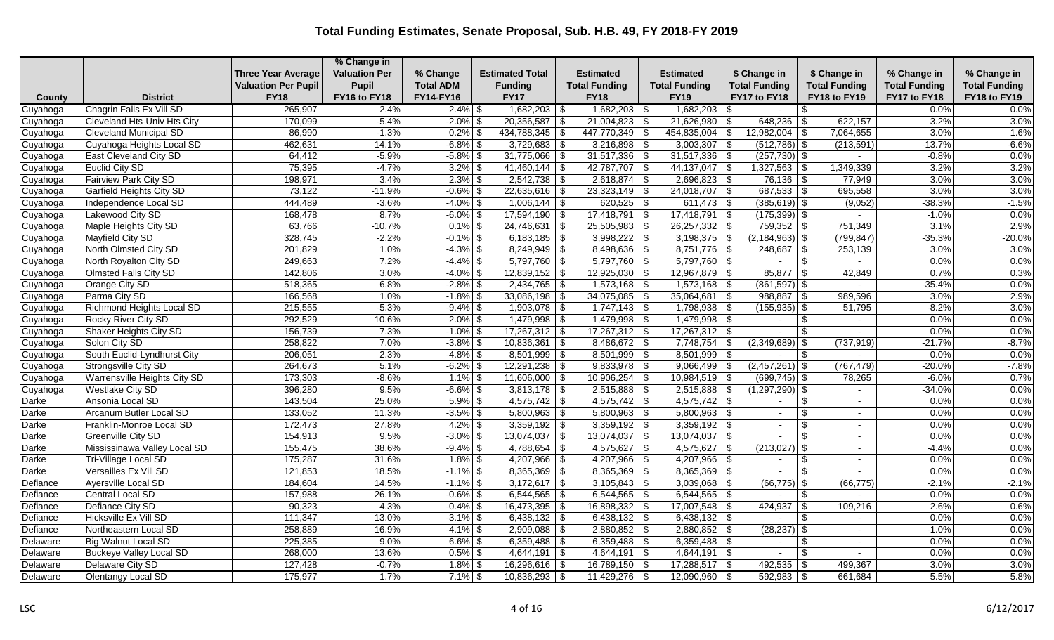|          |                                    |                            | % Change in          |                  |                        |                          |                         |                          |      |                      |               |                      |                      |                      |
|----------|------------------------------------|----------------------------|----------------------|------------------|------------------------|--------------------------|-------------------------|--------------------------|------|----------------------|---------------|----------------------|----------------------|----------------------|
|          |                                    | <b>Three Year Average</b>  | <b>Valuation Per</b> | % Change         | <b>Estimated Total</b> |                          | <b>Estimated</b>        | <b>Estimated</b>         |      | \$ Change in         |               | \$ Change in         | % Change in          | % Change in          |
|          |                                    | <b>Valuation Per Pupil</b> | Pupil                | <b>Total ADM</b> | <b>Funding</b>         |                          | <b>Total Funding</b>    | <b>Total Funding</b>     |      | <b>Total Funding</b> |               | <b>Total Funding</b> | <b>Total Funding</b> | <b>Total Funding</b> |
| County   | <b>District</b>                    | <b>FY18</b>                | FY16 to FY18         | FY14-FY16        | <b>FY17</b>            |                          | <b>FY18</b>             | <b>FY19</b>              |      | FY17 to FY18         |               | FY18 to FY19         | FY17 to FY18         | FY18 to FY19         |
| Cuyahoga | Chagrin Falls Ex Vill SD           | 265,907                    | 2.4%                 | $2.4\%$ \$       | 1,682,203              | -\$                      | $1,682,203$ \$          | 1,682,203                | - \$ |                      | \$            | $\sim$               | 0.0%                 | 0.0%                 |
| Cuyahoga | <b>Cleveland Hts-Univ Hts City</b> | 170,099                    | $-5.4%$              | $-2.0\%$ \$      | 20,356,587             | l \$                     | $21,004,823$ \$         | $21,626,980$ \$          |      | 648,236              | \$            | 622,157              | 3.2%                 | 3.0%                 |
| Cuyahoga | <b>Cleveland Municipal SD</b>      | 86,990                     | $-1.3%$              | $0.2\%$ \$       | 434,788,345            | $\overline{\$}$          | $447,770,349$ \$        | $454,835,004$ \$         |      | 12,982,004           | - 35          | 7,064,655            | 3.0%                 | 1.6%                 |
| Cuyahoga | Cuyahoga Heights Local SD          | 462,631                    | 14.1%                | $-6.8\%$ \$      | $3,729,683$ \$         |                          | $3,216,898$ \$          | $3,003,307$ \$           |      | $(512,786)$ \$       |               | (213, 591)           | $-13.7%$             | $-6.6%$              |
| Cuyahoga | <b>East Cleveland City SD</b>      | 64,412                     | $-5.9%$              | $-5.8\%$ \$      | 31,775,066             | -\$                      | $31,517,336$ \$         | $31,517,336$ \$          |      | $(257, 730)$ \$      |               |                      | $-0.8%$              | 0.0%                 |
| Cuyahoga | Euclid City SD                     | 75,395                     | $-4.7%$              | $3.2\%$ \$       | 41,460,144             | \$                       | $42,787,707$ \$         | 44,137,047 $\frac{1}{3}$ |      | 1,327,563            | -\$           | 1,349,339            | 3.2%                 | 3.2%                 |
| Cuyahoga | <b>Fairview Park City SD</b>       | 198,971                    | 3.4%                 | $2.3\%$ \$       | $2,542,738$ \$         |                          | $2,618,874$ \$          | $2,696,823$ \$           |      | $76,136$ \ \$        |               | 77,949               | 3.0%                 | 3.0%                 |
| Cuyahoga | <b>Garfield Heights City SD</b>    | 73,122                     | $-11.9%$             | $-0.6\%$ \$      | $22,635,616$ \$        |                          | $23,323,149$ \$         | $24,018,707$ \$          |      | $\boxed{687,533}$ \$ |               | 695,558              | 3.0%                 | 3.0%                 |
| Cuyahoga | Independence Local SD              | 444,489                    | $-3.6%$              | $-4.0\%$ \$      | $1,006,144$ \\$        |                          | $620,525$ \$            | $611,473$ \$             |      | $(385, 619)$ \$      |               | (9,052)              | $-38.3%$             | $-1.5%$              |
| Cuyahoga | Lakewood City SD                   | 168,478                    | 8.7%                 | $-6.0\%$ \$      | $17,594,190$ \$        |                          | $17,418,791$ \\$        | $17,418,791$ \\$         |      | $(175,399)$ \$       |               |                      | $-1.0%$              | 0.0%                 |
| Cuyahoga | Maple Heights City SD              | 63,766                     | $-10.7%$             | $0.1\%$ \$       | $24,746,631$ \$        |                          | $25,505,983$ \$         | $26,257,332$ \$          |      | $759,352$ \$         |               | 751,349              | 3.1%                 | 2.9%                 |
| Cuyahoga | Mayfield City SD                   | 328,745                    | $-2.2%$              | $-0.1\%$ \$      | 6,183,185              | \$                       | $3,998,222$ \$          | $3,198,375$ \$           |      | $(2, 184, 963)$ \$   |               | (799, 847)           | $-35.3%$             | $-20.0%$             |
| Cuyahoga | North Olmsted City SD              | 201,829                    | 1.0%                 | $-4.3\%$ \$      | $8,249,949$ \$         |                          | $8,498,636$ \$          | $8,751,776$ \\$          |      |                      |               | 253,139              | 3.0%                 | 3.0%                 |
| Cuyahoga | North Royalton City SD             | 249,663                    | 7.2%                 | $-4.4\%$ \$      | $5,797,760$ \$         |                          | $5,797,760$ \$          | $5,797,760$ \$           |      | $\sim$               | \$            |                      | 0.0%                 | 0.0%                 |
| Cuyahoga | <b>Olmsted Falls City SD</b>       | 142,806                    | 3.0%                 | $-4.0\%$ \$      | $12,839,152$ \$        |                          | $12,925,030$ \$         | $12,967,879$ \$          |      | 85,877               | -\$           | 42,849               | 0.7%                 | 0.3%                 |
| Cuyahoga | Orange City SD                     | 518,365                    | 6.8%                 | $-2.8\%$ \$      | $2,434,765$ \$         |                          |                         | $1,573,168$ \ \$         |      | $(861, 597)$ \$      |               | $\sim$               | $-35.4%$             | 0.0%                 |
| Cuyahoga | Parma City SD                      | 166,568                    | 1.0%                 | $-1.8\%$ \$      | $33,086,198$ \$        |                          | $34,075,085$ \$         | $35,064,681$ \$          |      | $988,887$ \$         |               | 989,596              | 3.0%                 | 2.9%                 |
| Cuyahoga | Richmond Heights Local SD          | 215,555                    | $-5.3%$              | $-9.4\%$ \$      | $1,903,078$ \$         |                          | $1,747,143$ \$          | 1,798,938 \$             |      | $(155, 935)$ \$      |               | 51,795               | $-8.2%$              | 3.0%                 |
| Cuyahoga | Rocky River City SD                | 292,529                    | 10.6%                | $2.0\%$ \$       | 1,479,998              | - \$                     | $1,479,998$ \$          | $1,479,998$ \$           |      | $\sim$               |               | $\sim$               | 0.0%                 | 0.0%                 |
| Cuyahoga | Shaker Heights City SD             | 156,739                    | 7.3%                 | $-1.0\%$ \$      | $17,267,312$ \$        |                          | $17,267,312$ \$         | $17,267,312$ \$          |      |                      | <sup>\$</sup> | $\sim$               | 0.0%                 | 0.0%                 |
| Cuyahoga | Solon City SD                      | 258,822                    | 7.0%                 | $-3.8\%$ \$      | 10,836,361             | l \$                     | $8,486,672$ \$          | $7,748,754$ \$           |      | (2,349,689)          | \$            | (737, 919)           | $-21.7%$             | $-8.7%$              |
| Cuyahoga | South Euclid-Lyndhurst City        | 206,051                    | 2.3%                 | $-4.8\%$ \$      | $8,501,999$ \$         |                          | $8,501,999$ \$          | $8,501,999$ \$           |      |                      | \$            | $\sim$               | 0.0%                 | 0.0%                 |
| Cuyahoga | Strongsville City SD               | 264,673                    | 5.1%                 | $-6.2\%$ \$      | 12,291,238             | \$                       | $9,833,978$ \$          | $9,066,499$ \$           |      | $(2,457,261)$ \$     |               | (767, 479)           | $-20.0%$             | $-7.8%$              |
| Cuyahoga | Warrensville Heights City SD       | 173,303                    | $-8.6%$              | $1.1\%$ \$       | $11,606,000$ \$        |                          | $10,906,254$ \$         | $10,984,519$ \$          |      | $(699, 745)$ \$      |               | 78,265               | $-6.0%$              | 0.7%                 |
| Cuyahoga | <b>Westlake City SD</b>            | 396,280                    | 9.5%                 | $-6.6\%$ \$      | $3,813,178$ \$         |                          | $2,515,888$ \$          | $2,515,888$ \$           |      | (1, 297, 290)        |               | $\sim$               | $-34.0%$             | 0.0%                 |
| Darke    | Ansonia Local SD                   | 143,504                    | 25.0%                | $5.9\%$ \$       | 4,575,742              | \$                       | 4,575,742 $\frac{1}{9}$ | 4,575,742 $\frac{1}{9}$  |      |                      |               |                      | 0.0%                 | 0.0%                 |
| Darke    | Arcanum Butler Local SD            | 133,052                    | 11.3%                | $-3.5\%$ \$      | $5,800,963$ \$         |                          | $5,800,963$ \$          | $5,800,963$ \$           |      | $\sim$               | \$            | $\sim$               | 0.0%                 | 0.0%                 |
| Darke    | Franklin-Monroe Local SD           | 172,473                    | 27.8%                | $4.2\%$ \$       | $3,359,192$ \$         |                          | $3,359,192$ \$          | $3,359,192$ \$           |      | $\sim$               | \$            | $\sim$               | 0.0%                 | 0.0%                 |
| Darke    | <b>Greenville City SD</b>          | 154,913                    | 9.5%                 | $-3.0\%$ \$      | 13,074,037             | \$                       | $13,074,037$ \$         | 13,074,037               | \$   |                      |               | $\blacksquare$       | 0.0%                 | 0.0%                 |
| Darke    | Mississinawa Valley Local SD       | 155,475                    | 38.6%                | $-9.4\%$ \$      | 4,788,654              | l \$                     | 4,575,627 $\frac{1}{3}$ | $4,575,627$ \$           |      | (213, 027)           | -\$           | $\sim$               | $-4.4%$              | 0.0%                 |
| Darke    | Tri-Village Local SD               | 175,287                    | 31.6%                | $1.8\%$ \$       | 4,207,966              | \$                       | $4,207,966$ \$          | $4,207,966$ \$           |      |                      |               |                      | 0.0%                 | 0.0%                 |
| Darke    | Versailles Ex Vill SD              | 121,853                    | 18.5%                | $-1.1\%$ \$      | 8,365,369              | $\overline{\$}$          | $8,365,369$ \$          | $8,365,369$ \$           |      |                      |               |                      | 0.0%                 | 0.0%                 |
| Defiance | Ayersville Local SD                | 184,604                    | 14.5%                | $-1.1\%$ \$      | $3,172,617$ \$         |                          | $3,105,843$ \$          | $3,039,068$ \$           |      | $(66, 775)$ \$       |               | (66, 775)            | $-2.1%$              | $-2.1%$              |
| Defiance | Central Local SD                   | 157,988                    | 26.1%                | $-0.6\%$ \$      | 6,544,565              | $\overline{\mathcal{S}}$ | $6,544,565$ \$          | $6,544,565$ \$           |      | $\sim$               | \$            | $\sim$               | 0.0%                 | 0.0%                 |
| Defiance | Defiance City SD                   | 90,323                     | 4.3%                 | $-0.4%$ \$       | 16,473,395             | \$                       | $16,898,332$ \$         | $17,007,548$ \\$         |      | 424,937              | -\$           | 109,216              | 2.6%                 | 0.6%                 |
| Defiance | Hicksville Ex Vill SD              | 111,347                    | 13.0%                | $-3.1\%$ \$      | $6,438,132$ \$         |                          | $6,438,132$ \$          | $6,438,132$ \$           |      |                      | <sup>\$</sup> | $\sim$               | 0.0%                 | 0.0%                 |
| Defiance | Northeastern Local SD              | 258,889                    | 16.9%                | $-4.1\%$ \$      | $2,909,088$ \$         |                          | $2,880,852$ \$          | $2,880,852$ \$           |      | $(28, 237)$ \$       |               | $\sim$               | $-1.0%$              | 0.0%                 |
| Delaware | Big Walnut Local SD                | 225,385                    | 9.0%                 | $6.6\%$ \$       | 6,359,488              | \$                       | $6,359,488$ \$          | $6,359,488$ \$           |      |                      |               | $\sim$               | 0.0%                 | 0.0%                 |
| Delaware | <b>Buckeye Valley Local SD</b>     | 268,000                    | 13.6%                | $0.5\%$ \$       | 4,644,191              | \$                       | $4,644,191$ \$          | $4,644,191$ \$           |      |                      | <sup>\$</sup> |                      | 0.0%                 | 0.0%                 |
| Delaware | Delaware City SD                   | 127,428                    | $-0.7%$              | $1.8\%$ \$       | $16,296,616$ \$        |                          | $16,789,150$ \$         | $17,288,517$ \\$         |      | 492,535              | - \$          | 499,367              | 3.0%                 | 3.0%                 |
| Delaware | <b>Olentangy Local SD</b>          | 175,977                    | 1.7%                 | $7.1\%$ \$       | $10,836,293$ \$        |                          | $11,429,276$ \\$        | $12,090,960$ \$          |      | 592,983              | -\$           | 661,684              | 5.5%                 | 5.8%                 |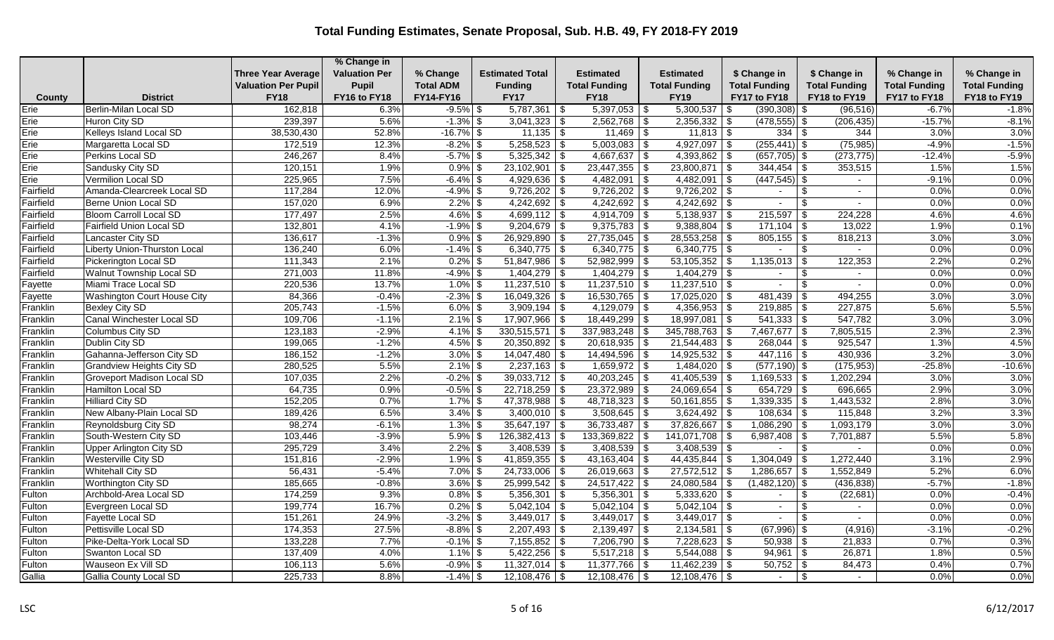|           |                                   |                            | % Change in          |                  |                           |                               |                          |                         |                                |                      |                      |
|-----------|-----------------------------------|----------------------------|----------------------|------------------|---------------------------|-------------------------------|--------------------------|-------------------------|--------------------------------|----------------------|----------------------|
|           |                                   | <b>Three Year Average</b>  | <b>Valuation Per</b> | % Change         | <b>Estimated Total</b>    | Estimated                     | <b>Estimated</b>         | \$ Change in            | \$ Change in                   | % Change in          | % Change in          |
|           |                                   | <b>Valuation Per Pupil</b> | Pupil                | <b>Total ADM</b> | <b>Funding</b>            | <b>Total Funding</b>          | <b>Total Funding</b>     | <b>Total Funding</b>    | <b>Total Funding</b>           | <b>Total Funding</b> | <b>Total Funding</b> |
| County    | <b>District</b>                   | <b>FY18</b>                | FY16 to FY18         | FY14-FY16        | <b>FY17</b>               | <b>FY18</b>                   | <b>FY19</b>              | FY17 to FY18            | FY18 to FY19                   | FY17 to FY18         | FY18 to FY19         |
| Erie      | <b>Berlin-Milan Local SD</b>      | 162,818                    | 6.3%                 | $-9.5%$ \$       | 5,787,361                 | $5,397,053$ \\$<br>$\vert$ \$ | 5,300,537                | $(390, 308)$ \$<br>l \$ | (96, 516)                      | $-6.7%$              | $-1.8%$              |
| Erie      | Huron City SD                     | 239,397                    | 5.6%                 | $-1.3\%$ \$      | $3,041,323$ \$            | $2,562,768$ \$                | $2,356,332$ \$           | $(478, 555)$ \$         | (206, 435)                     | $-15.7%$             | $-8.1%$              |
| Erie      | Kelleys Island Local SD           | 38,530,430                 | 52.8%                | $-16.7\%$ \$     | $11,135$ \$               | $11,469$ \ \$                 | $11,813$ \$              |                         | 344                            | 3.0%                 | 3.0%                 |
| Erie      | Margaretta Local SD               | 172,519                    | 12.3%                | $-8.2\%$ \$      | $5,258,523$ \$            | $5,003,083$ \$                | $4,927,097$ \$           | $(255, 441)$ \$         | (75, 985)                      | $-4.9%$              | $-1.5%$              |
| Erie      | Perkins Local SD                  | 246,267                    | 8.4%                 | $-5.7\%$ \$      | $5,325,342$ \\$           | 4,667,637 $\frac{1}{3}$       | 4,393,862   \$           | $(657, 705)$ \$         | (273, 775)                     | $-12.4%$             | $-5.9%$              |
| Erie      | Sandusky City SD                  | 120,151                    | 1.9%                 | $0.9\%$ \$       | $23,102,901$ \$           |                               | $23,800,871$ \\$         | 344,454                 | 353,515<br>-\$                 | 1.5%                 | 1.5%                 |
| Erie      | <b>Vermilion Local SD</b>         | 225,965                    | 7.5%                 | $-6.4\%$ \$      | $4,929,636$ \$            | $4,482,091$ \$                | $4,482,091$ \$           | $(447, 545)$ \$         | $\sim$                         | $-9.1%$              | 0.0%                 |
| Fairfield | Amanda-Clearcreek Local SD        | 117,284                    | 12.0%                | $-4.9\%$ \$      | $9,726,202$ \$            | $9,726,202$ \$                | $9,726,202$ \$           | $\sim$                  | \$<br>$\overline{\phantom{a}}$ | 0.0%                 | 0.0%                 |
| Fairfield | <b>Berne Union Local SD</b>       | 157,020                    | 6.9%                 | $2.2\%$ \$       | $4,242,692$ \$            | $4,242,692$ \$                | $4,242,692$ \$           |                         | <sup>\$</sup><br>$\sim$        | 0.0%                 | 0.0%                 |
| Fairfield | <b>Bloom Carroll Local SD</b>     | 177,497                    | 2.5%                 | $4.6\%$ \$       | $4,699,112$ \$            | 4,914,709 $\frac{1}{3}$       | $5,138,937$ \$           | 215,597                 | 224,228<br>-\$                 | 4.6%                 | 4.6%                 |
| Fairfield | <b>Fairfield Union Local SD</b>   | 132,801                    | 4.1%                 | $-1.9\%$ \$      | $9,204,679$ \$            | $9,375,783$ \$                | $9,388,804$ \$           | $\boxed{171,104}$ \$    | 13,022                         | 1.9%                 | 0.1%                 |
| Fairfield | Lancaster City SD                 | 136,617                    | $-1.3%$              | $0.9\%$ \$       | $26,929,890$ \$           | $27,735,045$ \$               | $28,553,258$ \\$         | 805,155                 | 818,213<br>-\$                 | 3.0%                 | 3.0%                 |
| Fairfield | Liberty Union-Thurston Local      | 136,240                    | 6.0%                 | $-1.4\%$ \$      | $6,340,775$ \$            | $6,340,775$ \$                | $6,340,775$ \$           |                         | \$                             | 0.0%                 | 0.0%                 |
| Fairfield | <b>Pickerington Local SD</b>      | 111,343                    | 2.1%                 | $0.2\%$ \$       | $51,847,986$ \$           | $52,982,999$ \$               | $53,105,352$ \$          | 1,135,013               | 122,353<br>l \$                | 2.2%                 | 0.2%                 |
| Fairfield | <b>Walnut Township Local SD</b>   | 271,003                    | 11.8%                | $-4.9%$ \$       | $1,404,279$ \\$           | $1,404,279$ \$                | $1,404,279$ \$           | $\sim$                  | \$<br>$\overline{\phantom{0}}$ | 0.0%                 | 0.0%                 |
| Fayette   | Miami Trace Local SD              | 220,536                    | 13.7%                | $1.0\%$ \$       | $11,237,510$ \$           | $11,237,510$ \$               | $11,237,510$ \$          |                         | $\mathfrak{L}$<br>$\sim$       | 0.0%                 | 0.0%                 |
| Fayette   | Washington Court House City       | 84,366                     | $-0.4%$              | $-2.3\%$ \$      | $16,049,326$ \$           | $16,530,765$ \$               | $17,025,020$ \$          | 481,439                 | 494,255<br>-\$                 | 3.0%                 | 3.0%                 |
| Franklin  | <b>Bexley City SD</b>             | 205,743                    | $-1.5%$              | $6.0\%$ \$       | $\overline{3,909,194}$ \$ | 4,129,079 $\frac{1}{9}$       | $4,356,953$ \$           | 219,885                 | 227,875<br>l \$                | 5.6%                 | 5.5%                 |
| Franklin  | Canal Winchester Local SD         | 109,706                    | $-1.1%$              | $2.1\%$ \$       | $17,907,966$ \$           | $18,449,299$ \$               | $18,997,081$ \$          |                         | 547,782                        | 3.0%                 | 3.0%                 |
| Franklin  | Columbus City SD                  | 123,183                    | $-2.9%$              | $4.1\%$ \$       | $330,515,571$ \$          | $337,983,248$ \$              | $345,788,763$ \$         | $7,467,677$ \\$         | 7,805,515                      | 2.3%                 | 2.3%                 |
| Franklin  | Dublin City SD                    | 199,065                    | $-1.2%$              | $4.5\%$ \$       | $20,350,892$ \$           | $20,618,935$ \$               | $\boxed{21,544,483}$ \\$ | $268,044$ \ \$          | 925,547                        | 1.3%                 | 4.5%                 |
| Franklin  | Gahanna-Jefferson City SD         | 186,152                    | $-1.2%$              | $3.0\%$ \$       | $14,047,480$ \$           | $14,494,596$ \\$              | $14,925,532$ \$          | $447,116$ \\$           | 430,936                        | 3.2%                 | 3.0%                 |
| Franklin  | <b>Grandview Heights City SD</b>  | 280,525                    | 5.5%                 | $2.1\%$ \$       | $2,237,163$ \$            | $1,659,972$ \$                | $1,484,020$ \$           | $(577, 190)$ \$         | (175, 953)                     | $-25.8%$             | $-10.6%$             |
| Franklin  | <b>Groveport Madison Local SD</b> | 107,035                    | 2.2%                 | $-0.2\%$ \$      | $39,033,712$ \$           | $40,203,245$ \$               | $41,405,539$ \$          | $1,169,533$ \$          | 1,202,294                      | 3.0%                 | 3.0%                 |
| Franklin  | <b>Hamilton Local SD</b>          | 64,735                     | 0.9%                 | $-0.5\%$ \$      | $22,718,259$ \$           | $23,372,989$ \$               | $24,069,654$ \$          | 654,729 $\frac{1}{9}$   | 696,665                        | 2.9%                 | 3.0%                 |
| Franklin  | <b>Hilliard City SD</b>           | 152,205                    | 0.7%                 | $1.7\%$ \$       | $47,378,988$ \$           | $48,718,323$ \$               | $50,161,855$ \$          | 1,339,335               | 1,443,532<br>- \$              | 2.8%                 | 3.0%                 |
| Franklin  | New Albany-Plain Local SD         | 189,426                    | 6.5%                 | $3.4\%$ \$       | $3,400,010$ \$            | $3,508,645$ \$                | $3,624,492$ \$           | $108,634$ \$            | 115,848                        | 3.2%                 | 3.3%                 |
| Franklin  | Reynoldsburg City SD              | 98,274                     | $-6.1%$              | $1.3\%$ \$       | $35,647,197$ \$           | $36,733,487$ \$               | $37,826,667$ \$          | $1,086,290$ \ \$        | 1,093,179                      | 3.0%                 | 3.0%                 |
| Franklin  | South-Western City SD             | 103,446                    | $-3.9%$              | $5.9\%$ \$       | $126,382,413$ \$          | $133,369,822$ \$              | $141,071,708$ \$         | 6,987,408               | 7,701,887                      | 5.5%                 | 5.8%                 |
| Franklin  | <b>Upper Arlington City SD</b>    | 295,729                    | 3.4%                 | $2.2\%$ \$       | $3,408,539$ \$            | $3,408,539$ \$                | $3,408,539$ \$           |                         | -\$                            | 0.0%                 | 0.0%                 |
| Franklin  | Westerville City SD               | 151,816                    | $-2.9%$              | $1.9\%$ \$       | 41,859,355   \$           | 43,163,404   \$               | $44,435,844$ \\$         | 1,304,049               | 1,272,440<br>-\$               | 3.1%                 | 2.9%                 |
| Franklin  | <b>Whitehall City SD</b>          | 56,431                     | $-5.4%$              | $7.0\%$ \$       | $24,733,006$ \$           | $26,019,663$ \$               | $27,572,512$ \$          | 1,286,657               | 1,552,849<br>l \$              | 5.2%                 | 6.0%                 |
| Franklin  | Worthington City SD               | 185,665                    | $-0.8%$              | $3.6\%$ \$       | $25,999,542$ \$           | $24,517,422$ \$               | $24,080,584$ \$          | $(1,482,120)$ \$        | (436, 838)                     | $-5.7%$              | $-1.8%$              |
| Fulton    | Archbold-Area Local SD            | 174,259                    | 9.3%                 | $0.8\%$ \$       | $5,356,301$ \$            | $5,356,301$ \$                | $5,333,620$ \$           | $\sim$                  | (22, 681)<br>\$                | 0.0%                 | $-0.4%$              |
| Fulton    | Evergreen Local SD                | 199,774                    | 16.7%                | $0.2\%$ \$       | $5,042,104$ \\$           | $5,042,104$ \\$               | $5,042,104$ \\$          | $\overline{a}$          | $\overline{\phantom{a}}$       | 0.0%                 | 0.0%                 |
| Fulton    | Fayette Local SD                  | 151,261                    | 24.9%                | $-3.2\%$ \$      | $3,449,017$ \$            | $3,449,017$ \$                | $3,449,017$ \$           |                         | -\$                            | 0.0%                 | 0.0%                 |
| Fulton    | Pettisville Local SD              | 174,353                    | 27.5%                | $-8.8\%$ \$      | $2,207,493$ \$            | $2,139,497$ \$                | $2,134,581$ \$           | $(67,996)$ \$           | (4,916)                        | $-3.1%$              | $-0.2%$              |
| Fulton    | Pike-Delta-York Local SD          | 133,228                    | 7.7%                 | $-0.1\%$ \$      | $7,155,852$ \$            | $7,206,790$ \$                | $7,228,623$ \$           | 50,938                  | 21,833<br>-\$                  | 0.7%                 | 0.3%                 |
| Fulton    | Swanton Local SD                  | 137,409                    | 4.0%                 | $1.1\%$ \$       | $5,422,256$ \$            | $5,517,218$ \$                | $5,544,088$ \$           | 94,961                  | 26,871<br>$\sqrt{3}$           | 1.8%                 | 0.5%                 |
| Fulton    | Wauseon Ex Vill SD                | 106,113                    | 5.6%                 | $-0.9\%$ \$      | $11,327,014$ \$           | $11,377,766$ \ \$             | $11,462,239$ \\$         | 50,752                  | 84,473<br>l \$                 | 0.4%                 | 0.7%                 |
| Gallia    | Gallia County Local SD            | 225,733                    | 8.8%                 | $-1.4\%$ \$      | $12,108,476$ \$           |                               | $12,108,476$ \ \$        |                         | \$<br>$\overline{\phantom{0}}$ | 0.0%                 | 0.0%                 |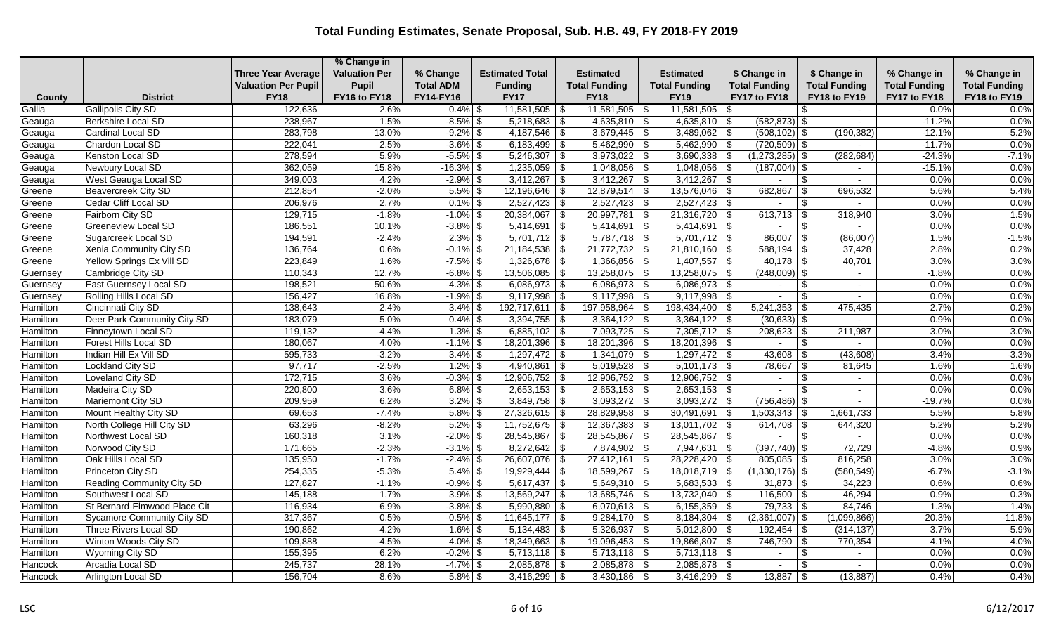|          |                                  |                            | % Change in          |                  |                            |                      |                                                |                            |                          |                      |                      |
|----------|----------------------------------|----------------------------|----------------------|------------------|----------------------------|----------------------|------------------------------------------------|----------------------------|--------------------------|----------------------|----------------------|
|          |                                  | <b>Three Year Average</b>  | <b>Valuation Per</b> | % Change         | <b>Estimated Total</b>     | Estimated            | <b>Estimated</b>                               | \$ Change in               | \$ Change in             | % Change in          | % Change in          |
|          |                                  | <b>Valuation Per Pupil</b> | Pupil                | <b>Total ADM</b> | <b>Funding</b>             | <b>Total Funding</b> | <b>Total Funding</b>                           | <b>Total Funding</b>       | <b>Total Funding</b>     | <b>Total Funding</b> | <b>Total Funding</b> |
| County   | <b>District</b>                  | <b>FY18</b>                | FY16 to FY18         | FY14-FY16        | <b>FY17</b>                | <b>FY18</b>          | <b>FY19</b>                                    | FY17 to FY18               | FY18 to FY19             | FY17 to FY18         | FY18 to FY19         |
| Gallia   | <b>Gallipolis City SD</b>        | 122,636                    | 2.6%                 | $0.4\%$ \$       | $11,581,505$ \$            | $11,581,505$ \ \$    | 11,581,505                                     | l \$                       | -S<br>$\sim$             | 0.0%                 | 0.0%                 |
| Geauga   | <b>Berkshire Local SD</b>        | 238,967                    | 1.5%                 | $-8.5\%$ \$      | $5,218,683$ \$             | $4,635,810$ \$       | $4,635,810$ \$                                 | $(582, 873)$ \$            | $\sim$                   | $-11.2%$             | 0.0%                 |
| Geauga   | Cardinal Local SD                | 283,798                    | 13.0%                | $-9.2\%$ \$      | $4,187,546$ \\$            | $3,679,445$ \$       | $3,489,062$ \$                                 | $(508, 102)$ \$            | (190, 382)               | $-12.1%$             | $-5.2%$              |
| Geauga   | Chardon Local SD                 | 222,041                    | 2.5%                 | $-3.6\%$ \$      | $6,183,499$ \$             | $5,462,990$ \$       | $5,462,990$ \$                                 | $(720, 509)$ \$            | $\overline{\phantom{0}}$ | $-11.7%$             | 0.0%                 |
| Geauga   | Kenston Local SD                 | 278,594                    | 5.9%                 | $-5.5\%$ \$      | $5,246,307$ \$             | $3,973,022$ \$       | $3,690,338$ \$                                 | $(1,273,285)$ \$           | (282, 684)               | $-24.3%$             | $-7.1%$              |
| Geauga   | Newbury Local SD                 | 362,059                    | 15.8%                | $-16.3\%$ \$     | $1,235,059$ \$             | $1,048,056$ \ \$     | $1,048,056$ \ \$                               | $(187,004)$ \$             |                          | $-15.1%$             | 0.0%                 |
| Geauga   | West Geauga Local SD             | 349,003                    | 4.2%                 | $-2.9\%$ \$      | $3,412,267$ \$             | $3,412,267$ \$       | $3,412,267$ \$                                 |                            | -\$<br>$\sim$            | 0.0%                 | 0.0%                 |
| Greene   | <b>Beavercreek City SD</b>       | 212,854                    | $-2.0%$              | $5.5\%$ \$       | $12,196,646$ \$            | $12,879,514$ \$      | $13,576,046$ \$                                | 682,867                    | 696,532<br>-\$           | 5.6%                 | 5.4%                 |
| Greene   | Cedar Cliff Local SD             | 206,976                    | 2.7%                 | $0.1\%$ \$       | $2,527,423$ \$             | $2,527,423$ \$       | $2,527,423$ \$                                 |                            | <sup>\$</sup><br>$\sim$  | 0.0%                 | 0.0%                 |
| Greene   | Fairborn City SD                 | 129,715                    | $-1.8%$              | $-1.0\%$ \$      | $20,384,067$ \$            | $20,997,781$ \$      | $21,316,720$ \$                                | 613,713   \$               | 318,940                  | 3.0%                 | 1.5%                 |
| Greene   | <b>Greeneview Local SD</b>       | 186,551                    | 10.1%                | $-3.8\%$ \$      | $5,414,691$ \$             | $5,414,691$ \$       | $5,414,691$ \$                                 | $\sim$                     | -\$<br>$\sim$            | 0.0%                 | 0.0%                 |
| Greene   | Sugarcreek Local SD              | 194,591                    | $-2.4%$              | $2.3\%$ \$       | $\overline{5,701,712}$ \\$ | $5,787,718$ \$       | $5,701,712$ \$                                 | 86,007                     | (86,007)<br>-\$          | 1.5%                 | $-1.5%$              |
| Greene   | Xenia Community City SD          | 136,764                    | 0.6%                 | $-0.1\%$ \$      | $21,184,538$ \$            | $21,772,732$ \$      | $21,810,160$ \$                                | $588,194$ \\$              | 37,428                   | 2.8%                 | 0.2%                 |
| Greene   | Yellow Springs Ex Vill SD        | 223,849                    | 1.6%                 | $-7.5\%$ \$      | $1,326,678$ \$             | $1,366,856$ \$       | $1,407,557$ \$                                 |                            | 40,701                   | 3.0%                 | 3.0%                 |
| Guernsey | Cambridge City SD                | 110,343                    | 12.7%                | $-6.8\%$ \$      | $13,506,085$ \$            | $13,258,075$ \$      | $13,258,075$ \$                                | $(248,009)$ \$             | $\sim$                   | $-1.8%$              | 0.0%                 |
| Guernsey | East Guernsey Local SD           | 198,521                    | 50.6%                | $-4.3\%$ \$      | $6,086,973$ \$             | $6,086,973$ \$       | $6,086,973$ \$                                 | $\sim$                     | $\overline{\phantom{a}}$ | 0.0%                 | 0.0%                 |
| Guernsey | Rolling Hills Local SD           | 156,427                    | 16.8%                | $-1.9\%$ \$      | $9,117,998$ \$             | $9,117,998$ \$       | $9,117,998$ \$                                 | $\sim$                     | -\$                      | 0.0%                 | 0.0%                 |
| Hamilton | Cincinnati City SD               | 138,643                    | 2.4%                 | $3.4\%$ \$       | $192,717,611$ \$           | 197,958,964          | $\boldsymbol{\mathsf{\$}}$<br>198,434,400   \$ | 5,241,353                  | 475,435<br>-\$           | 2.7%                 | 0.2%                 |
| Hamilton | Deer Park Community City SD      | 183,079                    | 5.0%                 | $0.4\%$ \$       | $3,394,755$ \$             | $3,364,122$ \$       | $3,364,122$ \$                                 | $(30,633)$ \$              |                          | $-0.9%$              | 0.0%                 |
| Hamilton | <b>Finneytown Local SD</b>       | 119,132                    | $-4.4%$              | $1.3\%$ \$       | $6,885,102$ \$             | $7,093,725$ \$       | $7,305,712$ \$                                 | $208,623$ \$               | 211,987                  | 3.0%                 | 3.0%                 |
| Hamilton | Forest Hills Local SD            | 180,067                    | 4.0%                 | $-1.1\%$ \$      | $18,201,396$ \$            | $18,201,396$ \$      | $18,201,396$ \$                                | $\sim$                     | \$<br>$\sim$             | 0.0%                 | 0.0%                 |
| Hamilton | Indian Hill Ex Vill SD           | 595,733                    | $-3.2%$              | $3.4\%$ \$       | $1,297,472$ \$             | $1,341,079$ \$       | $1,297,472$ \$                                 | 43,608                     | - \$<br>(43,608)         | 3.4%                 | $-3.3%$              |
| Hamilton | Lockland City SD                 | 97,717                     | $-2.5%$              | $1.2\%$ \$       | $4,940,861$ \$             | $5,019,528$ \$       | $5,101,173$ \$                                 | 78,667                     | 81,645<br>\$             | 1.6%                 | 1.6%                 |
| Hamilton | Loveland City SD                 | 172,715                    | 3.6%                 | $-0.3\%$ \$      | $12,906,752$ \$            | $12,906,752$ \$      | $12,906,752$ \$                                | $\sim$                     | \$<br>$\sim$             | 0.0%                 | 0.0%                 |
| Hamilton | Madeira City SD                  | 220,800                    | 3.6%                 | $6.8\%$ \$       | $2,653,153$ \$             | $2,653,153$ \$       | $2,653,153$ \$                                 | $\sim$                     | -\$<br>$\sim$            | 0.0%                 | 0.0%                 |
| Hamilton | Mariemont City SD                | 209,959                    | 6.2%                 | $3.2\%$ \$       | $3,849,758$ \\$            | $3,093,272$ \$       | $3,093,272$ \$                                 | $(756, 486)$ \$            |                          | $-19.7%$             | 0.0%                 |
| Hamilton | Mount Healthy City SD            | 69,653                     | $-7.4%$              | $5.8\%$ \$       | $27,326,615$ \$            | $28,829,958$ \$      | $30,491,691$ \$                                | $\overline{1,503,343}$ \\$ | 1,661,733                | 5.5%                 | 5.8%                 |
| Hamilton | North College Hill City SD       | 63,296                     | $-8.2%$              | $5.2\%$ \$       | $11,752,675$ \$            | $12,367,383$ \$      | $13,011,702$ \$                                |                            | 644,320                  | 5.2%                 | 5.2%                 |
| Hamilton | Northwest Local SD               | 160,318                    | 3.1%                 | $-2.0\%$ \$      | $28,545,867$ \$            | $28,545,867$ \$      | $28,545,867$ \$                                |                            | \$<br>$\sim$             | 0.0%                 | 0.0%                 |
| Hamilton | Norwood City SD                  | 171,665                    | $-2.3%$              | $-3.1\%$ \$      | $8,272,642$ \$             | $7,874,902$ \$       | 7,947,631 \$                                   | $(397, 740)$ \$            | 72,729                   | $-4.8%$              | 0.9%                 |
| Hamilton | Oak Hills Local SD               | 135,950                    | $-1.7%$              | $-2.4\%$ \$      | $26,607,076$ \$            | $27,412,161$ \$      | 28,228,420 \$                                  | $805,085$ \$               | 816,258                  | 3.0%                 | 3.0%                 |
| Hamilton | <b>Princeton City SD</b>         | 254,335                    | $-5.3%$              | $5.4\%$ \$       | $19,929,444$ \\$           | $18,599,267$ \$      | $18,018,719$ \$                                | $(1,330,176)$ \$           | (580, 549)               | $-6.7%$              | $-3.1%$              |
| Hamilton | <b>Reading Community City SD</b> | 127,827                    | $-1.1%$              | $-0.9\%$ \$      | $5,617,437$ \$             | $5,649,310$ \$       | $5,683,533$ \$                                 | $31,873$ \$                | 34,223                   | 0.6%                 | 0.6%                 |
| Hamilton | Southwest Local SD               | 145,188                    | 1.7%                 | $3.9\%$ \$       | $13,569,247$ \$            | $13,685,746$ \$      | $13,732,040$ \$                                | $116,500$ \$               | 46,294                   | 0.9%                 | 0.3%                 |
| Hamilton | St Bernard-Elmwood Place Cit     | 116,934                    | 6.9%                 | $-3.8\%$ \$      | $5,990,880$ \$             | $6,070,613$ \$       | 6,155,359 $\frac{1}{3}$                        | 79,733                     | 84,746<br>l \$           | 1.3%                 | 1.4%                 |
| Hamilton | Sycamore Community City SD       | 317,367                    | 0.5%                 | $-0.5\%$ \$      | $11,645,177$ \\$           | $9,284,170$ \\$      | $8,184,304$ \$                                 | $(2,361,007)$ \$           | (1,099,866)              | $-20.3%$             | $-11.8%$             |
| Hamilton | Three Rivers Local SD            | 190,862                    | $-4.2%$              | $-1.6\%$ \$      | $5,134,483$ \$             | $5,326,937$ \$       | $5,012,800$ \$                                 | $192,454$ \$               | (314, 137)               | 3.7%                 | $-5.9%$              |
| Hamilton | Winton Woods City SD             | 109,888                    | $-4.5%$              | $4.0\%$ \$       | $18,349,663$ \$            | $19,096,453$ \$      | 19,866,807 \$                                  | 746,790                    | 770,354<br>-\$           | 4.1%                 | 4.0%                 |
| Hamilton | Wyoming City SD                  | 155,395                    | 6.2%                 | $-0.2%$ \$       | $5,713,118$ \$             | $5,713,118$ \$       | $5,713,118$ \$                                 | $\sim$                     | \$.<br>$\sim$            | 0.0%                 | 0.0%                 |
| Hancock  | Arcadia Local SD                 | 245,737                    | 28.1%                | $-4.7\%$ \$      | $2,085,878$ \$             | $2,085,878$ \$       | $2,085,878$ \$                                 | $\sim$                     | \$                       | 0.0%                 | 0.0%                 |
| Hancock  | Arlington Local SD               | 156,704                    | 8.6%                 | $5.8\%$ \$       | $3,416,299$ \$             | $3,430,186$ \$       | $3,416,299$ \$                                 | $13,887$ \\$               | (13, 887)                | 0.4%                 | $-0.4%$              |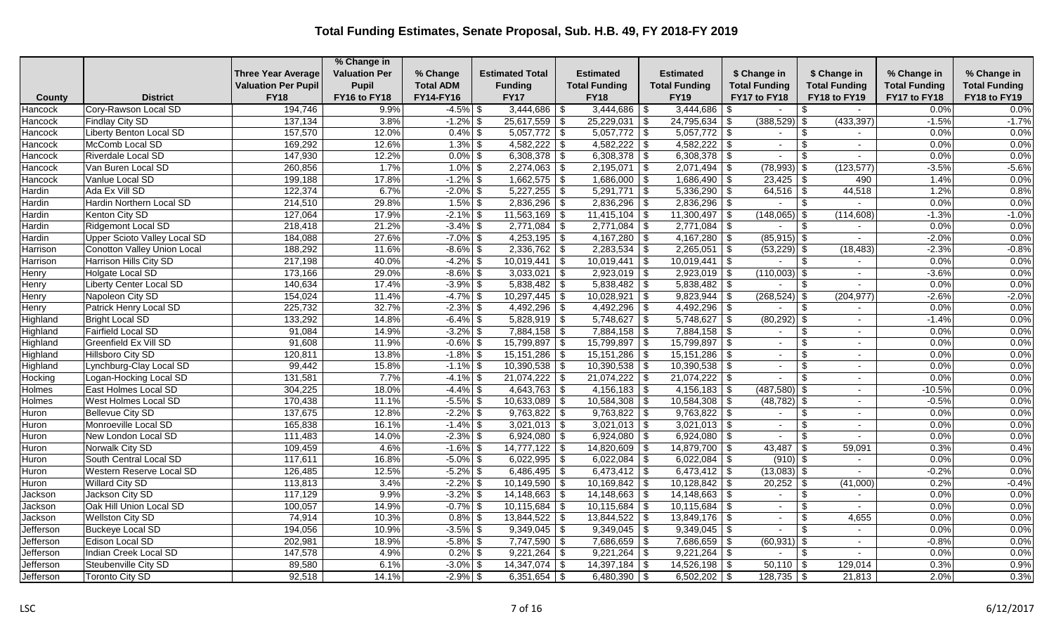|                    |                                            |                            | % Change in          |                            |                                   |                                  |                                  |                      |                                 |                      |                      |
|--------------------|--------------------------------------------|----------------------------|----------------------|----------------------------|-----------------------------------|----------------------------------|----------------------------------|----------------------|---------------------------------|----------------------|----------------------|
|                    |                                            | <b>Three Year Average</b>  | <b>Valuation Per</b> | % Change                   | <b>Estimated Total</b>            | Estimated                        | <b>Estimated</b>                 | \$ Change in         | \$ Change in                    | % Change in          | % Change in          |
|                    |                                            | <b>Valuation Per Pupil</b> | Pupil                | <b>Total ADM</b>           | <b>Funding</b>                    | <b>Total Funding</b>             | <b>Total Funding</b>             | <b>Total Funding</b> | <b>Total Funding</b>            | <b>Total Funding</b> | <b>Total Funding</b> |
| County             | <b>District</b>                            | <b>FY18</b>                | FY16 to FY18         | FY14-FY16                  | <b>FY17</b>                       | <b>FY18</b>                      | <b>FY19</b>                      | FY17 to FY18         | FY18 to FY19                    | FY17 to FY18         | FY18 to FY19         |
| Hancock            | Cory-Rawson Local SD                       | 194,746                    | 9.9%                 | $-4.5\%$ \$<br>$-1.2\%$ \$ | $3,444,686$ \$                    | 3,444,686                        | 3,444,686<br>-\$                 | l \$                 | -\$<br>$\sim$                   | 0.0%<br>$-1.5%$      | 0.0%                 |
| Hancock            | <b>Findlay City SD</b>                     | 137,134<br>157,570         | 3.8%<br>12.0%        |                            | $25,617,559$ \$                   | $25,229,031$ \$                  | $24,795,634$ \$                  | $(388, 529)$ \$      | (433, 397)<br>\$                | 0.0%                 | $-1.7%$<br>0.0%      |
| Hancock            | Liberty Benton Local SD<br>McComb Local SD |                            |                      | $0.4\%$ \$                 | $5,057,772$ \\$<br>$4,582,222$ \$ | $5,057,772$ \$<br>$4,582,222$ \$ | $5,057,772$ \$                   |                      | \$                              | 0.0%                 | 0.0%                 |
| Hancock            | Riverdale Local SD                         | 169,292<br>147,930         | 12.6%<br>12.2%       | $1.3\%$ \$<br>$0.0\%$ \$   | $6,308,378$ \$                    | $6,308,378$ \$                   | $4,582,222$ \$<br>$6,308,378$ \$ | $\sim$<br>$\sim$     | $\sim$<br>\$                    | 0.0%                 | 0.0%                 |
| Hancock            |                                            | 260,856                    | 1.7%                 | $1.0\%$ \$                 | $2,274,063$ \$                    | 2,195,071                        | $2,071,494$ \$                   | $(78,993)$ \$        | $\blacksquare$<br>(123, 577)    | $-3.5%$              | $-5.6%$              |
| Hancock<br>Hancock | Van Buren Local SD<br>Vanlue Local SD      | 199,188                    | 17.8%                | $-1.2\%$ \$                | $1,662,575$ \$                    | $1,686,000$ \$                   | $\sqrt[6]{3}$<br>$1,686,490$ \$  | $23,425$ \$          | 490                             | 1.4%                 | 0.0%                 |
| Hardin             | Ada Ex Vill SD                             | 122,374                    | 6.7%                 | $-2.0\%$ \$                | $5,227,255$ \$                    | $5,291,771$ \$                   | $5,336,290$ \$                   | $64,516$ \\$         | 44,518                          | 1.2%                 | 0.8%                 |
| Hardin             | Hardin Northern Local SD                   | 214,510                    | 29.8%                | $1.5\%$ \$                 | $2,836,296$ \$                    | $2,836,296$ \$                   | $2,836,296$ \$                   |                      | $\sqrt{2}$                      | 0.0%                 | 0.0%                 |
| Hardin             | Kenton City SD                             | 127,064                    | 17.9%                | $-2.1\%$ \$                | $11,563,169$ \$                   | $11,415,104$ \\$                 | $11,300,497$ \\$                 | $(148,065)$ \$       | (114, 608)                      | $-1.3%$              | $-1.0%$              |
| Hardin             | Ridgemont Local SD                         | 218,418                    | 21.2%                | $-3.4\%$ \$                | $2,771,084$ \$                    | $2,771,084$ \$                   | $2,771,084$ \$                   | $\sim$               | <b>S</b><br>$\sim$              | 0.0%                 | 0.0%                 |
| Hardin             | Upper Scioto Valley Local SD               | 184,088                    | 27.6%                | $-7.0\%$ \$                | $4,253,195$ \$                    | $4,167,280$ \$                   | $4,167,280$ \$                   | $(85,915)$ \$        | $\sim$                          | $-2.0%$              | 0.0%                 |
| Harrison           | Conotton Valley Union Local                | 188,292                    | 11.6%                | $-8.6\%$ \$                | $2,336,762$ \$                    | $2,283,534$ \$                   | $2,265,051$ \$                   | $(53,229)$ \$        | (18, 483)                       | $-2.3%$              | $-0.8%$              |
| Harrison           | Harrison Hills City SD                     | 217,198                    | 40.0%                | $-4.2\%$ \$                | $10,019,441$ \$                   | $10,019,441$ \$                  | $10,019,441$ \$                  | $\sim$               | - \$<br>$\sim$                  | 0.0%                 | 0.0%                 |
| Henry              | Holgate Local SD                           | 173,166                    | 29.0%                | $-8.6\%$ \$                | $3,033,021$ \$                    | $2,923,019$ \$                   | $2,923,019$ \$                   | $(110,003)$ \$       |                                 | $-3.6%$              | 0.0%                 |
| Henry              | <b>Liberty Center Local SD</b>             | 140,634                    | 17.4%                | $-3.9\%$ \$                | $5,838,482$ \$                    | $5,838,482$ \$                   | $5,838,482$ \$                   |                      |                                 | 0.0%                 | 0.0%                 |
| Henry              | Napoleon City SD                           | 154,024                    | 11.4%                | $-4.7\%$ \$                | $10,297,445$ \$                   | 10,028,921                       | \$<br>$9,823,944$ \$             | $(268, 524)$ \$      | (204, 977)                      | $-2.6%$              | $-2.0%$              |
| Henry              | Patrick Henry Local SD                     | 225,732                    | 32.7%                | $-2.3\%$ \$                | $4,492,296$ \$                    | $4,492,296$ \$                   | $4,492,296$ \$                   |                      | \$<br>$\blacksquare$            | 0.0%                 | 0.0%                 |
| Highland           | Bright Local SD                            | 133,292                    | 14.8%                | $-6.4\%$ \$                | $5,828,919$ \$                    | $5,748,627$ \$                   | $5,748,627$ \$                   | $(80, 292)$ \$       | $\sim$                          | $-1.4%$              | 0.0%                 |
| Highland           | <b>Fairfield Local SD</b>                  | 91,084                     | 14.9%                | $-3.2\%$ \$                | $7,884,158$ \$                    | $7,884,158$ \$                   | $7,884,158$ \$                   | $\sim$               | -\$<br>$\overline{\phantom{a}}$ | 0.0%                 | 0.0%                 |
| Highland           | Greenfield Ex Vill SD                      | 91,608                     | 11.9%                | $-0.6\%$ \$                | $15,799,897$ \$                   | $15,799,897$ \$                  | $15,799,897$ \$                  | $\sim$               | \$<br>$\sim$                    | 0.0%                 | 0.0%                 |
| Highland           | Hillsboro City SD                          | 120,811                    | 13.8%                | $-1.8\%$ \$                | $15,151,286$ \$                   | $15,151,286$ \$                  | $15,151,286$ \$                  | $\sim$               | \$<br>$\overline{\phantom{a}}$  | 0.0%                 | 0.0%                 |
| Highland           | Lynchburg-Clay Local SD                    | 99,442                     | 15.8%                | $-1.1\%$ \$                | $10,390,538$ \ \\$                | $10,390,538$ \ \ \$              | $10,390,538$ \$                  | $\sim$               | \$                              | 0.0%                 | 0.0%                 |
| Hocking            | Logan-Hocking Local SD                     | 131,581                    | 7.7%                 | $-4.1\%$ \$                | $21,074,222$ \$                   | $21,074,222$ \$                  | $21,074,222$ \$                  | $\sim$               | \$<br>$\sim$                    | 0.0%                 | 0.0%                 |
| <b>Holmes</b>      | East Holmes Local SD                       | 304,225                    | 18.0%                | $-4.4\%$ \$                | $4,643,763$ \$                    | $4,156,183$ \$                   | $4,156,183$ \$                   | $(487,580)$ \$       | $\sim$                          | $-10.5%$             | 0.0%                 |
| Holmes             | West Holmes Local SD                       | 170,438                    | 11.1%                | $-5.5\%$ \$                | $10,633,089$ \$                   | $10,584,308$ \$                  | $10,584,308$ \$                  | $(48, 782)$ \$       |                                 | $-0.5%$              | 0.0%                 |
| Huron              | Bellevue City SD                           | 137,675                    | 12.8%                | $-2.2\%$ \$                | $9,763,822$ \$                    | $9,763,822$ \$                   | $9,763,822$ \$                   | $\sim$               | \$<br>$\sim$                    | 0.0%                 | 0.0%                 |
| Huron              | Monroeville Local SD                       | 165,838                    | 16.1%                | $-1.4\%$ \$                | $3,021,013$ \$                    | $3,021,013$ \$                   | $3,021,013$ \$                   | $\sim$               | \$                              | $0.0\%$              | 0.0%                 |
| Huron              | New London Local SD                        | 111,483                    | 14.0%                | $-2.3\%$ \$                | $6,924,080$ \$                    | $6,924,080$ \$                   | $6,924,080$ \$                   |                      | \$                              | 0.0%                 | 0.0%                 |
| Huron              | Norwalk City SD                            | 109,459                    | 4.6%                 | $-1.6\%$ \$                | $14,777,122$ \$                   | $14,820,609$ \\$                 | $14,879,700$ \\$                 |                      | 59,091                          | 0.3%                 | 0.4%                 |
| Huron              | South Central Local SD                     | 117,611                    | 16.8%                | $-5.0\%$ \$                | $6,022,995$ \$                    | $6,022,084$ \$                   | $6,022,084$ \$                   | $(910)$ \$           | $\sim$                          | 0.0%                 | 0.0%                 |
| Huron              | <b>Western Reserve Local SD</b>            | 126,485                    | 12.5%                | $-5.2\%$ \$                | $6,486,495$ \$                    | $6,473,412$ \$                   | $6,473,412$ \$                   | $(13,083)$ \$        |                                 | $-0.2%$              | 0.0%                 |
| Huron              | <b>Willard City SD</b>                     | 113,813                    | 3.4%                 | $-2.2\%$ \$                | $10,149,590$ \$                   | $10,169,842$ \$                  | $10,128,842$ \$                  |                      | (41,000)                        | 0.2%                 | $-0.4%$              |
| Jackson            | Jackson City SD                            | 117,129                    | 9.9%                 | $-3.2\%$ \$                | $14,148,663$ \$                   | $14,148,663$ \$                  | $14,148,663$ \$                  | $\sim$               | -\$<br>$\blacksquare$           | 0.0%                 | 0.0%                 |
| Jackson            | Oak Hill Union Local SD                    | 100,057                    | 14.9%                | $-0.7\%$ \$                | $10,115,684$ \$                   |                                  | $10,115,684$ \$                  | $\sim$               | \$                              | 0.0%                 | 0.0%                 |
| Jackson            | <b>Wellston City SD</b>                    | 74,914                     | 10.3%                | $0.8\%$ \$                 | $13,844,522$ \ \\$                | $13,844,522$ \ \\$               | $13,849,176$ \\$                 | $\sim$               | \$<br>4,655                     | 0.0%                 | 0.0%                 |
| Jefferson          | <b>Buckeye Local SD</b>                    | 194,056                    | 10.9%                | $-3.5\%$ \$                | $9,349,045$ \$                    | $9,349,045$ \$                   | $9,349,045$ \$                   | $\sim$               | \$<br>$\overline{\phantom{a}}$  | 0.0%                 | 0.0%                 |
| Jefferson          | Edison Local SD                            | 202,981                    | 18.9%                | $-5.8\%$ \$                | $7,747,590$ \\$                   | $7,686,659$ \$                   | $7,686,659$ \$                   | $(60, 931)$ \$       | $\blacksquare$                  | $-0.8%$              | 0.0%                 |
| Jefferson          | Indian Creek Local SD                      | 147,578                    | 4.9%                 | $0.2\%$ \$                 | $9,221,264$ \$                    | $9,221,264$ \$                   | $9,221,264$ \$                   |                      | \$<br>$\blacksquare$            | 0.0%                 | 0.0%                 |
| Jefferson          | Steubenville City SD                       | 89,580                     | 6.1%                 | $-3.0\%$ \$                | $14,347,074$ \$                   | $14,397,184$ \$                  | $\overline{14,526,198}$ \ \$     | $50,110$   \$        | 129,014                         | 0.3%                 | 0.9%                 |
| Jefferson          | Toronto City SD                            | 92,518                     | 14.1%                | $-2.9%$ \$                 | $6,351,654$ \$                    | $6,480,390$ \$                   | $6,502,202$ \$                   | $128,735$ \\$        | 21,813                          | 2.0%                 | 0.3%                 |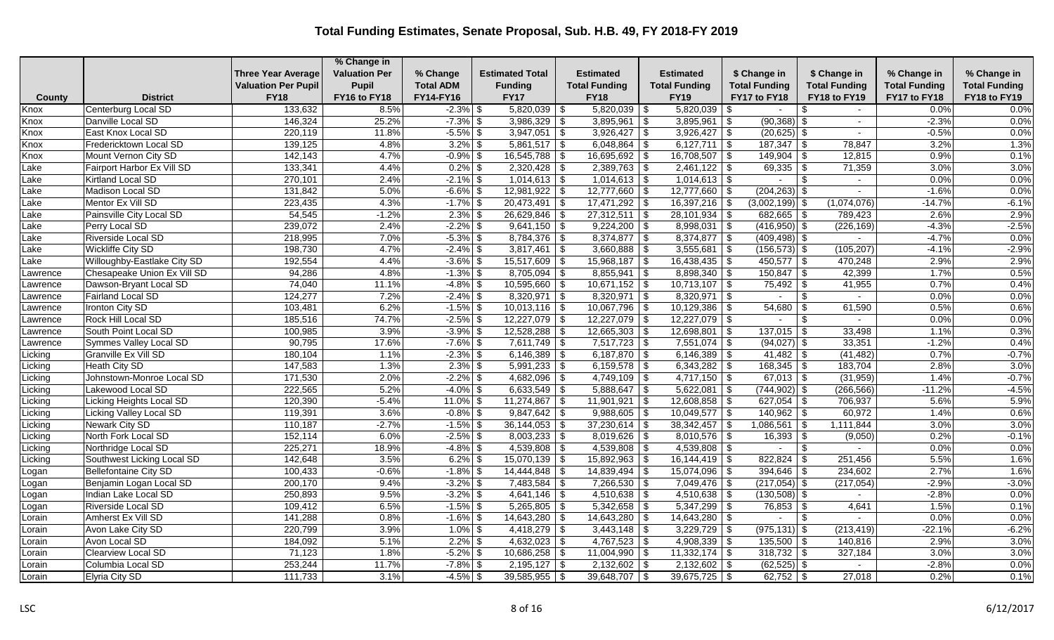|          |                             |                            | % Change in          |                  |                        |                            |                         |                      |                      |                      |                      |
|----------|-----------------------------|----------------------------|----------------------|------------------|------------------------|----------------------------|-------------------------|----------------------|----------------------|----------------------|----------------------|
|          |                             | <b>Three Year Average</b>  | <b>Valuation Per</b> | % Change         | <b>Estimated Total</b> | Estimated                  | <b>Estimated</b>        | \$ Change in         | \$ Change in         | % Change in          | % Change in          |
|          |                             | <b>Valuation Per Pupil</b> | Pupil                | <b>Total ADM</b> | <b>Funding</b>         | <b>Total Funding</b>       | <b>Total Funding</b>    | <b>Total Funding</b> | <b>Total Funding</b> | <b>Total Funding</b> | <b>Total Funding</b> |
| County   | <b>District</b>             | <b>FY18</b>                | FY16 to FY18         | FY14-FY16        | <b>FY17</b>            | <b>FY18</b>                | <b>FY19</b>             | FY17 to FY18         | FY18 to FY19         | FY17 to FY18         | FY18 to FY19         |
| Knox     | Centerburg Local SD         | 133,632                    | 8.5%                 | $-2.3\%$ \$      | $5,820,039$ \\$        | $5,820,039$ \ \$           | 5,820,039               | l \$                 | -S<br>$\sim$         | 0.0%                 | 0.0%                 |
| Knox     | Danville Local SD           | 146,324                    | 25.2%                | $-7.3\%$ \$      | $3,986,329$ \$         | $3,895,961$ \$             | $3,895,961$ \$          | $(90,368)$ \$        | $\blacksquare$       | $-2.3%$              | 0.0%                 |
| Knox     | East Knox Local SD          | 220,119                    | 11.8%                | $-5.5\%$ \$      | $3,947,051$ \$         | $3,926,427$ \$             | $3,926,427$ \$          | $(20,625)$ \$        |                      | $-0.5%$              | 0.0%                 |
| Knox     | Fredericktown Local SD      | 139,125                    | 4.8%                 | $3.2\%$ \$       | $5,861,517$ \$         | $6,048,864$ \$             | $6,127,711$ \$          | $187,347$ \\$        | 78,847               | 3.2%                 | 1.3%                 |
| Knox     | Mount Vernon City SD        | 142,143                    | 4.7%                 | $-0.9\%$ \$      | $16,545,788$ \$        | $16,695,692$ \$            | $16,708,507$ \$         | $149,904$ \\$        | 12,815               | 0.9%                 | 0.1%                 |
| Lake     | Fairport Harbor Ex Vill SD  | 133,341                    | 4.4%                 | $0.2\%$ \$       | $2,320,428$ \$         | $2,389,763$ \$             |                         | 69,335               | 71,359<br>-\$        | 3.0%                 | 3.0%                 |
| Lake     | <b>Kirtland Local SD</b>    | 270,101                    | 2.4%                 | $-2.1\%$ \$      | $1,014,613$ \$         | $1,014,613$ \$             | $1,014,613$ \$          |                      | -\$<br>$\sim$        | 0.0%                 | 0.0%                 |
| Lake     | Madison Local SD            | 131,842                    | 5.0%                 | $-6.6\%$ \$      | $12,981,922$ \$        | $12,777,660$ \$            | $12,777,660$ \$         | $(204, 263)$ \$      | $\sim$               | $-1.6%$              | 0.0%                 |
| Lake     | Mentor Ex Vill SD           | 223,435                    | 4.3%                 | $-1.7\%$ \$      | $20,473,491$ \$        | $\overline{17,471,292}$ \$ | $16,397,216$ \$         | $(3,002,199)$ \$     | (1,074,076)          | $-14.7%$             | $-6.1%$              |
| Lake     | Painsville City Local SD    | 54,545                     | $-1.2%$              | $2.3\%$ \$       | $26,629,846$ \$        | $27,312,511$ \$            | $28,101,934$ \\$        | $682,665$ \ \$       | 789,423              | 2.6%                 | 2.9%                 |
| Lake     | Perry Local SD              | 239,072                    | 2.4%                 | $-2.2\%$ \$      | $9,641,150$ \$         | $9,224,200$ \$             | $8,998,031$ \$          | $(416,950)$ \$       | (226, 169)           | $-4.3%$              | $-2.5%$              |
| Lake     | Riverside Local SD          | 218,995                    | 7.0%                 | $-5.3\%$ \$      | $8,784,376$ \\$        | $8,374,877$ \\$            | $8,374,877$ \$          | $(409, 498)$ \$      |                      | $-4.7%$              | 0.0%                 |
| Lake     | Wickliffe City SD           | 198,730                    | 4.7%                 | $-2.4\%$ \$      | $3,817,461$ \$         | $3,660,888$ \$             | $3,555,681$ \$          | $(156, 573)$ \$      | (105, 207)           | $-4.1%$              | $-2.9%$              |
| Lake     | Willoughby-Eastlake City SD | 192,554                    | 4.4%                 | $-3.6\%$ \$      | $15,517,609$ \$        | $15,968,187$ \$            | $16,438,435$ \$         | $450,577$ \\$        | 470,248              | 2.9%                 | 2.9%                 |
| Lawrence | Chesapeake Union Ex Vill SD | 94,286                     | 4.8%                 | $-1.3\%$ \$      | $8,705,094$ \$         | $8,855,941$ \$             | $8,898,340$ \$          |                      | 42,399               | 1.7%                 | 0.5%                 |
| Lawrence | Dawson-Bryant Local SD      | 74,040                     | 11.1%                | $-4.8\%$ \$      | $10,595,660$ \$        | $10,671,152$ \$            | $10,713,107$ \$         | 75,492               | 41,955               | 0.7%                 | 0.4%                 |
| Lawrence | <b>Fairland Local SD</b>    | 124,277                    | 7.2%                 | $-2.4\%$ \$      | $8,320,971$ \$         | $8,320,971$ \$             | $8,320,971$ \$          | $\sim$               | -\$<br>$\sim$        | 0.0%                 | 0.0%                 |
| Lawrence | Ironton City SD             | 103,481                    | 6.2%                 | $-1.5\%$ \$      | $10,013,116$ \$        | $10,067,796$ \$            | $10,129,386$ \ \$       | 54,680               | 61,590<br>-S         | 0.5%                 | 0.6%                 |
| Lawrence | Rock Hill Local SD          | 185,516                    | 74.7%                | $-2.5\%$ \$      | $12,227,079$ \$        | $12,227,079$ \$            | $12,227,079$ \$         |                      | -S                   | 0.0%                 | 0.0%                 |
| _awrence | South Point Local SD        | 100,985                    | 3.9%                 | $-3.9\%$ \$      | $12,528,288$ \$        | $12,665,303$ \$            | $12,698,801$ \$         | $137,015$ \$         | 33,498               | 1.1%                 | 0.3%                 |
| Lawrence | Symmes Valley Local SD      | 90,795                     | 17.6%                | $-7.6\%$ \$      | $7,611,749$ \$         | $7,517,723$ \$             | $7,551,074$ \$          | $(94, 027)$ \$       | 33,351               | $-1.2%$              | 0.4%                 |
| Licking  | Granville Ex Vill SD        | 180,104                    | 1.1%                 | $-2.3\%$ \$      | $6,146,389$ \$         | 6,187,870 $\frac{1}{9}$    | 6,146,389 $\frac{1}{9}$ | 41,482               | (41, 482)<br>-\$     | 0.7%                 | $-0.7%$              |
| Licking  | Heath City SD               | 147,583                    | 1.3%                 | $2.3\%$ \$       | $5,991,233$ \$         | $6,159,578$ \$             | $6,343,282$ \$          | $168,345$ \\$        | 183,704              | 2.8%                 | 3.0%                 |
| Licking  | Johnstown-Monroe Local SD   | 171,530                    | 2.0%                 | $-2.2\%$ \$      | $4,682,096$ \$         | $4,749,109$ \$             | $4,717,150$ \$          | $67,013$ \$          | (31, 959)            | 1.4%                 | $-0.7%$              |
| Licking  | Lakewood Local SD           | 222,565                    | 5.2%                 | $-4.0\%$ \$      | $6,633,549$ \$         | $5,888,647$ \$             | $5,622,081$ \$          | $(744, 902)$ \$      | (266, 566)           | $-11.2%$             | $-4.5%$              |
| Licking  | Licking Heights Local SD    | 120,390                    | $-5.4%$              | $11.0\%$ \$      | $11,274,867$ \$        | $11,901,921$ \$            | $12,608,858$ \$         | 627,054              | 706,937<br>-\$       | 5.6%                 | 5.9%                 |
| Licking  | Licking Valley Local SD     | 119,391                    | 3.6%                 | $-0.8\%$ \$      | $9,847,642$ \$         | $9,988,605$ \$             | $10,049,577$ \\$        | $140,962$ \$         | 60,972               | 1.4%                 | 0.6%                 |
| Licking  | Newark City SD              | 110,187                    | $-2.7%$              | $-1.5\%$ \$      | $36,144,053$ \$        | $37,230,614$ \$            | $38,342,457$ \$         | 1,086,561            | 1,111,844<br>-\$     | 3.0%                 | 3.0%                 |
| Licking  | North Fork Local SD         | 152,114                    | 6.0%                 | $-2.5\%$ \$      | $8,003,233$ \$         | $8,019,626$ \$             | $8,010,576$ \$          | 16,393               | (9,050)              | 0.2%                 | $-0.1%$              |
| Licking  | Northridge Local SD         | 225,271                    | 18.9%                | $-4.8\%$ \$      | 4,539,808 \$           | $4,539,808$ \$             | 4,539,808 \$            |                      | -\$                  | 0.0%                 | 0.0%                 |
| Licking  | Southwest Licking Local SD  | 142,648                    | 3.5%                 | $6.2\%$ \$       | $15,070,139$ \$        | $15,892,963$ \$            | $16, 144, 419$ \\$      | $822,824$ \ \$       | 251,456              | 5.5%                 | 1.6%                 |
| Logan    | Bellefontaine City SD       | 100,433                    | $-0.6%$              | $-1.8\%$ \$      | $14,444,848$ \$        | $14,839,494$ \$            | $15,074,096$ \\$        | 394,646              | 234,602<br>-\$       | 2.7%                 | 1.6%                 |
| Logan    | Benjamin Logan Local SD     | 200,170                    | 9.4%                 | $-3.2\%$ \$      | $7,483,584$ \$         | $7,266,530$ \$             | $7,049,476$ \$          | $(217,054)$ \$       | (217, 054)           | $-2.9%$              | $-3.0%$              |
| Logan    | Indian Lake Local SD        | 250,893                    | 9.5%                 | $-3.2\%$ \$      | $4,641,146$ \$         | $4,510,638$ \$             | $4,510,638$ \$          | $(130,508)$ \$       | $\sim$               | $-2.8%$              | 0.0%                 |
| Logan    | Riverside Local SD          | 109,412                    | 6.5%                 | $-1.5\%$ \$      | $5,265,805$ \$         | $5,342,658$ \\$            | $5,347,299$ \\$         | 76,853               | 4,641<br>- \$        | 1.5%                 | 0.1%                 |
| _orain   | Amherst Ex Vill SD          | 141,288                    | 0.8%                 | $-1.6\%$ \$      | $14,643,280$ \ \$      | $14,643,280$ \ \$          | $14,643,280$ \ \$       |                      | -\$                  | 0.0%                 | 0.0%                 |
| ∟orain   | <b>Avon Lake City SD</b>    | 220,799                    | 3.9%                 | $1.0\%$ \$       | $4,418,279$ \$         | $3,443,148$ \$             | $3,229,729$ \$          | $(975, 131)$ \$      | (213, 419)           | $-22.1%$             | $-6.2%$              |
| ∟orain   | Avon Local SD               | 184,092                    | 5.1%                 | $2.2\%$ \$       | $4,632,023$ \$         | $4,767,523$ \$             | $4,908,339$ \$          | 135,500              | 140,816<br><b>S</b>  | 2.9%                 | 3.0%                 |
| ∟orain   | Clearview Local SD          | 71,123                     | 1.8%                 | $-5.2\%$ \$      | $10,686,258$ \$        | $11,004,990$ \$            | $11,332,174$ \$         | $318,732$ \$         | 327,184              | 3.0%                 | 3.0%                 |
| ∟orain   | Columbia Local SD           | 253,244                    | 11.7%                | $-7.8\%$ \$      | $2,195,127$ \$         | $2,132,602$ \ \$           | $2,132,602$ \$          | $(62, 525)$ \$       |                      | $-2.8%$              | 0.0%                 |
| Lorain   | Elyria City SD              | 111,733                    | 3.1%                 | $-4.5\%$ \$      | $39,585,955$ \$        | $39,648,707$ \$            | $39,675,725$ \$         |                      | 27,018               | 0.2%                 | 0.1%                 |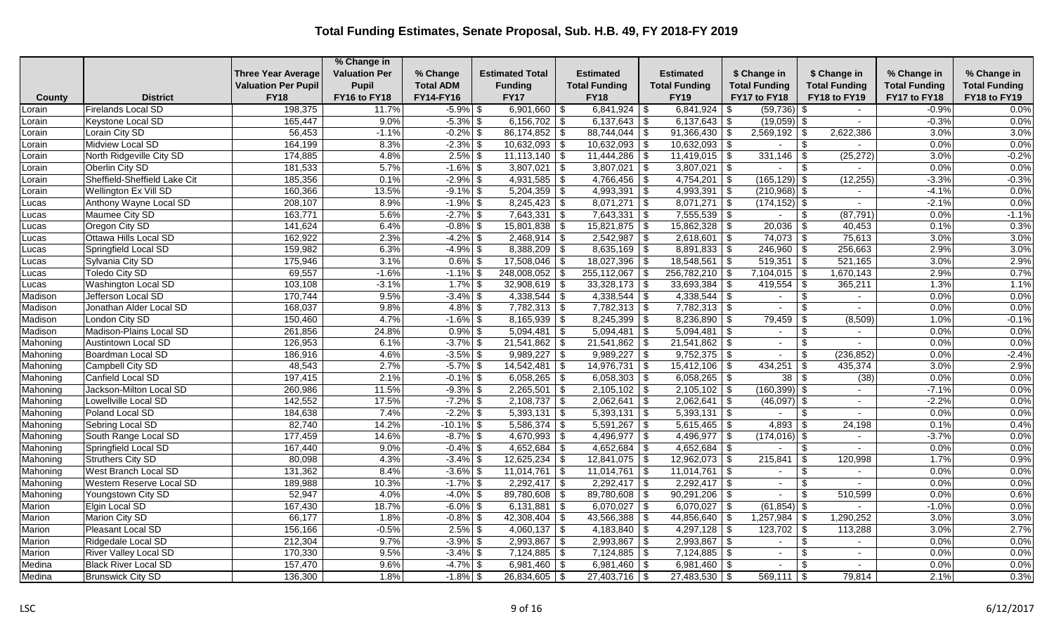|          |                                 |                            | % Change in          |                  |                        |                                             |                      |                                  |                             |                      |                      |
|----------|---------------------------------|----------------------------|----------------------|------------------|------------------------|---------------------------------------------|----------------------|----------------------------------|-----------------------------|----------------------|----------------------|
|          |                                 | <b>Three Year Average</b>  | <b>Valuation Per</b> | % Change         | <b>Estimated Total</b> | <b>Estimated</b>                            | <b>Estimated</b>     | \$ Change in                     | \$ Change in                | % Change in          | % Change in          |
|          |                                 | <b>Valuation Per Pupil</b> | Pupil                | <b>Total ADM</b> | <b>Funding</b>         | <b>Total Funding</b>                        | <b>Total Funding</b> | <b>Total Funding</b>             | <b>Total Funding</b>        | <b>Total Funding</b> | <b>Total Funding</b> |
| County   | <b>District</b>                 | <b>FY18</b>                | FY16 to FY18         | FY14-FY16        | <b>FY17</b>            | <b>FY18</b>                                 | <b>FY19</b>          | FY17 to FY18                     | FY18 to FY19                | FY17 to FY18         | FY18 to FY19         |
| Lorain   | <b>Firelands Local SD</b>       | 198,375                    | 11.7%                | $-5.9\%$ \$      | $6,901,660$ \ \$       |                                             | 6,841,924            | $(59, 736)$ \$<br>l \$           | $\sim$                      | $-0.9%$              | 0.0%                 |
| Lorain   | Keystone Local SD               | 165,447                    | 9.0%                 | $-5.3\%$ \$      | $6,156,702$ \$         | $6,137,643$ \$                              | $6,137,643$ \$       | $(19,059)$ \$                    | $\sim$                      | $-0.3%$              | 0.0%                 |
| Lorain   | Lorain City SD                  | 56,453                     | $-1.1%$              | $-0.2\%$ \$      | 86,174,852             | $88,744,044$ \$<br>\$                       | $91,366,430$ \$      | 2,569,192                        | 2,622,386                   | 3.0%                 | 3.0%                 |
| Lorain   | Midview Local SD                | 164,199                    | 8.3%                 | $-2.3\%$ \$      | $10,632,093$ \$        | $10,632,093$ \$                             | $10,632,093$ \$      |                                  | \$<br>$\sim$                | 0.0%                 | 0.0%                 |
| Lorain   | North Ridgeville City SD        | 174,885                    | 4.8%                 | $2.5\%$ \$       | $11,113,140$ \$        |                                             | $11,419,015$ \$      | 331,146                          | (25, 272)<br>-\$            | 3.0%                 | $-0.2%$              |
| Lorain   | Oberlin City SD                 | 181,533                    | 5.7%                 | $-1.6\%$ \$      | 3,807,021              | $3,807,021$ \$<br>\$                        | $3,807,021$ \$       |                                  | \$                          | 0.0%                 | 0.0%                 |
| _orain   | Sheffield-Sheffield Lake Cit    | 185,356                    | 0.1%                 | $-2.9\%$ \$      | $4,931,585$ \$         | $4,766,456$ \$                              | $4,754,201$ \$       | $(165, 129)$ \$                  | (12, 255)                   | $-3.3%$              | $-0.3%$              |
| Lorain   | Wellington Ex Vill SD           | 160,366                    | 13.5%                | $-9.1\%$ \$      | $5,204,359$ \$         | $4,993,391$ \$                              | $4,993,391$ \$       | $(210,968)$ \$                   | $\sim$                      | $-4.1%$              | 0.0%                 |
| Lucas    | Anthony Wayne Local SD          | 208,107                    | 8.9%                 | $-1.9\%$ \$      | $8,245,423$ \\$        | $8,071,271$ \$                              | $8,071,271$ \$       | $(174, 152)$ \$                  | $\blacksquare$              | $-2.1%$              | 0.0%                 |
| _ucas    | Maumee City SD                  | 163,771                    | 5.6%                 | $-2.7\%$ \$      | 7,643,331              | $\vert$ \$<br>$7,643,331$ \ \$              | $7,555,539$ \$       |                                  | (87, 791)<br>-\$            | 0.0%                 | $-1.1%$              |
| Lucas    | Oregon City SD                  | 141,624                    | 6.4%                 | $-0.8\%$ \$      | $15,801,838$ \$        | $15,821,875$ \$                             | $15,862,328$ \$      | $20,036$ \ \$                    | 40,453                      | 0.1%                 | 0.3%                 |
| Lucas    | Ottawa Hills Local SD           | 162,922                    | 2.3%                 | $-4.2\%$ \$      | $2,468,914$ \$         | $2,542,987$ \$                              | $2,618,601$ \$       | 74,073                           | 75,613<br>-\$               | 3.0%                 | 3.0%                 |
| _ucas    | Springfield Local SD            | 159,982                    | 6.3%                 | $-4.9%$ \$       | $8,388,209$ \$         | $8,635,169$ \$                              | $8,891,833$ \$       | $246,960$ \$                     | 256,663                     | 2.9%                 | 3.0%                 |
| Lucas    | Sylvania City SD                | 175,946                    | 3.1%                 | $0.6\%$ \$       | $17,508,046$ \$        | $18,027,396$ \$                             | $18,548,561$ \$      |                                  | 521,165                     | 3.0%                 | 2.9%                 |
| _ucas    | <b>Toledo City SD</b>           | 69,557                     | $-1.6%$              | $-1.1\%$ \$      | $248,008,052$ \$       | $255,112,067$ \\$                           | $256,782,210$ \$     | $7,104,015$ \$                   | 1,670,143                   | 2.9%                 | 0.7%                 |
| Lucas    | <b>Washington Local SD</b>      | 103,108                    | $-3.1%$              | $1.7\%$ \$       | $32,908,619$ \$        | $33,328,173$ \$                             | $33,693,384$ \$      | 419,554                          | 365,211<br>-\$              | 1.3%                 | 1.1%                 |
| Madison  | Jefferson Local SD              | 170,744                    | 9.5%                 | $-3.4\%$ \$      | 4,338,544              | $\sqrt{3}$<br>$4,338,544$ \$                | $4,338,544$ \$       | $\sim$                           | -\$<br>٠                    | 0.0%                 | 0.0%                 |
| Madison  | Jonathan Alder Local SD         | 168,037                    | 9.8%                 | $4.8\%$ \$       | $7,782,313$ \$         | $7,782,313$ \$                              | $7,782,313$ \$       |                                  | \$<br>$\blacksquare$        | 0.0%                 | 0.0%                 |
| Madison  | London City SD                  | 150,460                    | 4.7%                 | $-1.6\%$ \$      | $8,165,939$ \$         | $8,245,399$ \$                              | $8,236,890$ \$       | 79,459                           | (8,509)                     | 1.0%                 | $-0.1%$              |
| Madison  | Madison-Plains Local SD         | 261,856                    | 24.8%                | $0.9\%$ \$       | 5,094,481              | \$<br>$5,094,481$ \$                        | $5,094,481$ \$       | $\sim$                           | \$<br>$\blacksquare$        | 0.0%                 | 0.0%                 |
| Mahoning | <b>Austintown Local SD</b>      | 126,953                    | 6.1%                 | $-3.7\%$ \$      | $21,541,862$ \$        | $21,541,862$ \$                             | $21,541,862$ \$      | $\sim$                           | $\sim$                      | 0.0%                 | 0.0%                 |
| Mahoning | Boardman Local SD               | 186,916                    | 4.6%                 | $-3.5\%$ \$      | 9,989,227              | $\overline{\$}$<br>$9,989,227$ \$           | $9,752,375$ \$       | $\sim$                           | (236, 852)<br><sup>\$</sup> | 0.0%                 | $-2.4%$              |
| Mahoning | Campbell City SD                | 48,543                     | 2.7%                 | $-5.7\%$ \$      | 14,542,481             | $14,976,731$ \$<br>$\sqrt[6]{3}$            | $15,412,106$ \\$     | 434,251                          | 435,374<br>-\$              | 3.0%                 | 2.9%                 |
| Mahoning | Canfield Local SD               | 197,415                    | 2.1%                 | $-0.1\%$ \$      | $6,058,265$ \$         | $6,058,303$ \$                              | $6,058,265$ \$       | $38 \overline{\smash{\big)}\,5}$ | (38)                        | 0.0%                 | 0.0%                 |
| Mahoning | Jackson-Milton Local SD         | 260,986                    | 11.5%                | $-9.3\%$ \$      | 2,265,501              | \$<br>$2,105,102$ \$                        | $2,105,102$ \$       | $(160, 399)$ \$                  | $\sim$                      | $-7.1%$              | 0.0%                 |
| Mahoning | Lowellville Local SD            | 142,552                    | 17.5%                | $-7.2\%$ \$      | 2,108,737              | \$<br>$2,062,641$ \$                        | $2,062,641$ \$       | $(46,097)$ \$                    |                             | $-2.2%$              | 0.0%                 |
| Mahoning | Poland Local SD                 | 184,638                    | 7.4%                 | $-2.2\%$ \$      | $5,393,131$ \$         | $\sqrt{5,393,131}$ \ \$                     | $5,393,131$ \\$      | $\overline{\phantom{a}}$         | -\$<br>$\sim$               | 0.0%                 | 0.0%                 |
| Mahoning | Sebring Local SD                | 82,740                     | 14.2%                | $-10.1\%$ \$     | $5,586,374$ \$         | $5,591,267$ \$                              | $5,615,465$ \$       | 4,893                            | 24,198<br>-\$               | 0.1%                 | 0.4%                 |
| Mahoning | South Range Local SD            | 177,459                    | 14.6%                | $-8.7\%$ \$      | 4,670,993              | \$<br>$4,496,977$ \$                        | $4,496,977$ \$       | (174, 016)                       | -\$<br>$\sim$               | $-3.7%$              | 0.0%                 |
| Mahoning | Springfield Local SD            | 167,440                    | 9.0%                 | $-0.4\%$ \$      | 4,652,684              | $4,652,684$ \$<br>l \$                      | $4,652,684$ \$       |                                  | \$<br>$\sim$                | 0.0%                 | 0.0%                 |
| Mahoning | Struthers City SD               | 80,098                     | 4.3%                 | $-3.4\%$ \$      | 12,625,234             | \$<br>$12,841,075$ \ \$                     | $12,962,073$ \$      | 215,841                          | 120,998<br>\$               | 1.7%                 | 0.9%                 |
| Mahoning | West Branch Local SD            | 131,362                    | 8.4%                 | $-3.6\%$ \$      | 11,014,761             | \$<br>$11,014,761$ \ \$                     | $11,014,761$ \\$     |                                  | \$<br>÷.                    | 0.0%                 | 0.0%                 |
| Mahoning | <b>Western Reserve Local SD</b> | 189,988                    | 10.3%                | $-1.7\%$ \$      | $2,292,417$ \$         | $2,292,417$ \$                              | $2,292,417$ \$       | $\sim$                           | -\$<br>$\blacksquare$       | 0.0%                 | 0.0%                 |
| Mahoning | Youngstown City SD              | 52,947                     | 4.0%                 | $-4.0\%$ \$      | 89,780,608 \$          | $89,780,608$ \$                             | $90,291,206$ \$      | $\sim$                           | 510,599<br>\$               | 0.0%                 | 0.6%                 |
| Marion   | Elgin Local SD                  | 167,430                    | 18.7%                | $-6.0\%$ \$      | 6,131,881              | $6,070,027$ \$<br>$\overline{\mathfrak{s}}$ | 6,070,027 \\$        | $(61, 854)$ \$                   | $\mathbf{r}$                | $-1.0%$              | 0.0%                 |
| Marion   | Marion City SD                  | 66,177                     | 1.8%                 | $-0.8\%$ \$      | 42,308,404             | \$<br>$43,566,388$ \ \$                     | 44,856,640   \$      | 1,257,984                        | 1,290,252<br>- \$           | 3.0%                 | 3.0%                 |
| Marion   | Pleasant Local SD               | 156,166                    | $-0.5%$              | $2.5\%$ \$       | $4,060,137$ \$         | $4,183,840$ \$                              | $4,297,128$ \$       | $123,702$ \$                     | 113,288                     | 3.0%                 | 2.7%                 |
| Marion   | Ridgedale Local SD              | 212,304                    | 9.7%                 | $-3.9\%$ \$      | $2,993,867$ \$         | $2,993,867$ \$                              | $2,993,867$ \$       | $\sim$                           | \$<br>$\blacksquare$        | 0.0%                 | 0.0%                 |
| Marion   | <b>River Valley Local SD</b>    | 170,330                    | 9.5%                 | $-3.4\%$ \$      | $7,124,885$ \$         | $7,124,885$ \$                              | $7,124,885$ \$       | $\sim$                           | $\blacksquare$              | 0.0%                 | 0.0%                 |
| Medina   | <b>Black River Local SD</b>     | 157,470                    | 9.6%                 | $-4.7\%$ \$      | $6,981,460$ \$         | $6,981,460$ \$                              | $6,981,460$ \$       | $\sim$                           | - \$                        | 0.0%                 | 0.0%                 |
| Medina   | <b>Brunswick City SD</b>        | 136,300                    | 1.8%                 | $-1.8\%$ \$      | $26,834,605$ \$        | $27,403,716$ \$                             | $27,483,530$ \\$     | $569,111$ \\$                    | 79,814                      | 2.1%                 | 0.3%                 |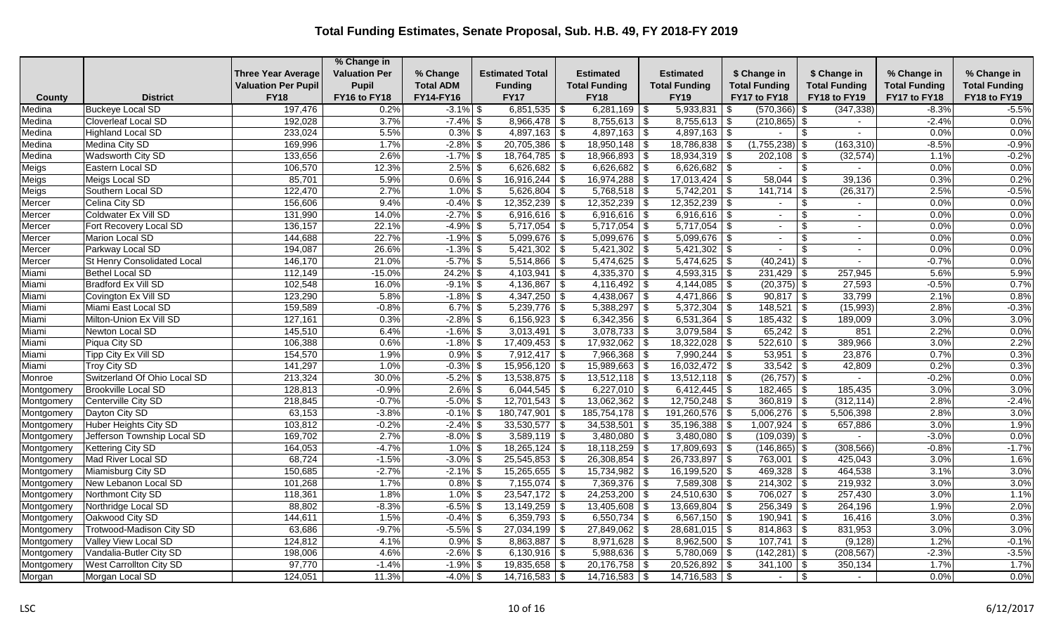|            |                                |                            | % Change in          |                  |                        |                                   |                         |                        |                                 |                      |                      |
|------------|--------------------------------|----------------------------|----------------------|------------------|------------------------|-----------------------------------|-------------------------|------------------------|---------------------------------|----------------------|----------------------|
|            |                                | <b>Three Year Average</b>  | <b>Valuation Per</b> | % Change         | <b>Estimated Total</b> | Estimated                         | <b>Estimated</b>        | \$ Change in           | \$ Change in                    | % Change in          | % Change in          |
|            |                                | <b>Valuation Per Pupil</b> | <b>Pupil</b>         | <b>Total ADM</b> | <b>Funding</b>         | <b>Total Funding</b>              | <b>Total Funding</b>    | <b>Total Funding</b>   | <b>Total Funding</b>            | <b>Total Funding</b> | <b>Total Funding</b> |
| County     | <b>District</b>                | <b>FY18</b>                | FY16 to FY18         | FY14-FY16        | <b>FY17</b>            | <b>FY18</b>                       | <b>FY19</b>             | FY17 to FY18           | FY18 to FY19                    | FY17 to FY18         | FY18 to FY19         |
| Medina     | <b>Buckeye Local SD</b>        | 197,476                    | 0.2%                 | $-3.1\%$ \$      | $6,851,535$ \$         | $6,281,169$ \\$                   | 5,933,831               | $(570,366)$ \$<br>- \$ | (347, 338)                      | $-8.3%$              | $-5.5%$              |
| Medina     | <b>Cloverleaf Local SD</b>     | 192,028                    | 3.7%                 | $-7.4\%$ \$      | $8,966,478$ \$         | $8,755,613$ \$                    | $\sqrt{8,755,613}$ \ \$ | $(210, 865)$ \$        |                                 | $-2.4%$              | 0.0%                 |
| Medina     | <b>Highland Local SD</b>       | 233,024                    | 5.5%                 | $0.3\%$ \$       | $4,897,163$ \$         | $4,897,163$ \$                    | $4,897,163$ \$          |                        | \$                              | 0.0%                 | 0.0%                 |
| Medina     | Medina City SD                 | 169,996                    | 1.7%                 | $-2.8\%$ \$      | $20,705,386$ \$        | $18,950,148$ \$                   | $18,786,838$ \\$        | (1,755,238)            | (163, 310)<br>-\$               | $-8.5%$              | $-0.9%$              |
| Medina     | Wadsworth City SD              | 133,656                    | 2.6%                 | $-1.7\%$ \$      | $18,764,785$ \$        | $18,966,893$ \$                   | $18,934,319$ \\$        | 202,108                | (32, 574)<br>\$                 | 1.1%                 | $-0.2%$              |
| Meigs      | Eastern Local SD               | 106,570                    | 12.3%                | $2.5\%$ \$       | 6,626,682              | $6,626,682$ \$<br>  \$            | $6,626,682$ \ \$        |                        | \$                              | 0.0%                 | 0.0%                 |
| Meigs      | Meigs Local SD                 | 85,701                     | 5.9%                 | $0.6\%$ \$       | $16,916,244$ \ \$      |                                   | $17,013,424$ \$         | 58,044                 | 39,136<br>-\$                   | 0.3%                 | 0.2%                 |
| Meigs      | Southern Local SD              | 122,470                    | 2.7%                 | $1.0\%$ \$       | $5,626,804$ \$         | $5,768,518$ \$                    | $5,742,201$ \$          | $141,714$ \\$          | (26, 317)                       | 2.5%                 | $-0.5%$              |
| Mercer     | Celina City SD                 | 156,606                    | 9.4%                 | $-0.4\%$ \$      | 12,352,239             | $12,352,239$ \$<br>$\sqrt{3}$     | $12,352,239$ \$         |                        | \$<br>$\sim$                    | 0.0%                 | 0.0%                 |
| Mercer     | Coldwater Ex Vill SD           | 131,990                    | 14.0%                | $-2.7%$ \$       | $6,916,616$ \$         | $6,916,616$ \$                    | $6,916,616$ \$          | $\sim$                 | $\mathfrak{S}$<br>$\sim$        | 0.0%                 | 0.0%                 |
| Mercer     | Fort Recovery Local SD         | 136,157                    | 22.1%                | $-4.9\%$ \$      | $5,717,054$ \$         | $5,717,054$ \$                    | $5,717,054$ \$          | $\sim$                 | -\$<br>$\blacksquare$           | 0.0%                 | 0.0%                 |
| Mercer     | Marion Local SD                | 144,688                    | 22.7%                | $-1.9\%$ \$      | $5,099,676$ \$         | $5,099,676$ \$                    | $5,099,676$ \$          | $\sim$                 | $\sim$                          | 0.0%                 | 0.0%                 |
| Mercer     | Parkway Local SD               | 194,087                    | 26.6%                | $-1.3\%$ \$      | 5,421,302              | $\sqrt[6]{3}$<br>$5,421,302$ \$   | $5,421,302$ \$          |                        | <sup>\$</sup><br>$\blacksquare$ | 0.0%                 | 0.0%                 |
| Mercer     | St Henry Consolidated Local    | 146,170                    | 21.0%                | $-5.7\%$ \$      | $5,514,866$ \\$        | $5,474,625$ \$                    | $5,474,625$ \$          | $(40, 241)$ \$         | $\sim$                          | $-0.7%$              | 0.0%                 |
| Miami      | Bethel Local SD                | 112,149                    | $-15.0%$             | $24.2\%$ \$      | $4,103,941$ \$         | $4,335,370$ \$                    | $4,593,315$ \$          | 231,429                | 257,945<br>- \$                 | 5.6%                 | 5.9%                 |
| Miami      | Bradford Ex Vill SD            | 102,548                    | 16.0%                | $-9.1\%$ \$      | 4,136,867              | $\overline{\$}$<br>$4,116,492$ \$ | $4,144,085$ \$          | $(20, 375)$ \$         | 27,593                          | $-0.5%$              | 0.7%                 |
| Miami      | Covington Ex Vill SD           | 123,290                    | 5.8%                 | $-1.8\%$ \$      | 4,347,250              | $\sqrt{3}$<br>$4,438,067$ \$      | $4,471,866$ \$          | $90,817$ \$            | 33,799                          | 2.1%                 | 0.8%                 |
| Miami      | Miami East Local SD            | 159,589                    | $-0.8%$              | $6.7\%$ \$       | $5,239,776$ \$         | $5,388,297$ \\$                   | $5,372,304$ \\$         | 148,521                | (15,993)<br>- \$                | 2.8%                 | $-0.3%$              |
| Miami      | Milton-Union Ex Vill SD        | 127,161                    | 0.3%                 | $-2.8\%$ \$      | $6,156,923$ \$         | $6,342,356$ \$                    | $6,531,364$ \$          | 185,432                | 189,009<br>- \$                 | 3.0%                 | 3.0%                 |
| Miami      | Newton Local SD                | 145,510                    | 6.4%                 | $-1.6\%$ \$      | 3,013,491              | $3,078,733$ \$<br>  \$            | $3,079,584$ \$          | $65,242$ \$            | 851                             | 2.2%                 | 0.0%                 |
| Miami      | Piqua City SD                  | 106,388                    | 0.6%                 | $-1.8\%$ \$      | $17,409,453$ \$        | $17,932,062$ \$                   | $18,322,028$ \$         | $522,610$ \$           | 389,966                         | 3.0%                 | 2.2%                 |
| Miami      | Tipp City Ex Vill SD           | 154,570                    | 1.9%                 | $0.9\%$ \$       | $7,912,417$ \$         | $7,966,368$ \$                    | $7,990,244$ \$          | 53,951                 | 23,876<br>-\$                   | 0.7%                 | 0.3%                 |
| Miami      | Troy City SD                   | 141,297                    | 1.0%                 | $-0.3\%$ \$      | $15,956,120$ \$        | $15,989,663$ \$                   | $16,032,472$ \$         | 33,542                 | 42,809<br>-\$                   | 0.2%                 | 0.3%                 |
| Monroe     | Switzerland Of Ohio Local SD   | 213,324                    | 30.0%                | $-5.2\%$ \$      | $13,538,875$ \$        | $13,512,118$ \$                   | $13,512,118$ \$         | $(26, 757)$ \$         | $\blacksquare$                  | $-0.2%$              | 0.0%                 |
| Montgomery | <b>Brookville Local SD</b>     | 128,813                    | $-0.9%$              | $2.6\%$ \$       | $6,044,545$ \$         | $6,227,010$ \$                    | $6,412,445$ \$          | $182,465$ \$           | 185,435                         | 3.0%                 | 3.0%                 |
| Montgomery | Centerville City SD            | 218,845                    | $-0.7%$              | $-5.0\%$ \$      | 12,701,543             | $13,062,362$ \$<br>$\sqrt[6]{3}$  | $12,750,248$ \$         | $360,819$ \$           | (312, 114)                      | 2.8%                 | $-2.4%$              |
| Montgomery | Dayton City SD                 | 63,153                     | $-3.8%$              | $-0.1\%$ \$      | 180,747,901            | $\sqrt{3}$<br>$185,754,178$ \\$   | $191,260,576$ \$        | $5,006,276$ \$         | 5,506,398                       | 2.8%                 | 3.0%                 |
| Montgomery | Huber Heights City SD          | 103,812                    | $-0.2%$              | $-2.4\%$ \$      | $33,530,577$ \$        | $34,538,501$ \$                   | $35,196,388$ \$         | $1,007,924$ \$         | 657,886                         | 3.0%                 | 1.9%                 |
| Montgomery | Jefferson Township Local SD    | 169,702                    | 2.7%                 | $-8.0\%$ \$      | $3,589,119$ \$         | $3,480,080$ \$                    | $3,480,080$ \$          | $(109,039)$ \$         |                                 | $-3.0%$              | 0.0%                 |
| Montgomery | <b>Kettering City SD</b>       | 164,053                    | $-4.7%$              | $1.0\%$ \$       | $18,265,124$ \$        | $18,118,259$ \$                   | $17,809,693$ \$         | $(146, 865)$ \$        | (308, 566)                      | $-0.8%$              | $-1.7%$              |
| Montgomery | Mad River Local SD             | 68,724                     | $-1.5%$              | $-3.0\%$ \$      | $25,545,853$ \$        | $26,308,854$ \ \ \$               | 26,733,897   \$         | 763,001   \$           | 425,043                         | 3.0%                 | 1.6%                 |
| Montgomery | Miamisburg City SD             | 150,685                    | $-2.7%$              | $-2.1\%$ \$      | 15,265,655             | $15,734,982$ \$<br>\$             | $16,199,520$ \$         | 469,328                | 464,538<br>-\$                  | 3.1%                 | 3.0%                 |
| Montgomery | New Lebanon Local SD           | 101,268                    | 1.7%                 | $0.8\%$ \$       | $7,155,074$ \$         | $7,369,376$ \$                    | $7,589,308$ \$          | $214,302$ \$           | 219,932                         | 3.0%                 | 3.0%                 |
| Montgomery | Northmont City SD              | 118,361                    | 1.8%                 | $1.0\%$ \$       | $23,547,172$ \$        | $24,253,200$ \$                   | $24,510,630$ \$         | $706,027$ \$           | 257,430                         | 3.0%                 | 1.1%                 |
| Montgomery | Northridge Local SD            | 88,802                     | $-8.3%$              | $-6.5\%$ \$      | $13,149,259$ \$        | $13,405,608$ \ \$                 | $13,669,804$ \$         | 256,349                | 264,196<br>\$                   | 1.9%                 | 2.0%                 |
| Montgomery | Oakwood City SD                | 144,611                    | 1.5%                 | $-0.4\%$ \$      | $6,359,793$ \$         | $6,550,734$ \\$                   | 6,567,150 $\frac{1}{3}$ | $190,941$ \$           | 16,416                          | 3.0%                 | 0.3%                 |
| Montgomery | Trotwood-Madison City SD       | 63,686                     | $-9.7%$              | $-5.5\%$ \$      | $27,034,199$ \$        | $27,849,062$ \$                   | $28,681,015$ \$         | $814,863$ \$           | 831,953                         | 3.0%                 | 3.0%                 |
| Montgomery | Valley View Local SD           | 124,812                    | 4.1%                 | $0.9\%$ \$       | $8,863,887$ \$         | $8,971,628$ \$                    | $8,962,500$ \$          | $107,741$ \$           | (9, 128)                        | 1.2%                 | $-0.1%$              |
| Montgomery | Vandalia-Butler City SD        | 198,006                    | 4.6%                 | $-2.6\%$ \$      | 6,130,916              | $5,988,636$ \$<br>$\sqrt[6]{3}$   | $5,780,069$ \$          | $(142, 281)$ \$        | (208, 567)                      | $-2.3%$              | $-3.5%$              |
| Montgomery | <b>West Carrollton City SD</b> | 97,770                     | $-1.4%$              | $-1.9\%$ \$      | 19,835,658             | \$<br>$20,176,758$ \$             | $20,526,892$ \$         | $341,100$ \ \$         | 350,134                         | 1.7%                 | 1.7%                 |
| Morgan     | Morgan Local SD                | 124,051                    | 11.3%                | $-4.0\%$ \$      | $14,716,583$ \$        | $14,716,583$ \$                   | $14,716,583$ \$         |                        | \$<br>$\overline{\phantom{0}}$  | 0.0%                 | 0.0%                 |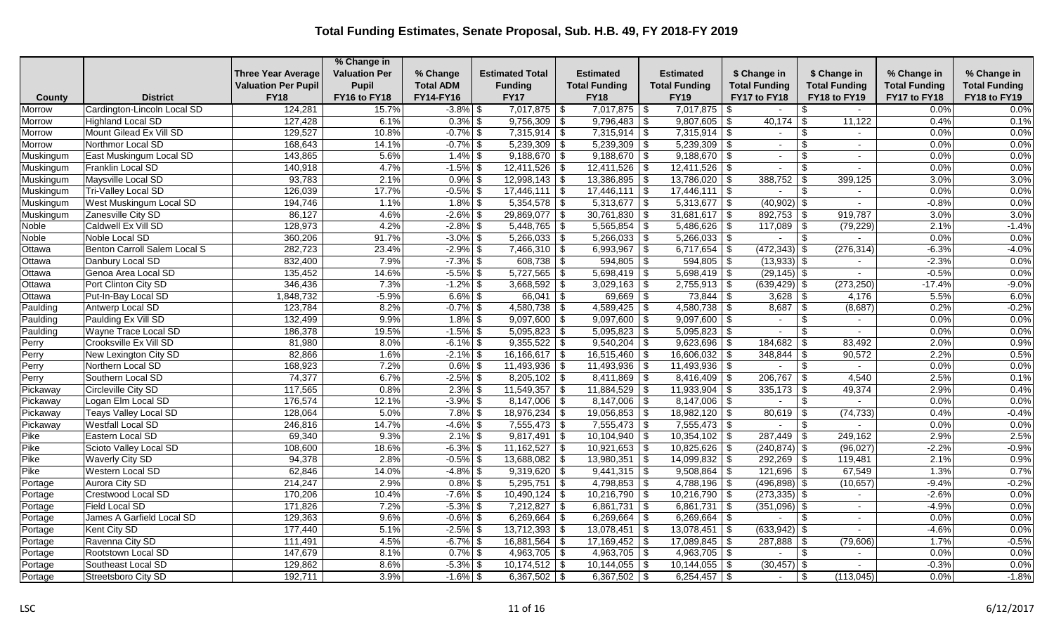|           |                              |                            | % Change in          |                  |                        |                           |                         |                      |                                  |                      |                      |
|-----------|------------------------------|----------------------------|----------------------|------------------|------------------------|---------------------------|-------------------------|----------------------|----------------------------------|----------------------|----------------------|
|           |                              | <b>Three Year Average</b>  | <b>Valuation Per</b> | % Change         | <b>Estimated Total</b> | <b>Estimated</b>          | <b>Estimated</b>        | \$ Change in         | \$ Change in                     | % Change in          | % Change in          |
|           |                              | <b>Valuation Per Pupil</b> | Pupil                | <b>Total ADM</b> | <b>Funding</b>         | <b>Total Funding</b>      | <b>Total Funding</b>    | <b>Total Funding</b> | <b>Total Funding</b>             | <b>Total Funding</b> | <b>Total Funding</b> |
| County    | <b>District</b>              | <b>FY18</b>                | FY16 to FY18         | FY14-FY16        | <b>FY17</b>            | <b>FY18</b>               | <b>FY19</b>             | FY17 to FY18         | FY18 to FY19                     | FY17 to FY18         | FY18 to FY19         |
| Morrow    | Cardington-Lincoln Local SD  | 124,281                    | 15.7%                | $-3.8\%$ \$      | 7,017,875              | $7,017,875$ \\$<br>l \$   | 7,017,875               | l \$                 | \$<br>$\sim$                     | 0.0%                 | 0.0%                 |
| Morrow    | <b>Highland Local SD</b>     | 127,428                    | 6.1%                 | $0.3\%$ \$       | $9,756,309$ \$         | $9,796,483$ \$            | $9,807,605$ \$          | 40,174               | 11,122<br>\$                     | 0.4%                 | 0.1%                 |
| Morrow    | Mount Gilead Ex Vill SD      | 129,527                    | 10.8%                | $-0.7\%$ \$      | $7,315,914$ \$         | $7,315,914$ \$            | $7,315,914$ \$          |                      |                                  | 0.0%                 | 0.0%                 |
| Morrow    | Northmor Local SD            | 168,643                    | 14.1%                | $-0.7\%$ \$      | $5,239,309$ \$         | $5,239,309$ \$            | $5,239,309$ \$          | $\sim$               | \$<br>$\sim$                     | 0.0%                 | 0.0%                 |
| Muskingum | East Muskingum Local SD      | 143,865                    | 5.6%                 | $1.4\%$ \$       | $9,188,670$ \$         | $9,188,670$ \$            | $9,188,670$ \$          | $\sim$               | \$<br>$\blacksquare$             | 0.0%                 | 0.0%                 |
| Muskingum | Franklin Local SD            | 140,918                    | 4.7%                 | $-1.5\%$ \$      | 12,411,526             | \$                        |                         |                      |                                  | 0.0%                 | 0.0%                 |
| Muskingum | Maysville Local SD           | 93,783                     | 2.1%                 | $0.9\%$ \$       | $12,998,143$ \$        | $13,386,895$ \$           | $13,786,020$ \\$        | 388,752              | 399,125<br>-\$                   | 3.0%                 | 3.0%                 |
| Muskingum | Tri-Valley Local SD          | 126,039                    | 17.7%                | $-0.5\%$ \$      | $17,446,111$ \$        | $17,446,111$ \$           | $17,446,111$ \$         | $\sim$               | \$<br>$\sim$                     | 0.0%                 | 0.0%                 |
| Muskingum | West Muskingum Local SD      | 194,746                    | 1.1%                 | $1.8\%$ \$       | $5,354,578$ \\$        | $5,313,677$ \\$           | $5,313,677$ \$          | (40,902)             | \$                               | $-0.8%$              | 0.0%                 |
| Muskingum | Zanesville City SD           | 86,127                     | 4.6%                 | $-2.6\%$ \$      | $29,869,077$ \$        | $30,761,830$ \$           | $31,681,617$ \$         | $892,753$ \\$        | 919,787                          | 3.0%                 | 3.0%                 |
| Noble     | Caldwell Ex Vill SD          | 128,973                    | 4.2%                 | $-2.8\%$ \$      | $5,448,765$ \$         | $5,565,854$ \$            | $5,486,626$ \$          | 117,089              | (79, 229)<br>l \$                | 2.1%                 | $-1.4%$              |
| Noble     | Noble Local SD               | 360,206                    | 91.7%                | $-3.0\%$ \$      | $5,266,033$ \$         | $5,266,033$ \$            | $5,266,033$ \$          |                      | \$                               | 0.0%                 | 0.0%                 |
| Ottawa    | Benton Carroll Salem Local S | 282,723                    | 23.4%                | $-2.9\%$ \$      | $7,466,310$ \$         | $6,993,967$ \$            | 6,717,654 $\frac{1}{3}$ | $(472, 343)$ \$      | (276, 314)                       | $-6.3%$              | $-4.0%$              |
| Ottawa    | Danbury Local SD             | 832,400                    | 7.9%                 | $-7.3\%$ \$      | $608,738$ \$           | $594,805$ \$              | $594,805$ \$            | $(13,933)$ \$        | $\sim$                           | $-2.3%$              | 0.0%                 |
| Ottawa    | Genoa Area Local SD          | 135,452                    | 14.6%                | $-5.5\%$ \$      | $5,727,565$ \$         | $5,698,419$ \$            | $5,698,419$ \$          | $(29, 145)$ \$       | $\sim$                           | $-0.5%$              | 0.0%                 |
| Ottawa    | Port Clinton City SD         | 346,436                    | 7.3%                 | $-1.2\%$ \$      | 3,668,592              | $3,029,163$ \$<br>\$      | $2,755,913$ \$          | $(639, 429)$ \$      | (273, 250)                       | $-17.4%$             | $-9.0%$              |
| Ottawa    | Put-In-Bay Local SD          | 1,848,732                  | $-5.9%$              | $6.6\%$ \$       | 66,041                 | $\sqrt{3}$<br>$69,669$ \$ |                         | $3,628$ \$           | 4,176                            | 5.5%                 | 6.0%                 |
| Paulding  | Antwerp Local SD             | 123,784                    | 8.2%                 | $-0.7\%$ \$      | $4,580,738$ \$         | $4,589,425$ \$            | $4,580,738$ \$          | 8,687                | \$<br>(8,687)                    | 0.2%                 | $-0.2%$              |
| Paulding  | Paulding Ex Vill SD          | 132,499                    | 9.9%                 | $1.8\%$ \$       | $9,097,600$ \$         | $9,097,600$ \$            | $9,097,600$ \$          | $\sim$               | \$<br>$\sim$                     | 0.0%                 | 0.0%                 |
| Paulding  | Wayne Trace Local SD         | 186,378                    | 19.5%                | $-1.5\%$ \$      | $5,095,823$ \$         | $5,095,823$ \$            | $5,095,823$ \$          | $\sim$               | \$<br>$\sim$                     | 0.0%                 | 0.0%                 |
| Perry     | Crooksville Ex Vill SD       | 81,980                     | 8.0%                 | $-6.1\%$ \$      | $9,355,522$ \$         | $9,540,204$ \$            | $9,623,696$ \$          | 184,682              | 83,492                           | 2.0%                 | 0.9%                 |
| Perry     | New Lexington City SD        | 82,866                     | 1.6%                 | $-2.1\%$ \$      | $16,166,617$ \$        | $16,515,460$ \$           | $16,606,032$ \$         | 348,844              | 90,572                           | 2.2%                 | 0.5%                 |
| Perry     | Northern Local SD            | 168,923                    | 7.2%                 | $0.6\%$ \$       | 11,493,936             | l \$<br>$11,493,936$ \ \$ | $11,493,936$ \$         |                      | \$<br>$\sim$                     | 0.0%                 | 0.0%                 |
| Perry     | Southern Local SD            | 74,377                     | 6.7%                 | $-2.5\%$ \$      | $8,205,102$ \$         | $8,411,869$ \$            | $8,416,409$ \$          | 206,767              | 4,540<br>-\$                     | 2.5%                 | 0.1%                 |
| Pickaway  | Circleville City SD          | 117,565                    | 0.8%                 | $2.3\%$ \$       | $11,549,357$ \$        | $11,884,529$ \$           | $11,933,904$ \$         | 335,173              | 49,374                           | 2.9%                 | 0.4%                 |
| Pickaway  | Logan Elm Local SD           | 176,574                    | 12.1%                | $-3.9\%$ \$      | 8,147,006              | $8,147,006$ \$<br>  \$    | $8,147,006$ \$          |                      | \$                               | 0.0%                 | 0.0%                 |
| Pickaway  | Teays Valley Local SD        | 128,064                    | 5.0%                 | $7.8\%$ \$       | $18,976,234$ \$        | $19,056,853$ \$           | $18,982,120$ \$         | 80,619               | (74, 733)<br>-\$                 | 0.4%                 | $-0.4%$              |
| Pickaway  | <b>Westfall Local SD</b>     | 246,816                    | 14.7%                | $-4.6\%$ \$      | $7,555,473$ \$         | $7,555,473$ \$            | $7,555,473$ \$          |                      | -\$<br>$\sim$                    | 0.0%                 | 0.0%                 |
| Pike      | Eastern Local SD             | 69,340                     | 9.3%                 | $2.1\%$ \$       | 9,817,491              | l \$<br>$10,104,940$ \$   | $10,354,102$ \$         | 287,449              | 249,162                          | 2.9%                 | 2.5%                 |
| Pike      | Scioto Valley Local SD       | 108,600                    | 18.6%                | $-6.3\%$ \$      | $11,162,527$ \$        | $10,921,653$ \$           | $10,825,626$ \$         | $(240, 874)$ \$      | (96, 027)                        | $-2.2%$              | $-0.9%$              |
| Pike      | <b>Waverly City SD</b>       | 94,378                     | 2.8%                 | $-0.5\%$ \$      | $13,688,082$ \$        | $13,980,351$ \$           | $14,099,832$ \$         | $292,269$ \$         | 119,481                          | 2.1%                 | 0.9%                 |
| Pike      | Western Local SD             | 62,846                     | 14.0%                | $-4.8\%$ \$      | $9,319,620$ \$         | $\sqrt{9,441,315}$ \ \$   | $9,508,864$ \$          | 121,696              | 67,549<br>-\$                    | 1.3%                 | 0.7%                 |
| Portage   | <b>Aurora City SD</b>        | 214,247                    | 2.9%                 | $0.8\%$ \$       | $5,295,751$ \$         | $4,798,853$ \$            | 4,788,196 \$            | $(496,898)$ \$       | (10, 657)                        | $-9.4%$              | $-0.2%$              |
| Portage   | Crestwood Local SD           | 170,206                    | 10.4%                | $-7.6\%$ \$      | $10,490,124$ \$        | $10,216,790$ \$           | $10,216,790$ \$         | $(273, 335)$ \$      | $\sim$                           | $-2.6%$              | 0.0%                 |
| Portage   | <b>Field Local SD</b>        | 171,826                    | 7.2%                 | $-5.3\%$ \$      | $7,212,827$ \$         | $6,861,731$ \$            | $6,861,731$ \$          | (351,096)            | - \$<br>$\overline{\phantom{a}}$ | $-4.9%$              | 0.0%                 |
| Portage   | James A Garfield Local SD    | 129,363                    | 9.6%                 | $-0.6\%$ \$      | $6,269,664$ \$         | $6,269,664$ \ \$          | $6,269,664$ \$          |                      | \$<br>$\blacksquare$             | 0.0%                 | 0.0%                 |
| Portage   | Kent City SD                 | 177,440                    | 5.1%                 | $-2.5\%$ \$      | $13,712,393$ \$        | $13,078,451$ \$           | $13,078,451$ \$         | $(633,942)$ \$       | $\sim$                           | $-4.6%$              | 0.0%                 |
| Portage   | Ravenna City SD              | 111,491                    | 4.5%                 | $-6.7\%$ \$      | 16,881,564             | l \$<br>$17,169,452$ \$   | $17,089,845$ \$         | 287,888              | (79, 606)                        | 1.7%                 | $-0.5%$              |
| Portage   | Rootstown Local SD           | 147,679                    | 8.1%                 | $0.7\%$ \$       | $4,963,705$ \$         | $4,963,705$ \$            | 4,963,705 $\vert$ \$    |                      | \$<br>$\blacksquare$             | 0.0%                 | 0.0%                 |
| Portage   | Southeast Local SD           | 129,862                    | 8.6%                 | $-5.3\%$ \$      | $10,174,512$ \$        | $10,144,055$ \$           | $10,144,055$ \\$        | $(30, 457)$ \$       |                                  | $-0.3%$              | 0.0%                 |
| Portage   | Streetsboro City SD          | 192,711                    | 3.9%                 | $-1.6\%$ \$      | $6,367,502$ \$         | $6,367,502$ \$            | $6,254,457$ \$          |                      | -\$<br>(113, 045)                | 0.0%                 | $-1.8%$              |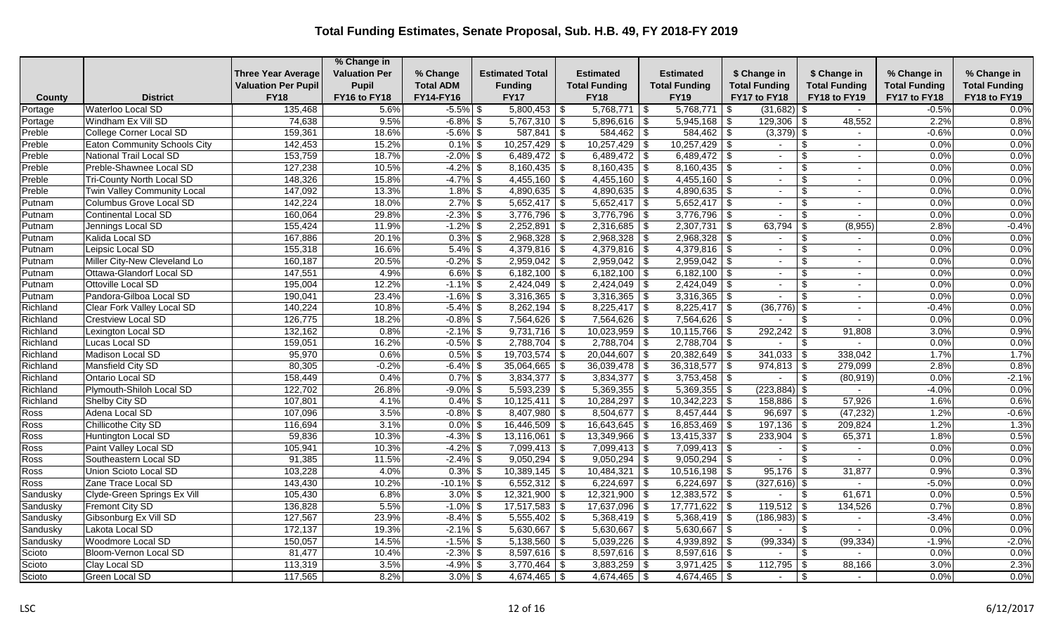|                 |                                     |                            | % Change in          |                       |                        |                      |                         |                       |                                           |                      |                      |
|-----------------|-------------------------------------|----------------------------|----------------------|-----------------------|------------------------|----------------------|-------------------------|-----------------------|-------------------------------------------|----------------------|----------------------|
|                 |                                     | <b>Three Year Average</b>  | <b>Valuation Per</b> | % Change              | <b>Estimated Total</b> | Estimated            | <b>Estimated</b>        | \$ Change in          | \$ Change in                              | % Change in          | % Change in          |
|                 |                                     | <b>Valuation Per Pupil</b> | <b>Pupil</b>         | <b>Total ADM</b>      | <b>Funding</b>         | <b>Total Funding</b> | <b>Total Funding</b>    | <b>Total Funding</b>  | <b>Total Funding</b>                      | <b>Total Funding</b> | <b>Total Funding</b> |
| County          | <b>District</b>                     | <b>FY18</b>                | FY16 to FY18         | FY14-FY16             | <b>FY17</b>            | <b>FY18</b>          | <b>FY19</b>             | FY17 to FY18          | FY18 to FY19                              | FY17 to FY18         | FY18 to FY19         |
| Portage         | Waterloo Local SD                   | 135,468                    | 5.6%                 | $-5.5%$               | $5,800,453$ \$<br>\$   | 5,768,771            | 5,768,771<br>\$         | $(31,682)$ \$<br>l \$ | $\sim$                                    | $-0.5%$              | 0.0%                 |
| Portage         | Windham Ex Vill SD                  | 74,638                     | 9.5%                 | $-6.8%$               | $5,767,310$ \$<br>\$   | $5,896,616$ \$       | $5,945,168$ \$          | 129,306               | 48,552<br><b>S</b>                        | 2.2%                 | 0.8%                 |
| Preble          | College Corner Local SD             | 159,361                    | 18.6%                | $-5.6\%$ \$           | $587,841$ \\$          | $584,462$ \ \$       | $584,462$ \$            | $(3,379)$ \$          |                                           | $-0.6%$              | 0.0%                 |
| Preble          | <b>Eaton Community Schools City</b> | 142,453                    | 15.2%                | $0.1\%$ \$            | $10,257,429$ \$        | $10,257,429$ \$      | $10,257,429$ \$         | $\sim$                | \$<br>$\sim$                              | 0.0%                 | 0.0%                 |
| Preble          | National Trail Local SD             | 153,759                    | 18.7%                | $-2.0\%$ \$           | $6,489,472$ \$         | $6,489,472$ \$       | $6,489,472$ \$          | $\sim$                | $\mathfrak{L}$<br>$\blacksquare$          | 0.0%                 | 0.0%                 |
| Preble          | Preble-Shawnee Local SD             | 127,238                    | 10.5%                | $-4.2%$               | $8,160,435$ \$<br>-\$  | $8,160,435$ \$       | $8,160,435$ \$          |                       | $\mathfrak{L}$<br>٠                       | 0.0%                 | 0.0%                 |
| Preble          | Tri-County North Local SD           | 148,326                    | 15.8%                | $-4.7\%$ \$           | $4,455,160$ \$         | $4,455,160$ \$       | $4,455,160$ \$          | $\sim$                | <sup>\$</sup><br>$\sim$                   | 0.0%                 | 0.0%                 |
| Preble          | Twin Valley Community Local         | 147,092                    | 13.3%                | $1.8\%$ \$            | $4,890,635$ \$         | $4,890,635$ \$       | $4,890,635$ \$          | $\sim$                | \$<br>٠                                   | 0.0%                 | 0.0%                 |
| Putnam          | Columbus Grove Local SD             | 142,224                    | 18.0%                | $2.7\%$ \$            | $5,652,417$ \\$        | $5,652,417$ \$       | $5,652,417$ \$          | $\sim$                | $\sim$                                    | 0.0%                 | 0.0%                 |
| Putnam          | Continental Local SD                | 160,064                    | 29.8%                | $-2.3\%$ \$           | $3,776,796$ \\$        | $3,776,796$ \$       | $3,776,796$ \\$         |                       | <sup>\$</sup><br>$\overline{\phantom{a}}$ | 0.0%                 | 0.0%                 |
| Putnam          | Jennings Local SD                   | 155,424                    | 11.9%                | $-1.2\%$ \$           | $2,252,891$ \$         | $2,316,685$ \$       | $2,307,731$ \$          |                       | (8,955)                                   | 2.8%                 | $-0.4%$              |
| Putnam          | Kalida Local SD                     | 167,886                    | 20.1%                | $0.3\%$ \$            | $2,968,328$ \$         | $2,968,328$ \$       | $2,968,328$ \$          | $\sim$                | .\$<br>$\sim$                             | 0.0%                 | 0.0%                 |
| Putnam          | Leipsic Local SD                    | 155,318                    | 16.6%                | $5.4\%$ \$            | $4,379,816$ \$         | $4,379,816$ \$       | $4,379,816$ \$          | $\sim$                | \$.<br>$\sim$                             | 0.0%                 | 0.0%                 |
| Putnam          | Miller City-New Cleveland Lo        | 160,187                    | 20.5%                | $-0.2\%$ \$           | $2,959,042$ \$         | $2,959,042$ \$       | $2,959,042$ \$          | $\sim$                | -\$<br>$\overline{\phantom{a}}$           | 0.0%                 | 0.0%                 |
| Putnam          | Ottawa-Glandorf Local SD            | 147,551                    | 4.9%                 | $6.6\%$ \$            | $6,182,100$ \$         | $6,182,100$ \$       | $6,182,100$ \$          | $\sim$                | $\mathfrak{L}$<br>$\sim$                  | 0.0%                 | 0.0%                 |
| Putnam          | Ottoville Local SD                  | 195,004                    | 12.2%                | $-1.1\%$ \$           | $2,424,049$ \$         | $2,424,049$ \$       | $2,424,049$ \$          | $\sim$                | $\sim$                                    | 0.0%                 | 0.0%                 |
| Putnam          | Pandora-Gilboa Local SD             | 190,041                    | 23.4%                | $-1.6\%$ \$           | $3,316,365$ \$         | $3,316,365$ \$       | $3,316,365$ \$          | $\sim$                | -\$<br>$\overline{\phantom{a}}$           | 0.0%                 | 0.0%                 |
| Richland        | Clear Fork Valley Local SD          | 140,224                    | 10.8%                | $-5.4\%$ \$           | $8,262,194$ \$         | $8,225,417$ \$       | $8,225,417$ \$          | $(36,776)$ \$         |                                           | $-0.4%$              | 0.0%                 |
| Richland        | <b>Crestview Local SD</b>           | 126,775                    | 18.2%                | $-0.8\%$ \$           | $7,564,626$ \$         | $7,564,626$ \$       | $7,564,626$ \\$         |                       |                                           | 0.0%                 | 0.0%                 |
| Richland        | Lexington Local SD                  | 132,162                    | 0.8%                 | $-2.1\%$ \$           | $9,731,716$ \$         | $10,023,959$ \$      | $10,115,766$ \$         | 292,242               | 91,808<br>-\$                             | 3.0%                 | 0.9%                 |
| Richland        | Lucas Local SD                      | 159,051                    | 16.2%                | $-0.5\%$ \$           | $2,788,704$ \$         | $7,788,704$ \$       | $2,788,704$ \$          | $\sim$                | -S<br>$\overline{\phantom{0}}$            | 0.0%                 | 0.0%                 |
| Richland        | Madison Local SD                    | 95,970                     | 0.6%                 | $0.5\%$ \$            | $19,703,574$ \$        | $20,044,607$ \$      | $20,382,649$ \$         | 341,033               | l \$<br>338,042                           | 1.7%                 | 1.7%                 |
| Richland        | Mansfield City SD                   | 80,305                     | $-0.2%$              | $-6.4\%$ \$           | $35,064,665$ \$        | $36,039,478$ \ \ \$  | $36,318,577$ \\$        | $974,813$ \$          | 279,099                                   | 2.8%                 | 0.8%                 |
| Richland        | Ontario Local SD                    | 158,449                    | 0.4%                 | $\overline{0.7\%}$ \$ | $3,834,377$ \$         | $3,834,377$ \$       | $3,753,458$ \$          | $\sim$                | - \$<br>(80, 919)                         | 0.0%                 | $-2.1%$              |
| Richland        | Plymouth-Shiloh Local SD            | 122,702                    | 26.8%                | $-9.0\%$ \$           | $5,593,239$ \$         | $5,369,355$ \$       | $5,369,355$ \$          | $(223, 884)$ \$       | $\sim$                                    | $-4.0%$              | 0.0%                 |
| Richland        | Shelby City SD                      | 107,801                    | 4.1%                 | $0.4\%$ \$            | $10,125,411$ \$        | $10,284,297$ \$      | $10,342,223$ \$         | $158,886$ \$          | 57,926                                    | 1.6%                 | 0.6%                 |
| Ross            | Adena Local SD                      | 107,096                    | 3.5%                 | $-0.8\%$ \$           | $8,407,980$ \$         | $8,504,677$ \\$      | $8,457,444$ \\$         | $96,697$ \$           | (47, 232)                                 | 1.2%                 | $-0.6%$              |
| Ross            | Chillicothe City SD                 | 116,694                    | 3.1%                 | $0.0\%$ \$            | $16,446,509$ \$        | $16,643,645$ \$      | $16,853,469$ \$         | $197,136$ \$          | 209,824                                   | 1.2%                 | 1.3%                 |
| Ross            | Huntington Local SD                 | 59,836                     | 10.3%                | $-4.3%$               | $13,116,061$ \$<br>-\$ | 13,349,966           | $13,415,337$ \$<br>- \$ | 233,904               | 65,371<br>-\$                             | 1.8%                 | 0.5%                 |
| Ross            | Paint Valley Local SD               | 105,941                    | 10.3%                | $-4.2\%$ \$           | 7,099,413 \$           | $7,099,413$ \$       | $7,099,413$ \$          | $\sim$                | -\$<br>$\sim$                             | 0.0%                 | 0.0%                 |
| Ross            | Southeastern Local SD               | 91,385                     | 11.5%                | $-2.4\%$ \$           | $9,050,294$ \$         | $9,050,294$ \$       | $9,050,294$ \$          | $\overline{a}$        | \$<br>$\sim$                              | 0.0%                 | 0.0%                 |
| Ross            | Union Scioto Local SD               | 103,228                    | 4.0%                 | $0.3\%$ \$            | $10,389,145$ \$        | 10,484,321           | \$<br>$10,516,198$ \\$  | 95,176                | 31,877<br>∣\$                             | 0.9%                 | 0.3%                 |
| Ross            | Zane Trace Local SD                 | 143,430                    | 10.2%                | $-10.1\%$ \$          | $6,552,312$ \$         | $6,224,697$ \$       | $6,224,697$ \$          | $(327, 616)$ \$       |                                           | $-5.0%$              | 0.0%                 |
| Sandusky        | Clyde-Green Springs Ex Vill         | 105,430                    | 6.8%                 | $3.0\%$ \$            | $12,321,900$ \$        | $12,321,900$ \$      | $12,383,572$ \$         | $\sim$                | 61,671<br>- \$                            | 0.0%                 | 0.5%                 |
| Sandusky        | <b>Fremont City SD</b>              | 136,828                    | 5.5%                 | $-1.0\%$ \$           | $17,517,583$ \$        | $17,637,096$ \$      | $17,771,622$ \$         | $119,512$ \$          | 134,526                                   | 0.7%                 | 0.8%                 |
| <b>Sandusky</b> | Gibsonburg Ex Vill SD               | 127,567                    | 23.9%                | $-8.4\%$ \$           | $5,555,402$ \$         | $5,368,419$ \\$      | $5,368,419$ \$          | $(186,983)$ \$        | $\blacksquare$                            | $-3.4%$              | 0.0%                 |
| Sandusky        | Lakota Local SD                     | 172,137                    | 19.3%                | $-2.1\%$ \$           | $5,630,667$ \$         | $5,630,667$ \$       | $5,630,667$ \$          | $\sim$                | \$<br>$\sim$                              | 0.0%                 | 0.0%                 |
| Sandusky        | Woodmore Local SD                   | 150,057                    | 14.5%                | $-1.5\%$ \$           | $5,138,560$ \$         | $5,039,226$ \$       | $4,939,892$ \$          | $(99, 334)$ \$        | (99, 334)                                 | $-1.9%$              | $-2.0%$              |
| Scioto          | Bloom-Vernon Local SD               | 81,477                     | 10.4%                | $-2.3\%$ \$           | $8,597,616$ \$         | $8,597,616$ \$       | $8,597,616$ \$          |                       | -\$<br>$\sim$                             | 0.0%                 | 0.0%                 |
| Scioto          | Clay Local SD                       | 113,319                    | 3.5%                 | $-4.9\%$ \$           | $3,770,464$ \$         | $3,883,259$ \$       | $3,971,425$ \$          | 112,795               | 88,166<br>∣\$                             | 3.0%                 | 2.3%                 |
| Scioto          | Green Local SD                      | 117,565                    | 8.2%                 | $3.0\%$ \$            | $4,674,465$ \\$        | $4,674,465$ \$       | $4,674,465$ \$          | $\sim$                | -\$<br>$\overline{\phantom{0}}$           | 0.0%                 | 0.0%                 |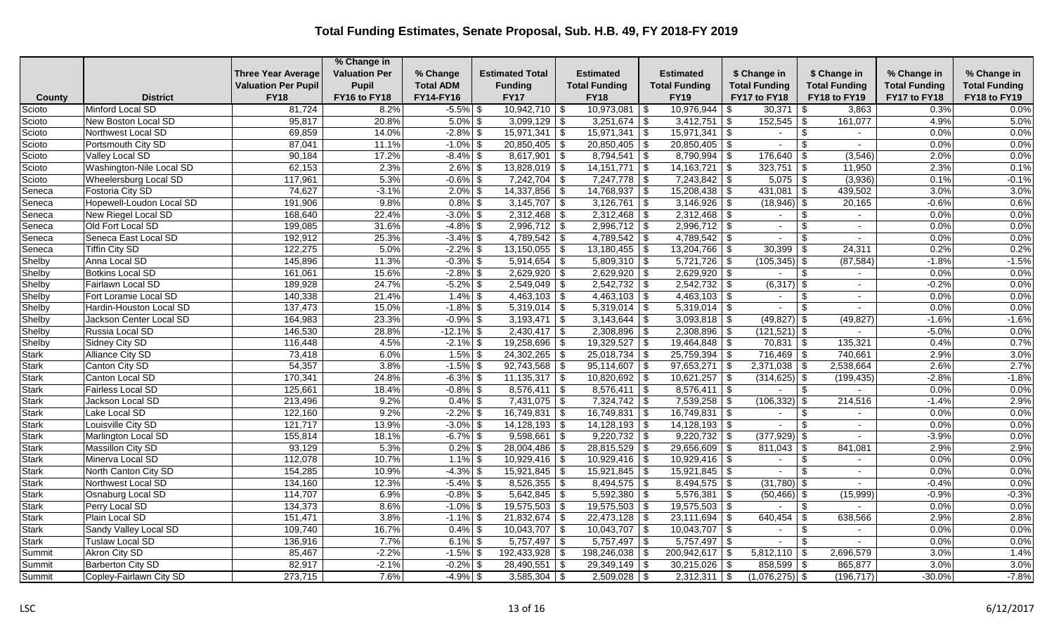|               |                          |                            | % Change in          |                  |                        |                                    |                      |                      |                        |                      |                      |
|---------------|--------------------------|----------------------------|----------------------|------------------|------------------------|------------------------------------|----------------------|----------------------|------------------------|----------------------|----------------------|
|               |                          | <b>Three Year Average</b>  | <b>Valuation Per</b> | % Change         | <b>Estimated Total</b> | <b>Estimated</b>                   | <b>Estimated</b>     | \$ Change in         | \$ Change in           | % Change in          | % Change in          |
|               |                          | <b>Valuation Per Pupil</b> | Pupil                | <b>Total ADM</b> | <b>Funding</b>         | <b>Total Funding</b>               | <b>Total Funding</b> | <b>Total Funding</b> | <b>Total Funding</b>   | <b>Total Funding</b> | <b>Total Funding</b> |
| <b>County</b> | <b>District</b>          | <b>FY18</b>                | FY16 to FY18         | FY14-FY16        | <b>FY17</b>            | <b>FY18</b>                        | <b>FY19</b>          | FY17 to FY18         | FY18 to FY19           | FY17 to FY18         | FY18 to FY19         |
| Scioto        | Minford Local SD         | 81,724                     | 8.2%                 | $-5.5\%$ \$      | $10,942,710$ \$        | $10,973,081$ \$                    | $10,976,944$ \\$     | 30,371               | 3,863<br>-S            | 0.3%                 | 0.0%                 |
| Scioto        | New Boston Local SD      | 95,817                     | 20.8%                | $5.0\%$ \$       | $3,099,129$ \$         | $3,251,674$ \$                     | $3,412,751$ \$       | 152,545              | 161,077<br>\$          | 4.9%                 | 5.0%                 |
| Scioto        | Northwest Local SD       | 69,859                     | 14.0%                | $-2.8\%$ \$      | 15,971,341             | $15,971,341$ \$<br>$\sqrt{s}$      | 15,971,341           | \$                   | \$<br>$\sim$           | 0.0%                 | 0.0%                 |
| Scioto        | Portsmouth City SD       | 87,041                     | 11.1%                | $-1.0\%$ \$      | $20,850,405$ \$        | $\overline{20,850,405}$ \$         | $20,850,405$ \$      | $\sim$               | \$.<br>$\sim$          | 0.0%                 | 0.0%                 |
| Scioto        | Valley Local SD          | 90,184                     | 17.2%                | $-8.4\%$ \$      | $8,617,901$ \$         | $8,794,541$ \$                     | $8,790,994$ \$       | 176,640              | (3,546)<br>-\$         | 2.0%                 | 0.0%                 |
| Scioto        | Washington-Nile Local SD | 62,153                     | 2.3%                 | $2.6\%$ \$       | $13,828,019$ \$        | $14,151,771$ \\$                   | $14,163,721$ \$      | 323,751              | 11,950<br>-\$          | 2.3%                 | 0.1%                 |
| Scioto        | Wheelersburg Local SD    | 117,961                    | 5.3%                 | $-0.6\%$ \$      | $7,242,704$ \$         | $7,247,778$ \\$                    | $7,243,842$ \$       | $5,075$ \$           | (3,936)                | 0.1%                 | $-0.1%$              |
| Seneca        | <b>Fostoria City SD</b>  | 74,627                     | $-3.1%$              | $2.0\%$ \$       | $14,337,856$ \$        | $14,768,937$ \$                    | $15,208,438$ \$      | $431,081$ \$         | 439,502                | 3.0%                 | 3.0%                 |
| Seneca        | Hopewell-Loudon Local SD | 191,906                    | 9.8%                 | $0.8\%$ \$       | $3,145,707$ \\$        | $3,126,761$ \$                     | $3,146,926$ \$       | (18,946)             | 20,165<br>- \$         | $-0.6%$              | 0.6%                 |
| Seneca        | New Riegel Local SD      | 168,640                    | 22.4%                | $-3.0\%$ \$      | $2,312,468$ \$         |                                    | $2,312,468$ \$       | $\sim$               | \$<br>$\sim$           | 0.0%                 | 0.0%                 |
| Seneca        | Old Fort Local SD        | 199,085                    | 31.6%                | $-4.8\%$ \$      | $2,996,712$ \$         | $2,996,712$ \$                     | $2,996,712$ \$       | $\sim$               | -\$<br>$\sim$          | 0.0%                 | 0.0%                 |
| Seneca        | Seneca East Local SD     | 192,912                    | 25.3%                | $-3.4\%$ \$      | $4,789,542$ \$         | $4,789,542$ \$                     | $4,789,542$ \$       | $\sim$               | \$<br>$\sim$           | 0.0%                 | 0.0%                 |
| Seneca        | <b>Tiffin City SD</b>    | 122,275                    | 5.0%                 | $-2.2\%$ \$      | $13,150,055$ \$        | $13,180,455$ \$                    | $13,204,766$ \$      | 30,399               | 24,311<br>-\$          | 0.2%                 | 0.2%                 |
| Shelby        | Anna Local SD            | 145,896                    | 11.3%                | $-0.3\%$ \$      | $5,914,654$ \$         | $5,809,310$ \$                     | $5,721,726$ \$       | $(105, 345)$ \$      | (87, 584)              | $-1.8%$              | $-1.5%$              |
| Shelby        | <b>Botkins Local SD</b>  | 161,061                    | 15.6%                | $-2.8\%$ \$      | $2,629,920$ \$         | $2,629,920$ \$                     | $2,629,920$ \$       |                      | \$<br>$\sim$           | 0.0%                 | 0.0%                 |
| Shelby        | Fairlawn Local SD        | 189,928                    | 24.7%                | $-5.2\%$ \$      | 2,549,049              | $2,542,732$ \$<br>  \$             | $2,542,732$ \$       | (6,317)              | -\$<br>$\sim$          | $-0.2%$              | 0.0%                 |
| Shelby        | Fort Loramie Local SD    | 140,338                    | 21.4%                | $1.4\%$ \$       | $4,463,103$ \$         | $4,463,103$ \$                     | $4,463,103$ \$       | $\sim$               | - \$<br>$\blacksquare$ | 0.0%                 | 0.0%                 |
| Shelby        | Hardin-Houston Local SD  | 137,473                    | 15.0%                | $-1.8\%$ \$      | $5,319,014$ \\$        | $5,319,014$ \$                     | $5,319,014$ \$       | $\sim$               | -\$<br>$\blacksquare$  | 0.0%                 | 0.0%                 |
| Shelby        | Jackson Center Local SD  | 164,983                    | 23.3%                | $-0.9\%$ \$      | $3,193,471$ \$         | $3,143,644$ \ \$                   | $3,093,818$ \$       | $(49, 827)$ \$       | (49, 827)              | $-1.6%$              | $-1.6%$              |
| Shelby        | Russia Local SD          | 146,530                    | 28.8%                | $-12.1\%$ \$     | $2,430,417$ \$         | $2,308,896$ \$                     | $2,308,896$ \$       | $(121, 521)$ \$      |                        | $-5.0%$              | 0.0%                 |
| Shelby        | Sidney City SD           | 116,448                    | 4.5%                 | $-2.1\%$ \$      | $19,258,696$ \$        | $19,329,527$ \$                    | $19,464,848$ \$      | $70,831$ \\$         | 135,321                | 0.4%                 | 0.7%                 |
| <b>Stark</b>  | Alliance City SD         | 73,418                     | 6.0%                 | $1.5\%$ \$       | $24,302,265$ \$        | $25,018,734$ \$                    | $25,759,394$ \$      | 716,469              | 740,661<br>-\$         | 2.9%                 | 3.0%                 |
| <b>Stark</b>  | Canton City SD           | 54,357                     | 3.8%                 | $-1.5\%$ \$      | $92,743,568$ \$        | $95,114,607$ \$                    | $97,653,271$ \$      | $2,371,038$ \$       | 2,538,664              | 2.6%                 | 2.7%                 |
| <b>Stark</b>  | Canton Local SD          | 170,341                    | 24.8%                | $-6.3\%$ \$      | $11,135,317$ \$        | $\overline{10,820,692}$ \$         | $10,621,257$ \$      | $(314, 625)$ \$      | (199, 435)             | $-2.8%$              | $-1.8%$              |
| <b>Stark</b>  | Fairless Local SD        | 125,661                    | 18.4%                | $-0.8\%$ \$      | $8,576,411$ \$         | $8,576,411$ \\$                    | $8,576,411$ \$       |                      | \$                     | 0.0%                 | 0.0%                 |
| <b>Stark</b>  | Jackson Local SD         | 213,496                    | 9.2%                 | $0.4\%$ \$       | 7,431,075 \$           | $7,324,742$ \$                     | $7,539,258$ \$       | (106, 332)           | 214,516<br>- \$        | $-1.4%$              | 2.9%                 |
| <b>Stark</b>  | Lake Local SD            | 122,160                    | 9.2%                 | $-2.2\%$ \$      | $16,749,831$ \$        | $16,749,831$ \$                    | $16,749,831$ \$      | $\sim$               | \$<br>$\sim$           | 0.0%                 | 0.0%                 |
| <b>Stark</b>  | Louisville City SD       | 121,717                    | 13.9%                | $-3.0\%$ \$      | $14,128,193$ \$        | $14,128,193$ \$                    | $14,128,193$ \$      | $\sim$               | \$<br>$\blacksquare$   | 0.0%                 | 0.0%                 |
| <b>Stark</b>  | Marlington Local SD      | 155,814                    | 18.1%                | $-6.7\%$ \$      | 9,598,661              | $\overline{8}$<br>$9,220,732$ \$   | $9,220,732$ \$       | (377, 929)           | -\$                    | $-3.9%$              | 0.0%                 |
| <b>Stark</b>  | Massillon City SD        | 93,129                     | 5.3%                 | $0.2\%$ \$       | $28,004,486$ \$        | $28,815,529$ \$                    | $29,656,609$ \$      | 811,043              | 841,081<br>-\$         | 2.9%                 | 2.9%                 |
| <b>Stark</b>  | Minerva Local SD         | 112,078                    | 10.7%                | $1.1\%$ \$       | $10,929,416$ \$        | $10,929,416$ \$                    | $10,929,416$ \$      | $\sim$               | -\$<br>$\sim$          | 0.0%                 | 0.0%                 |
| <b>Stark</b>  | North Canton City SD     | 154,285                    | 10.9%                | $-4.3\%$ \$      | $15,921,845$ \$        | $15,921,845$ \$                    | $15,921,845$ \ \$    |                      | $\blacksquare$         | 0.0%                 | 0.0%                 |
| <b>Stark</b>  | Northwest Local SD       | 134,160                    | 12.3%                | $-5.4\%$ \$      | $8,526,355$ \$         | $8,494,575$ \$                     | $8,494,575$ \$       | $(31,780)$ \$        | $\sim$                 | $-0.4%$              | 0.0%                 |
| <b>Stark</b>  | Osnaburg Local SD        | 114,707                    | 6.9%                 | $-0.8\%$ \$      | $5,642,845$ \$         | $5,592,380$ \$                     | $5,576,381$ \$       | (50, 466)            | (15,999)<br>-\$        | $-0.9%$              | $-0.3%$              |
| <b>Stark</b>  | Perry Local SD           | 134,373                    | 8.6%                 | $-1.0\%$ \$      | 19,575,503             | l \$<br>$19,575,503$ \$            | $19,575,503$ \$      |                      | \$<br>$\sim$           | 0.0%                 | 0.0%                 |
| <b>Stark</b>  | Plain Local SD           | 151,471                    | 3.8%                 | $-1.1\%$ \$      | $21,832,674$ \$        |                                    | $23,111,694$ \$      | 640,454              | 638,566<br>-\$         | 2.9%                 | 2.8%                 |
| <b>Stark</b>  | Sandy Valley Local SD    | 109,740                    | 16.7%                | $0.4\%$ \$       | $10,043,707$ \$        | $10,043,707$ \$                    | $10,043,707$ \$      | $\sim$               | \$<br>$\sim$           | 0.0%                 | 0.0%                 |
| <b>Stark</b>  | <b>Tuslaw Local SD</b>   | 136,916                    | 7.7%                 | $6.1\%$ \$       | $5,757,497$ \$         | $5,757,497$ \$                     | $5,757,497$ \$       |                      | \$<br>$\sim$           | 0.0%                 | 0.0%                 |
| Summit        | Akron City SD            | 85,467                     | $-2.2%$              | $-1.5\%$ \$      | 192,433,928            | $\mathfrak{F}$<br>198,246,038 \$   | 200,942,617 \$       | 5,812,110            | 2,696,579              | 3.0%                 | 1.4%                 |
| Summit        | <b>Barberton City SD</b> | 82,917                     | $-2.1%$              | $-0.2\%$ \$      | 28,490,551             | $\overline{\$}$<br>$29,349,149$ \$ | $30,215,026$ \\$     | $858,599$ \\$        | 865,877                | 3.0%                 | 3.0%                 |
| Summit        | Copley-Fairlawn City SD  | 273,715                    | 7.6%                 | $-4.9%$ \$       | $3,585,304$ \$         | $2,509,028$ \ \ \$                 | $2,312,311$ \$       | $(1,076,275)$ \$     | (196, 717)             | $-30.0%$             | $-7.8%$              |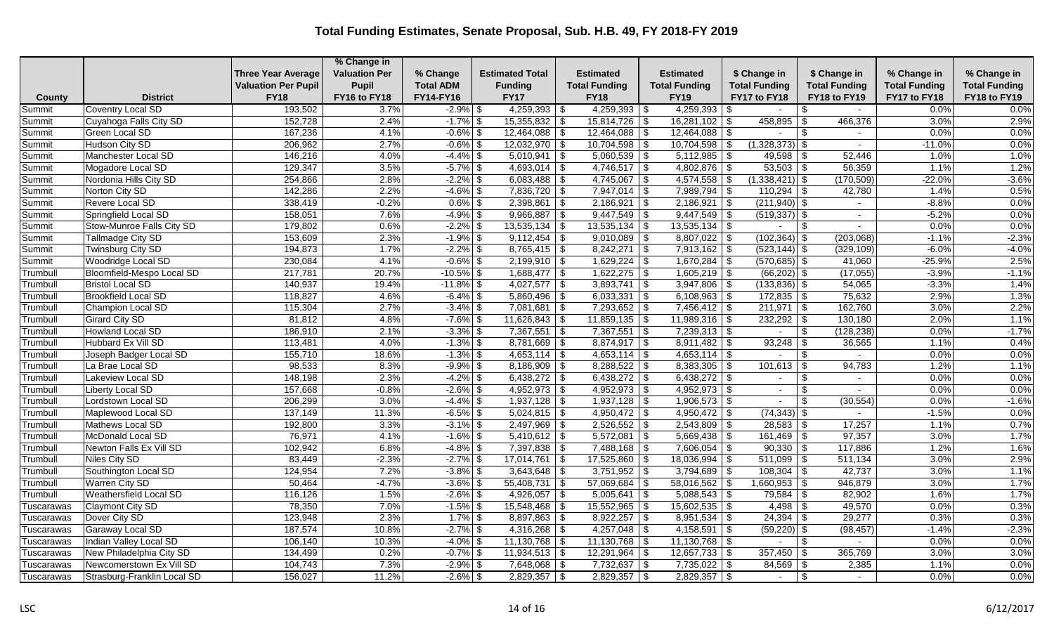|                  |                                                    |                                           | % Change in                  |                        |                                         |                          |                                          |                        |                         |                      |                      |
|------------------|----------------------------------------------------|-------------------------------------------|------------------------------|------------------------|-----------------------------------------|--------------------------|------------------------------------------|------------------------|-------------------------|----------------------|----------------------|
|                  |                                                    | <b>Three Year Average</b>                 | <b>Valuation Per</b>         | % Change               | <b>Estimated Total</b>                  | Estimated                | <b>Estimated</b>                         | \$ Change in           | \$ Change in            | % Change in          | % Change in          |
|                  | <b>District</b>                                    | <b>Valuation Per Pupil</b><br><b>FY18</b> | <b>Pupil</b><br>FY16 to FY18 | <b>Total ADM</b>       | <b>Funding</b><br><b>FY17</b>           | <b>Total Funding</b>     | <b>Total Funding</b>                     | <b>Total Funding</b>   | <b>Total Funding</b>    | <b>Total Funding</b> | <b>Total Funding</b> |
| County           |                                                    | 193,502                                   |                              | FY14-FY16              |                                         | <b>FY18</b><br>4,259,393 | <b>FY19</b>                              | FY17 to FY18           | FY18 to FY19            | FY17 to FY18         | FY18 to FY19<br>0.0% |
| Summit<br>Summit | <b>Coventry Local SD</b><br>Cuyahoga Falls City SD | 152,728                                   | 3.7%<br>2.4%                 | $-2.9%$<br>$-1.7\%$ \$ | $4,259,393$ \$<br>\$<br>$15,355,832$ \$ | $15,814,726$ \\$         | $4,259,393$ \$<br>-\$<br>$16,281,102$ \$ | $\sim$<br>$458,895$ \$ | \$<br>$\sim$<br>466,376 | 0.0%<br>3.0%         | 2.9%                 |
|                  | Green Local SD                                     | 167,236                                   | 4.1%                         | $-0.6\%$ \$            | $12,464,088$ \$                         |                          |                                          |                        | \$<br>$\blacksquare$    | 0.0%                 | 0.0%                 |
| Summit<br>Summit | Hudson City SD                                     | 206,962                                   | 2.7%                         | $-0.6\%$ \$            | $12,032,970$ \$                         | $10,704,598$ \\$         | $10,704,598$ \$                          | $(1,328,373)$ \$       | $\sim$                  | $-11.0%$             | 0.0%                 |
| Summit           | Manchester Local SD                                | 146,216                                   | 4.0%                         | $-4.4\%$ \$            | $5,010,941$ \$                          | $5,060,539$ \$           | $5,112,985$ \$                           | 49,598 $\frac{1}{3}$   | 52,446                  | 1.0%                 | 1.0%                 |
| Summit           | Mogadore Local SD                                  | 129,347                                   | 3.5%                         | $-5.7\%$ \$            | $4,693,014$ \$                          | $4,746,517$ \\$          | $4,802,876$ \$                           | $53,503$ \$            | 56,359                  | 1.1%                 | 1.2%                 |
| Summit           | Nordonia Hills City SD                             | 254,866                                   | 2.8%                         | $-2.2\%$ \$            | $6,083,488$ \$                          | $4,745,067$ \$           | $4,574,558$ \$                           | $(1,338,421)$ \$       | (170, 509)              | $-22.0%$             | $-3.6%$              |
| Summit           | Norton City SD                                     | 142,286                                   | 2.2%                         | $-4.6\%$ \$            | 7,836,720 \$                            | $7,947,014$ \$           | $7,989,794$ \$                           | $110,294$ \$           | 42,780                  | 1.4%                 | 0.5%                 |
| Summit           | Revere Local SD                                    | 338,419                                   | $-0.2%$                      | $0.6\%$ \$             | $2,398,861$ \$                          | 2,186,921                | $\sqrt[6]{3}$<br>$2,186,921$ \$          | $(211,940)$ \$         |                         | $-8.8%$              | 0.0%                 |
| Summit           | Springfield Local SD                               | 158,051                                   | 7.6%                         | $-4.9%$ \$             | $9,966,887$ \$                          | $9,447,549$ \\$          | $9,447,549$ \$                           | $(519, 337)$ \$        | $\sim$                  | $-5.2%$              | 0.0%                 |
| Summit           | <b>Stow-Munroe Falls City SD</b>                   | 179,802                                   | 0.6%                         | $-2.2\%$ \$            | $13,535,134$ \$                         | $13,535,134$ \$          | $13,535,134$ \$                          | $\sim$                 | l \$<br>$\sim$          | 0.0%                 | 0.0%                 |
| Summit           | <b>Tallmadge City SD</b>                           | 153,609                                   | 2.3%                         | $-1.9\%$ \$            | $9,112,454$ \$                          | $9,010,089$ \$           | $8,807,022$ \$                           | $(102, 364)$ \$        | (203,068)               | $-1.1%$              | $-2.3%$              |
| Summit           | Twinsburg City SD                                  | 194,873                                   | 1.7%                         | $-2.2\%$ \$            | $8,765,415$ \$                          | $8,242,271$ \\$          | $7,913,162$ \$                           | $(523, 144)$ \$        | (329, 109)              | $-6.0%$              | $-4.0%$              |
| Summit           | Woodridge Local SD                                 | 230,084                                   | 4.1%                         | $-0.6\%$ \$            | $2,199,910$ \$                          | $1,629,224$ \$           | $1,670,284$ \$                           | $(570, 685)$ \$        | 41,060                  | $-25.9%$             | 2.5%                 |
| Trumbull         | Bloomfield-Mespo Local SD                          | 217,781                                   | 20.7%                        | $-10.5\%$ \$           | $1,688,477$ \$                          | $1,622,275$ \$           | $1,605,219$ \$                           | $(66,202)$ \$          | (17,055)                | $-3.9%$              | $-1.1%$              |
| Trumbull         | <b>Bristol Local SD</b>                            | 140,937                                   | 19.4%                        | $-11.8\%$ \$           | $4,027,577$ \$                          | $3,893,741$ \$           | $3,947,806$ \$                           | $(133,836)$ \$         | 54,065                  | $-3.3%$              | 1.4%                 |
| Trumbull         | <b>Brookfield Local SD</b>                         | 118,827                                   | 4.6%                         | $-6.4\%$ \$            | 5,860,496 \$                            | 6,033,331                | \$<br>$6,108,963$ \$                     | $172,835$ \$           | 75,632                  | 2.9%                 | 1.3%                 |
| Trumbull         | Champion Local SD                                  | 115,304                                   | 2.7%                         | $-3.4\%$ \$            | $7,081,681$ \$                          | $7,293,652$ \$           | $7,456,412$ \$                           | $211,971$ \$           | 162,760                 | 3.0%                 | 2.2%                 |
| Trumbull         | <b>Girard City SD</b>                              | 81,812                                    | 4.8%                         | $-7.6\%$ \$            | $11,626,843$ \$                         | $11,859,135$ \$          | $11,989,316$ \$                          | $232,292$ \$           | 130,180                 | 2.0%                 | 1.1%                 |
| Trumbull         | Howland Local SD                                   | 186,910                                   | 2.1%                         | $-3.3\%$ \$            | $7,367,551$ \\$                         | $7,367,551$ \$           | $7,239,313$ \$                           | $\sim$                 | \$<br>(128, 238)        | 0.0%                 | $-1.7%$              |
| Trumbull         | <b>Hubbard Ex Vill SD</b>                          | 113,481                                   | 4.0%                         | $-1.3\%$ \$            | $8,781,669$ \$                          | $8,874,917$ \$           | $8,911,482$ \$                           |                        | 36,565                  | 1.1%                 | 0.4%                 |
| Trumbull         | Joseph Badger Local SD                             | 155,710                                   | 18.6%                        | $-1.3\%$ \$            | $4,653,114$ \$                          | $4,653,114$ \\$          | $4,653,114$ \$                           | $\sim$                 | <b>.s</b>               | 0.0%                 | 0.0%                 |
| Trumbull         | La Brae Local SD                                   | 98,533                                    | 8.3%                         | $-9.9%$ \$             | $8,186,909$ \$                          | $8,288,522$ \$           | $8,383,305$ \$                           | $101,613$ \$           | 94,783                  | 1.2%                 | 1.1%                 |
| Trumbull         | Lakeview Local SD                                  | 148,198                                   | 2.3%                         | $-4.2\%$ \$            | $6,438,272$ \$                          | $6,438,272$ \$           | $6,438,272$ \$                           | $\sim$ 10 $\pm$        | -\$<br>$\sim$           | 0.0%                 | 0.0%                 |
| Trumbull         | <b>Liberty Local SD</b>                            | 157,668                                   | $-0.8%$                      | $-2.6\%$ \$            | $4,952,973$ \$                          | $4,952,973$ \$           | $4,952,973$ \$                           | $\sim$                 | -\$<br>$\sim$           | 0.0%                 | 0.0%                 |
| Trumbull         | Lordstown Local SD                                 | 206,299                                   | 3.0%                         | $-4.4%$                | $1,937,128$ \$<br>\$                    | $1,937,128$ \$           | $1,906,573$ \$                           |                        | (30, 554)               | 0.0%                 | $-1.6%$              |
| Trumbull         | Maplewood Local SD                                 | 137,149                                   | 11.3%                        | $-6.5\%$ \$            | $5,024,815$ \$                          | $4,950,472$ \$           | $4,950,472$ \$                           | $(74,343)$ \$          | $\sim$                  | $-1.5%$              | 0.0%                 |
| Trumbull         | Mathews Local SD                                   | 192,800                                   | 3.3%                         | $-3.1\%$ \$            | $2,497,969$ \$                          | $2,526,552$ \$           | $2,543,809$ \$                           | $28,583$ \\$           | 17,257                  | 1.1%                 | 0.7%                 |
| Trumbull         | McDonald Local SD                                  | 76,971                                    | 4.1%                         | $-1.6\%$ \$            | $5,410,612$ \$                          | 5,572,081                | $5,669,438$ \$<br>\$                     | $161,469$ \$           | 97,357                  | 3.0%                 | 1.7%                 |
| Trumbull         | Newton Falls Ex Vill SD                            | 102,942                                   | 6.8%                         | $-4.8\%$ \$            | 7,397,838 \$                            | $7,488,168$ \$           | $7,606,054$ \$                           | $90,330$ \$            | 117,886                 | 1.2%                 | 1.6%                 |
| Trumbull         | Niles City SD                                      | 83,449                                    | $-2.3%$                      | $-2.7\%$ \$            | $\overline{17,014,761}$ \\$             | $17,525,860$ \$          | $18,036,994$ \$                          | $511,099$ \$           | 511,134                 | 3.0%                 | 2.9%                 |
| Trumbull         | Southington Local SD                               | 124,954                                   | 7.2%                         | $-3.8\%$ \$            | $3,643,648$ \$                          | $3,751,952$ \$           | $3,794,689$ \$                           |                        | 42,737                  | 3.0%                 | 1.1%                 |
| Trumbull         | <b>Warren City SD</b>                              | 50,464                                    | $-4.7%$                      | $-3.6\%$ \$            | $55,408,731$ \$                         | $57,069,684$ \$          | $\overline{58,016,562}$ \$               | $1,660,953$ \$         | 946,879                 | 3.0%                 | 1.7%                 |
| Trumbull         | Weathersfield Local SD                             | 116,126                                   | 1.5%                         | $-2.6\%$ \$            | $4,926,057$ \$                          | 5,005,641                | $5,088,543$ \$<br>  \$                   | $79,584$ \$            | 82,902                  | 1.6%                 | 1.7%                 |
| Tuscarawas       | Claymont City SD                                   | 78,350                                    | 7.0%                         | $-1.5\%$ \$            | $15,548,468$ \$                         | $15,552,965$ \$          | $15,602,535$ \$                          |                        | 49,570                  | 0.0%                 | 0.3%                 |
| Tuscarawas       | Dover City SD                                      | 123,948                                   | 2.3%                         | $1.7\%$ \$             | $8,897,863$ \$                          | $8,922,257$ \$           | $8,951,534$ \$                           | $24,394$ \\$           | 29,277                  | 0.3%                 | 0.3%                 |
| Tuscarawas       | Garaway Local SD                                   | 187,574                                   | 10.8%                        | $-2.7\%$ \$            | $4,316,268$ \$                          | $4,257,048$ \$           | $4,158,591$ \$                           | $(59,220)$ \$          | (98, 457)               | $-1.4%$              | $-2.3%$              |
| Tuscarawas       | Indian Valley Local SD                             | 106,140                                   | 10.3%                        | $-4.0\%$               | $11,130,768$ \$<br>-\$                  | $11,130,768$ \$          | $11,130,768$ \$                          |                        | \$                      | 0.0%                 | 0.0%                 |
| Tuscarawas       | New Philadelphia City SD                           | 134,499                                   | 0.2%                         | $-0.7\%$ \$            | $11,934,513$ \$                         | 12,291,964               | \$<br>$12,657,733$ \$                    | $357,450$ \$           | 365,769                 | 3.0%                 | 3.0%                 |
| Tuscarawas       | Newcomerstown Ex Vill SD                           | 104,743                                   | 7.3%                         | $-2.9%$ \$             | $7,648,068$ \$                          | $7,732,637$ \$           | $7,735,022$ \$                           | $84,569$ \ \$          | 2,385                   | 1.1%                 | 0.0%                 |
| Tuscarawas       | Strasburg-Franklin Local SD                        | 156,027                                   | 11.2%                        | $-2.6\%$ \$            | $2,829,357$ \\$                         | $2,829,357$ \$           | $2,829,357$ \$                           | $\sim$                 | -\$                     | $0.0\%$              | 0.0%                 |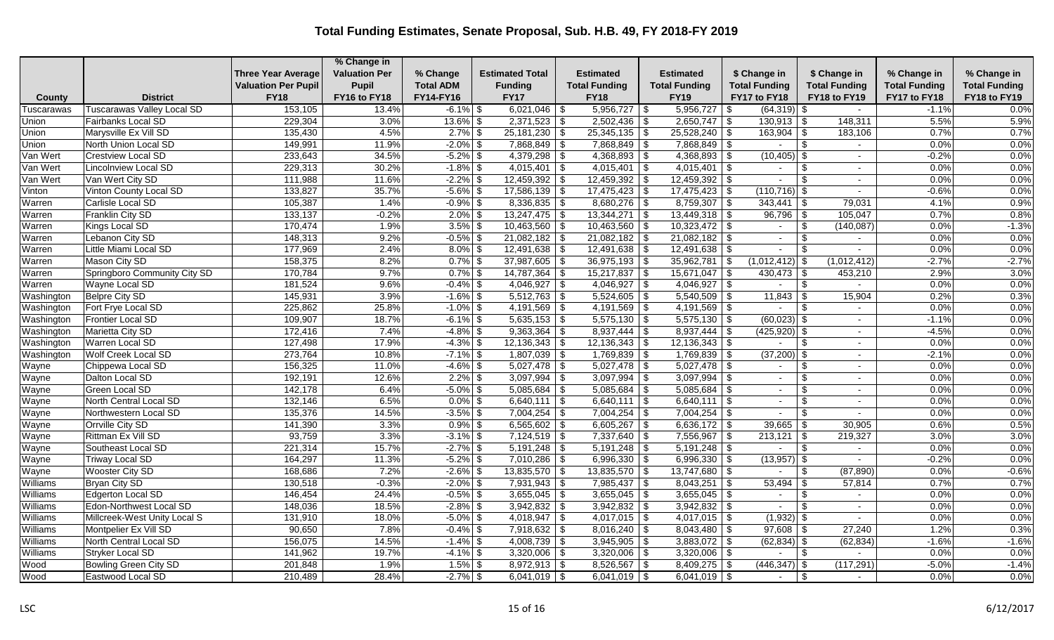|            |                                   |                            | % Change in          |                  |                           |                      |                             |                       |                                |                      |                      |
|------------|-----------------------------------|----------------------------|----------------------|------------------|---------------------------|----------------------|-----------------------------|-----------------------|--------------------------------|----------------------|----------------------|
|            |                                   | <b>Three Year Average</b>  | <b>Valuation Per</b> | % Change         | <b>Estimated Total</b>    | Estimated            | <b>Estimated</b>            | \$ Change in          | \$ Change in                   | % Change in          | % Change in          |
|            |                                   | <b>Valuation Per Pupil</b> | Pupil                | <b>Total ADM</b> | <b>Funding</b>            | <b>Total Funding</b> | <b>Total Funding</b>        | <b>Total Funding</b>  | <b>Total Funding</b>           | <b>Total Funding</b> | <b>Total Funding</b> |
| County     | <b>District</b>                   | <b>FY18</b>                | FY16 to FY18         | FY14-FY16        | <b>FY17</b>               | <b>FY18</b>          | <b>FY19</b>                 | FY17 to FY18          | FY18 to FY19                   | FY17 to FY18         | FY18 to FY19         |
| Tuscarawas | <b>Tuscarawas Valley Local SD</b> | 153,105                    | 13.4%                | $-6.1\%$ \$      | $6,021,046$ \$            | 5,956,727            | 5,956,727<br>-\$            | $(64,319)$ \$<br>l \$ | $\sim$                         | $-1.1%$              | 0.0%                 |
| Union      | Fairbanks Local SD                | 229,304                    | 3.0%                 | $13.6\%$ \$      | $2,371,523$ \$            | $2,502,436$ \$       | $2,650,747$ \$              | $130,913$ \$          | 148,311                        | 5.5%                 | 5.9%                 |
| Union      | Marysville Ex Vill SD             | 135,430                    | 4.5%                 | $2.7\%$ \$       | $25,181,230$ \$           | $25,345,135$ \$      | $25,528,240$ \$             | 163,904               | 183,106<br>-\$                 | 0.7%                 | 0.7%                 |
| Union      | North Union Local SD              | 149,991                    | 11.9%                | $-2.0\%$ \$      | $7,868,849$ \$            | $7,868,849$ \$       | $7,868,849$ \$              |                       | \$<br>$\sim$                   | 0.0%                 | 0.0%                 |
| Van Wert   | Crestview Local SD                | 233,643                    | 34.5%                | $-5.2\%$ \$      | $4,379,298$ \$            | $4,368,893$ \$       | $4,368,893$ \$              | $(10, 405)$ \$        | $\sim$                         | $-0.2%$              | 0.0%                 |
| Van Wert   | <b>Lincolnview Local SD</b>       | 229,313                    | 30.2%                | $-1.8\%$ \$      | $4,015,401$ \$            | $4,015,401$ \\$      | $4,015,401$ \$              |                       | $\blacksquare$                 | 0.0%                 | 0.0%                 |
| Van Wert   | Van Wert City SD                  | 111,988                    | 11.6%                | $-2.2\%$ \$      | $12,459,392$ \$           | $12,459,392$ \$      | $12,459,392$ \$             | $\sim$                | $\mathfrak{L}$<br>$\sim$       | 0.0%                 | 0.0%                 |
| Vinton     | Vinton County Local SD            | 133,827                    | 35.7%                | $-5.6\%$ \$      | $17,586,139$ \$           | $17,475,423$ \$      | $17,475,423$ \$             | $(110, 716)$ \$       | $\sim$                         | $-0.6%$              | 0.0%                 |
| Warren     | Carlisle Local SD                 | 105,387                    | 1.4%                 | $-0.9\%$ \$      | $8,336,835$ \$            | $8,680,276$ \$       | $8,759,307$ \$              | 343,441               | 79,031<br>-\$                  | 4.1%                 | 0.9%                 |
| Warren     | Franklin City SD                  | 133,137                    | $-0.2%$              | $2.0\%$ \$       | $13,247,475$ \$           | $13,344,271$ \\$     | $13,449,318$ \\$            | 96,796                | 105,047<br>-\$                 | 0.7%                 | 0.8%                 |
| Warren     | Kings Local SD                    | 170,474                    | 1.9%                 | $3.5\%$ \$       | $10,463,560$ \$           | $10,463,560$ \$      | $10,323,472$ \$             | $\sim$                | \$<br>(140, 087)               | 0.0%                 | $-1.3%$              |
| Warren     | Lebanon City SD                   | 148,313                    | 9.2%                 | $-0.5\%$ \$      | $\boxed{21,082,182}$ \ \$ | $21,082,182$ \$      | $\overline{21,082,182}$ \\$ | $\sim$                | \$<br>$\sim$                   | 0.0%                 | 0.0%                 |
| Warren     | Little Miami Local SD             | 177,969                    | 2.4%                 | $8.0\%$ \$       | $12,491,638$ \$           |                      | $12,491,638$ \$             |                       | -\$<br>$\sim$                  | 0.0%                 | 0.0%                 |
| Warren     | Mason City SD                     | 158,375                    | 8.2%                 | $0.7\%$ \$       | $37,987,605$ \$           | $36,975,193$ \$      | $35,962,781$ \$             | $(1,012,412)$ \$      | (1,012,412)                    | $-2.7%$              | $-2.7%$              |
| Warren     | Springboro Community City SD      | 170,784                    | 9.7%                 | $0.7\%$ \$       | $14,787,364$ \$           | $15,217,837$ \$      | $15,671,047$ \\$            | $430,473$ \\$         | 453,210                        | 2.9%                 | 3.0%                 |
| Warren     | Wayne Local SD                    | 181,524                    | 9.6%                 | $-0.4\%$ \$      | $4,046,927$ \$            | $4,046,927$ \$       | $4,046,927$ \$              |                       | \$<br>$\sim$                   | 0.0%                 | 0.0%                 |
| Washington | <b>Belpre City SD</b>             | 145,931                    | 3.9%                 | $-1.6\%$ \$      | $5,512,763$ \$            | $5,524,605$ \$       | $5,540,509$ \$              | 11,843                | 15,904<br>-\$                  | 0.2%                 | 0.3%                 |
| Washington | Fort Frye Local SD                | 225,862                    | 25.8%                | $-1.0\%$ \$      | $4,191,569$ \$            | $4,191,569$ \$       | $4,191,569$ \$              |                       | \$<br>$\blacksquare$           | 0.0%                 | 0.0%                 |
| Washington | Frontier Local SD                 | 109,907                    | 18.7%                | $-6.1\%$ \$      | $5,635,153$ \$            | $5,575,130$ \$       | $5,575,130$ \$              | $(60,023)$ \$         | $\sim$                         | $-1.1%$              | 0.0%                 |
| Washington | Marietta City SD                  | 172,416                    | 7.4%                 | $-4.8\%$ \$      | $9,363,364$ \$            |                      |                             | $(425,920)$ \$        | $\overline{\phantom{a}}$       | $-4.5%$              | 0.0%                 |
| Washington | Warren Local SD                   | 127,498                    | 17.9%                | $-4.3\%$ \$      | $12,136,343$ \$           | $12,136,343$ \$      | $12,136,343$ \$             | $\sim$                | <sup>\$</sup><br>$\sim$        | 0.0%                 | 0.0%                 |
| Washington | Wolf Creek Local SD               | 273,764                    | 10.8%                | $-7.1\%$ \$      | $1,807,039$ \$            | $1,769,839$ \$       | $1,769,839$ \$              | (37, 200)             | $\sim$                         | $-2.1%$              | 0.0%                 |
| Wayne      | Chippewa Local SD                 | 156,325                    | 11.0%                | $-4.6\%$ \$      | $5,027,478$ \\$           | $5,027,478$ \\$      | $5,027,478$ \$              | $\overline{a}$        | \$<br>$\overline{\phantom{a}}$ | 0.0%                 | 0.0%                 |
| Wayne      | Dalton Local SD                   | 192,191                    | 12.6%                | $2.2\%$ \$       | $3,097,994$ \$            | $3,097,994$ \$       | $3,097,994$ \$              | $\sim$                | \$<br>$\sim$                   | 0.0%                 | 0.0%                 |
| Wayne      | <b>Green Local SD</b>             | 142,178                    | 6.4%                 | $-5.0\%$ \$      | $5,085,684$ \$            | $5,085,684$ \$       | $5,085,684$ \$              | $\sim$                | $\sim$                         | 0.0%                 | 0.0%                 |
| Wayne      | North Central Local SD            | 132,146                    | 6.5%                 | $0.0\%$ \$       | $6,640,111$ \$            | $6,640,111$ \$       | $6,640,111$ \$              |                       |                                | 0.0%                 | 0.0%                 |
| Wayne      | Northwestern Local SD             | 135,376                    | 14.5%                | $-3.5\%$ \$      | $7,004,254$ \\$           | $7,004,254$ \$       | $7,004,254$ \$              | $\sim$                | -\$<br>$\sim$                  | 0.0%                 | 0.0%                 |
| Wayne      | Orrville City SD                  | 141,390                    | 3.3%                 | $0.9\%$ \$       | $6,565,602$ \$            | $6,605,267$ \$       | $6,636,172$ \$              | 39,665                | 30,905<br>-\$                  | 0.6%                 | 0.5%                 |
| Wayne      | Rittman Ex Vill SD                | 93,759                     | 3.3%                 | $-3.1\%$ \$      | $7,124,519$ \$            | $7,337,640$ \$       | $7,556,967$ \$              | 213,121               | 219,327<br>-\$                 | 3.0%                 | 3.0%                 |
| Wayne      | Southeast Local SD                | 221,314                    | 15.7%                | $-2.7\%$ \$      | $5,191,248$ \$            | $5,191,248$ \$       | $\overline{5,191,248}$ \\$  |                       | -\$<br>$\sim$                  | 0.0%                 | 0.0%                 |
| Wayne      | <b>Triway Local SD</b>            | 164,297                    | 11.3%                | $-5.2\%$ \$      | 7,010,286 \$              | $6,996,330$ \$       | 6,996,330 $\frac{1}{9}$     | $(13,957)$ \$         | $\sim$                         | $-0.2%$              | 0.0%                 |
| Wayne      | <b>Wooster City SD</b>            | 168,686                    | 7.2%                 | $-2.6\%$ \$      | $13,835,570$ \$           | $13,835,570$ \$      | $13,747,680$ \ \$           |                       | (87, 890)                      | 0.0%                 | $-0.6%$              |
| Williams   | <b>Bryan City SD</b>              | 130,518                    | $-0.3%$              | $-2.0\%$ \$      | $7,931,943$ \$            | $7,985,437$ \$       | $8,043,251$ \$              | 53,494                | 57,814<br>-\$                  | 0.7%                 | 0.7%                 |
| Williams   | <b>Edgerton Local SD</b>          | 146,454                    | 24.4%                | $-0.5\%$ \$      | $3,655,045$ \$            | $3,655,045$ \$       | $3,655,045$ \$              | $\sim$                | -\$<br>$\sim$                  | 0.0%                 | 0.0%                 |
| Williams   | Edon-Northwest Local SD           | 148,036                    | 18.5%                | $-2.8\%$ \$      | $3,942,832$ \$            | $3,942,832$ \$       | $3,942,832$ \$              |                       | $\overline{\phantom{a}}$       | 0.0%                 | 0.0%                 |
| Williams   | Millcreek-West Unity Local S      | 131,910                    | 18.0%                | $-5.0\%$ \$      | $4,018,947$ \$            | $4,017,015$ \$       | $4,017,015$ \$              | $(1,932)$ \$          |                                | 0.0%                 | 0.0%                 |
| Williams   | Montpelier Ex Vill SD             | 90,650                     | 7.8%                 | $-0.4\%$ \$      | $7,918,632$ \$            | $8,016,240$ \$       | $8,043,480$ \$              | $97,608$ \ \$         | 27,240                         | 1.2%                 | 0.3%                 |
| Williams   | North Central Local SD            | 156,075                    | 14.5%                | $-1.4\%$ \$      | $4,008,739$ \$            | $3,945,905$ \$       | $3,883,072$ \$              | $(62, 834)$ \$        | (62, 834)                      | $-1.6%$              | $-1.6%$              |
| Williams   | Stryker Local SD                  | 141,962                    | 19.7%                | $-4.1\%$ \$      | $3,320,006$ \$            | $3,320,006$ \$       | $3,320,006$ \$              |                       | -S<br>$\sim$                   | 0.0%                 | 0.0%                 |
| Wood       | Bowling Green City SD             | 201,848                    | 1.9%                 | $1.5\%$ \$       | $8,972,913$ \$            | $8,526,567$ \$       | $8,409,275$ \\$             | $(446, 347)$ \$       | (117, 291)                     | $-5.0%$              | $-1.4%$              |
| Wood       | Eastwood Local SD                 | 210,489                    | 28.4%                | $-2.7%$ \$       | $6,041,019$ \$            | $6,041,019$ \$       | $6,041,019$ \$              | $\sim$                | \$<br>$\sim$                   | 0.0%                 | 0.0%                 |